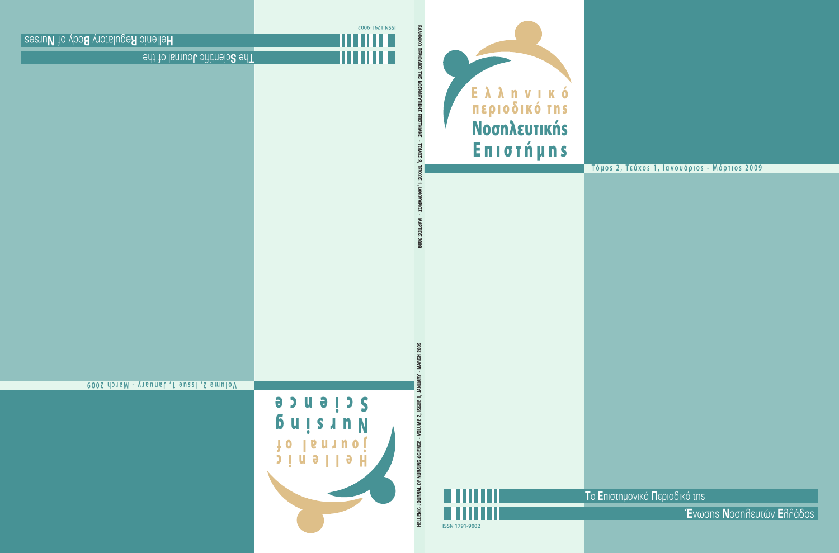

# **Τόμοs 2, Τεύχοs 1, Ιανουάριοs - Μάρτιοs 2009**

**T**ο **E**πιστηµονικό **Π**εριοδικό της



**Έ**νωσης **N**οσηλευτών **E**λλάδος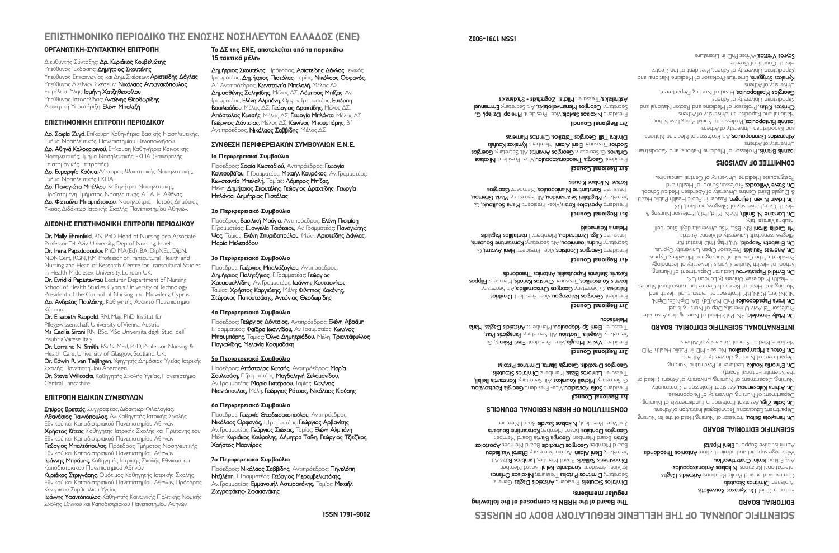# **ΕΠΙΣΤΗΜΟΝΙΚΟ ΠΕΡΙΟ∆ΙΚΟ ΤΗΣ ΕΝΩΣΗΣ ΝΟΣΗΛΕΥΤΩΝ ΕΛΛΑ∆ΟΣ (ΕΝΕ)**

## **ΟΡΓΑΝΩΤΙΚΗ-ΣΥΝΤΑΚΤΙΚΗ ΕΠΙΤΡΟΠΗ**

∆ιευθυντής Σύνταξης: ∆ρ. Κυριάκος Κουβελιώτης Υπεύθυνος Έκδοσης: Δημήτριος Σκουτέλης Υπεύθυνος Επικοινωνίας και ∆ηµ. Σχέσεων: Αριστείδης ∆άγλας Υπεύθυνος ∆ιεθνών Σχέσεων: Νικόλαος Αντωνακόπουλος Επιµέλεια Ύλης: Ισµήνη Χατζηθεοφίλου Υπεύθυνος Ιστοσελίδας: Αντώνης Θεοδωρίδης ∆ιοικητική Υποστήριξη: Ελένη Μπαλτζή

## **ΕΠΙΣΤΗΜΟΝΙΚΗ ΕΠΙΤΡΟΠΗ ΠΕΡΙΟ∆ΙΚΟΥ**

∆ρ. Σοφία Ζυγά, Επίκουρη Kαθηγήτρια Βασικής Νοσηλευτικής, Τµήµα Νοσηλευτικής, Πανεπιστηµίου Πελοποννήσου. ∆ρ. Αθηνά Καλοκαιρινού, Επίκουρη Kαθηγήτρια Κοινοτικής Νοσηλευτικής, Τµήµα Νοσηλευτικής ΕΚΠΑ (Επικεφαλής Επιστηµονικής Επιτροπής)

∆ρ. Ευµορφία Κούκια,Λέκτορας Ψυχιατρικής Νοσηλευτικής, Τµήµα Νοσηλευτικής ΕΚΠΑ.

∆ρ. Παναγιώτα Μπέλλου, Καθηγήτρια Νοσηλευτικής, Προϊσταµένη Τµήµατος Νοσηλευτικής Α΄ ΑΤΕΙ Αθήνας. ∆ρ. Φωτούλα Μπαµπάτσικου, Νοσηλεύτρια - Ιατρός ∆ηµόσιας Υγείας,∆ιδάκτωρ Ιατρικής Σχολής Πανεπιστηµίου Αθηνών.

#### **∆ΙΕΘΝΗΣ ΕΠΙΣΤΗΜΟΝΙΚΗ ΕΠΙΤΡΟΠΗ ΠΕΡΙΟ∆ΙΚΟΥ**

Dr. Mally Ehrenfeld, RN, PhD, Head of Nursing dep.Associate Professor Tel-Aviv University, Dep of Nursing, Israel. Dr. Irena Papadopoulos PhD, MA(Ed), BA, DipNEd, DipN, NDNCert, RGN, RM Professor of Transcultural Health and Nursing and Head of Research Centre for Transcultural Studies in Health Middlesex University, London UK.

Dr. Evridiki Papastavrou Lecturer Department of Nursing School of Health Studies Cyprus University of Technology President of the Council of Nursing and Midwifery, Cyprus. ∆ρ. Ανδρέας Παυλάκης, Καθηγητής Ανοικτό Πανεπιστήµιο Κύπρου.

Dr. Elisabeth Rappold, RN, Mag. PhD Institut für Pflegewissenschaft University of Vienna, Austria Ms Cecilia Sironi RN, BSc, MSc Universita dégli Studi dellΪ

Insubria Varese Italy. Dr. Lorraine N. Smith, BScN, MEd, PhD, Professor Nursing & Health Care, University of Glasgow, Scotland, UK.

Dr. Edwin R. van Teijlingen, Υφηγητής ∆ηµόσιας Υγείας Ιατρικής Σχολής Πανεπιστηµίου Aberdeen.

Dr. Steve Willcocks, Καθηγητής Σχολής Υγείας, Πανεπιστήμιο Central Lancashire.

## **ΕΠΙΤΡΟΠΗ ΕΙ∆ΙΚΩΝ ΣΥΜΒΟΥΛΩΝ**

Σπύρος Βρεττός, Συγγραφέας,∆ιδάκτωρ Φιλολογίας. Αθανάσιος Γιαννόπουλος, Αν. Καθηγητής Ιατρικής Σχολής Εθνικού και Καποδιστριακού Πανεπιστηµίου Αθηνών Χρήστος Κίττας, Καθηγητής Ιατρικής Σχολής και Πρύτανης του Εθνικού και Καποδιστριακού Πανεπιστηµίου Αθηνών Γεώργιος Μπαλτόπουλος, Πρόεδρος Τμήματος Νοσηλευτικής Εθνικού και Καποδιστριακού Πανεπιστηµίου Αθηνών Ιωάννης Μπράµης, Καθηγητής Ιατρικής Σχολής Εθνικού και Καποδιστριακού Πανεπιστηµίου Αθηνών

Κυριάκος Στριγγάρης, Οµότιµος Καθηγητής Ιατρικής Σχολής Εθνικού και Καποδιστριακού Πανεπιστηµίου Αθηνών, Πρόεδρος Κεντρικού Συµβουλίου Υγείας

Ιωάννης Υφαντόπουλος, Καθηγητής Κοινωνικής Πολιτικής, Νοµικής Σχολής Εθνικού και Καποδιστριακού Πανεπιστηµίου Αθηνών

#### **Το ∆Σ της ΕΝΕ, αποτελείται από τα παρακάτω 15 τακτικά µέλη:**

∆ηµήτριος Σκουτέλης, Πρόεδρος, Αριστείδης ∆άγλας, Γενικός Γραµµατέας, ∆ηµήτριος Πιστόλας, Ταµίας, Νικόλαος Ορφανός, Α΄ Αντιπρόεδρος, Κωνσταντία Μπελαλή, Μέλος ∆Σ, ∆ηµοσθένης Σαληκίδης, Μέλος ∆Σ, Λάµπρος Μπίζας, Αν. Γραµµατέας, Ελένη Αλµπάνη, Οργαν. Γραµµατέας, Ευτέρπη Βασιλειάδου, Μέλος ∆Σ, Γεώργιος ∆ραχτίδης, Μέλος ∆Σ, Απόστολος Κωτσής, Μέλος ∆Σ, Γεωργία Μπλάντα, Μέλος ∆Σ Γεώργιος ∆όντσιος, Μέλος ∆Σ, Κων/νος Μπουµπάρης, Β΄ Αντιπρόεδρος, Νικόλαος Σαββίδης, Μέλος ∆Σ

#### **ΣΥΝΘΕΣΗ ΠΕΡΙΦΕΡΕΙΑΚΩΝ ΣΥΜΒΟΥΛΙΩΝ Ε.Ν.Ε.**

#### **1ο Περιφερειακό Συµβούλιο**

Πρόεδρος: Σοφία Κωσταδιού, Αντιπρόεδρος: Γεωργία Κουτσοβάϊου, Γ. Γραµµατέας: Μιχαήλ Κουράκος, Αν. Γραµµατέας: Κωνσταντία Μπελαλή, Ταµίας: Λάµπρος Μπίζας, Μέλη: ∆ηµήτριος Σκουτέλης, Γεώργιος ∆ραχτίδης, Γεωργία Μπλάντα, ∆ηµήτριος Πιστόλας

#### **2ο Περιφερειακό Συµβούλιο**

Πρόεδρος: Βασιλική Μούγια, Αντιπρόεδρος: Ελένη Πισιµίση Γ. Γραµµατέας: Ευαγγελία Τσιότσιου, Αν. Γραµµατέας: Παναγιώτης Ψας, Ταµίας: Ελένη Σπυριδοπούλου, Μέλη: Αριστείδης ∆άγλας, Μαρία Μελετιάδου

#### **3ο Περιφερειακό Συµβούλιο**

Πρόεδρος: Γεώργιος Μπαλιόζογλου, Αντιπρόεδρος: ∆ηµήτριος Παλητζήκας, Γ. Γραµµατέας: Γεώργιος Χρυσοµαλλίδης, Αν. Γραµµατέας: Ιωάννης Κουτσονίκος, Ταµίας: Χρήστος Καργιώτης, Μέλη: Φίλιππος Κακάνης, Στέφανος Παπουτσάκης, Αντώνιος Θεοδωρίδης

#### **4ο Περιφερειακό Συµβούλιο**

Πρόεδρος: Γεώργιος ∆όντσιος, Αντιπρόεδρος: Ελένη Αβράµη Γ. Γραµµατέας: Φαίδρα Ιωαννίδου, Αν. Γραµµατέας: Κων/νος Μπουµπάρης, Ταµίας: Όλγα ∆ηµητριάδου, Μέλη: Τριαντάφυλλος Παγκαλίδης, Μελανία Κοσµαδάκη

#### **5ο Περιφερειακό Συµβούλιο**

Πρόεδρος: Απόστολος Κωτσής, Αντιπρόεδρος: Μαρία Σουλτούκη, Γ. Γραµµατέας: Μαγδαληνή Σελαµανίδου, Αν. Γραµµατέας: Μαρία Γκιτέρσου, Ταµίας: Κων/νος Νιανιόπουλος, Μέλη: Γεώργιος Ρότσας, Νικόλαος Κιούσης

#### **6ο Περιφερειακό Συµβούλιο**

Πρόεδρος: Γεωργία Θεοδωρακοπούλου, Αντιπρόεδρος: Νικόλαος Ορφανός, Γ. Γραµµατέας: Γεώργιος Αρβανίτης Αν. Γραµµατέας: Γεώργιος Σιώχος, Ταµίας: Ελένη Αλµπάνη Μέλη: Κυριάκος Κούφαλης, ∆ήµητρα Τσίλη, Γεώργιος Τζιτζίκος, Χρήστος Μαρνέρας

#### **7ο Περιφερειακό Συµβούλιο**

Πρόεδρος: Νικόλαος Σαββίδης, Αντιπρόεδρος: Πηνελόπη Ντζιλέπη, Γ. Γραµµατέας: Γεώργιος Μεραµβελιωτάκης, Αν. Γραμματέας: Εμμανουήλ Αστυρακάκης, Ταμίας: Μιχαήλ Ζωγραφάκης- Σφακιανάκης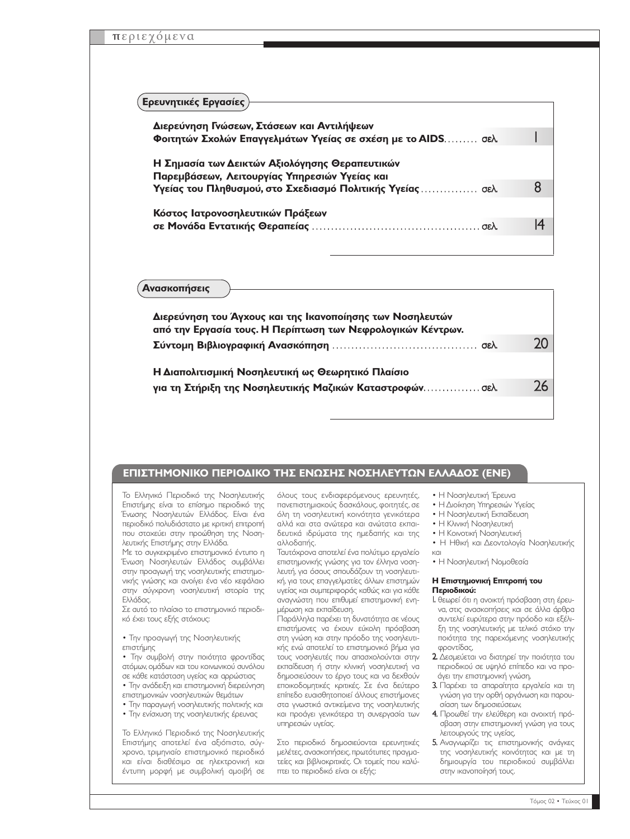#### **Ερευνητικές Εργασίες**

| Διερεύνηση Γνώσεων, Στάσεων και Αντιλήψεων<br>Φοιτητών Σχολών Επαγγελμάτων Υγείας σε σχέση με το AIDS σελ.                                                    |    |
|---------------------------------------------------------------------------------------------------------------------------------------------------------------|----|
| Η Σημασία των Δεικτών Αξιολόγησης Θεραπευτικών<br>Παρεμβάσεων, Λειτουργίας Υπηρεσιών Υγείας και<br>Υγείας του Πληθυσμού, στο Σχεδιασμό Πολιτικής Υγείας  σελ. |    |
| Κόστος Ιατρονοσηλευτικών Πράξεων                                                                                                                              | I4 |

#### **Ανασκοπήσεις**

| Διερεύνηση του Άγχους και της Ικανοποίησης των Νοσηλευτών<br>από την Εργασία τους. Η Περίπτωση των Νεφρολογικών Κέντρων. |  |
|--------------------------------------------------------------------------------------------------------------------------|--|
|                                                                                                                          |  |
| Η Διαπολιτισμική Νοσηλευτική ως Θεωρητικό Πλαίσιο                                                                        |  |
| για τη Στήριξη της Νοσηλευτικής Μαζικών Καταστροφώνσελ.                                                                  |  |
|                                                                                                                          |  |

#### **ΕΠΙΣΤΗΜΟΝΙΚΟ ΠΕΡΙΟ∆ΙΚΟ ΤΗΣ ΕΝΩΣΗΣ ΝΟΣΗΛΕΥΤΩΝ ΕΛΛΑ∆ΟΣ (ΕΝΕ)**

Το Ελληνικό Περιοδικό της Νοσηλευτικής Επιστήµης είναι το επίσηµο περιοδικό της Ένωσης Νοσηλευτών Ελλάδος. Είναι ένα περιοδικό πολυδιάστατο µε κριτική επιτροπή που στοχεύει στην προώθηση της Νοσηλευτικής Επιστήµης στην Ελλάδα.

Με το συγκεκριµένο επιστηµονικό έντυπο η Ένωση Νοσηλευτών Ελλάδος συµβάλλει στην προαγωγή της νοσηλευτικής επιστηµονικής γνώσης και ανοίγει ένα νέο κεφάλαιο στην σύγχρονη νοσηλευτική ιστορία της Ελλάδας.

Σε αυτό το πλαίσιο το επιστηµονικό περιοδικό έχει τους εξής στόχους:

• Την προαγωγή της Νοσηλευτικής επιστήµης

• Την συµβολή στην ποιότητα φροντίδας ατόµων, οµάδων και του κοινωνικού συνόλου σε κάθε κατάσταση υγείας και αρρώστιας

• Την ανάδειξη και επιστηµονική διερεύνηση επιστηµονικών νοσηλευτικών θεµάτων

- Την παραγωγή νοσηλευτικής πολιτικής και
- Την ενίσχυση της νοσηλευτικής έρευνας

Το Ελληνικό Περιοδικό της Νοσηλευτικής Επιστήµης αποτελεί ένα αξιόπιστο, σύγχρονο, τριµηνιαίο επιστηµονικό περιοδικό και είναι διαθέσιµο σε ηλεκτρονική και έντυπη µορφή µε συµβολική αµοιβή σε

όλους τους ενδιαφερόµενους ερευνητές, πανεπιστηµιακούς δασκάλους, φοιτητές, σε όλη τη νοσηλευτική κοινότητα γενικότερα αλλά και στα ανώτερα και ανώτατα εκπαιδευτικά ιδρύµατα της ηµεδαπής και της αλλοδαπής.

Ταυτόχρονα αποτελεί ένα πολύτιµο εργαλείο επιστηµονικής γνώσης για τον έλληνα νοσηλευτή, για όσους σπουδάζουν τη νοσηλευτική, για τους επαγγελµατίες άλλων επιστηµών υγείας και συµπεριφοράς καθώς και για κάθε αναγνώστη που επιθυµεί επιστηµονική ενηµέρωση και εκπαίδευση.

Παράλληλα παρέχει τη δυνατότητα σε νέους επιστήµονες να έχουν εύκολη πρόσβαση στη γνώση και στην πρόοδο της νοσηλευτικής ενώ αποτελεί το επιστηµονικό βήµα για τους νοσηλευτές που απασχολούνται στην εκπαίδευση ή στην κλινική νοσηλευτική να δηµοσιεύσουν το έργο τους και να δεχθούν εποικοδοµητικές κριτικές. Σε ένα δεύτερο επίπεδο ευαισθητοποιεί άλλους επιστήµονες στα γνωστικά αντικείµενα της νοσηλευτικής και προάγει γενικότερα τη συνεργασία των υπηρεσιών υγείας.

Στο περιοδικό δηµοσιεύονται ερευνητικές µελέτες, ανασκοπήσεις, πρωτότυπες πραγµατείες και βιβλιοκριτικές. Οι τοµείς που καλύπτει το περιοδικό είναι οι εξής:

- Η Νοσηλευτική Έρευνα
- Η ∆ιοίκηση Υπηρεσιών Υγείας
- Η Νοσηλευτική Εκπαίδευση
- Η Κλινική Νοσηλευτική
- Η Κοινοτική Νοσηλευτική
- Η Ηθική και ∆εοντολογία Νοσηλευτικής και
- Η Νοσηλευτική Νοµοθεσία

#### **Η Επιστηµονική Επιτροπή του Περιοδικού:**

- 1. θεωρεί ότι η ανοικτή πρόσβαση στη έρευνα, στις ανασκοπήσεις και σε άλλα άρθρα συντελεί ευρύτερα στην πρόοδο και εξέλιξη της νοσηλευτικής µε τελικό στόχο την ποιότητα της παρεχόµενης νοσηλευτικής φροντίδας,
- 2. ∆εσµεύεται να διατηρεί την ποιότητα του περιοδικού σε υψηλό επίπεδο και να προάγει την επιστηµονική γνώση,
- 3. Παρέχει τα απαραίτητα εργαλεία και τη γνώση για την ορθή οργάνωση και παρουσίαση των δηµοσιεύσεων,
- 4. Προωθεί την ελεύθερη και ανοιχτή πρόσβαση στην επιστηµονική γνώση για τους λειτουργούς της υγείας,
- 5. Αναγνωρίζει τις επιστηµονικής ανάγκες της νοσηλευτικής κοινότητας και µε τη δηµιουργία του περιοδικού συµβάλλει στην ικανοποίησή τους.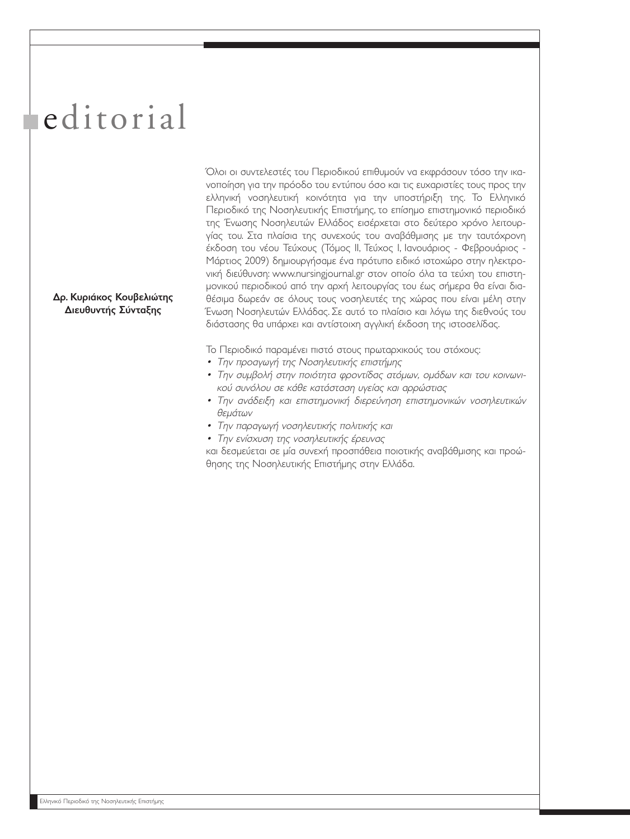# editorial

∆ρ. Κυριάκος Κουβελιώτης ∆ιευθυντής Σύνταξης

Όλοι οι συντελεστές του Περιοδικού επιθυµούν να εκφράσουν τόσο την ικανοποίηση για την πρόοδο του εντύπου όσο και τις ευχαριστίες τους προς την ελληνική νοσηλευτική κοινότητα για την υποστήριξη της. Το Ελληνικό Περιοδικό της Νοσηλευτικής Επιστήµης, το επίσηµο επιστηµονικό περιοδικό της Ένωσης Νοσηλευτών Ελλάδος εισέρχεται στο δεύτερο χρόνο λειτουργίας του. Στα πλαίσια της συνεχούς του αναβάθµισης µε την ταυτόχρονη έκδοση του νέου Τεύχους (Τόµος ΙΙ, Τεύχος Ι, Ιανουάριος - Φεβρουάριος - Μάρτιος 2009) δηµιουργήσαµε ένα πρότυπο ειδικό ιστοχώρο στην ηλεκτρονική διεύθυνση: www.nursingjournal.gr στον οποίο όλα τα τεύχη του επιστηµονικού περιοδικού από την αρχή λειτουργίας του έως σήµερα θα είναι διαθέσιµα δωρεάν σε όλους τους νοσηλευτές της χώρας που είναι µέλη στην Ένωση Νοσηλευτών Ελλάδας. Σε αυτό το πλαίσιο και λόγω της διεθνούς του διάστασης θα υπάρχει και αντίστοιχη αγγλική έκδοση της ιστοσελίδας.

Το Περιοδικό παραµένει πιστό στους πρωταρχικούς του στόχους:

- Την προαγωγή της Νοσηλευτικής επιστήµης
- Την συµβολή στην ποιότητα φροντίδας ατόµων, οµάδων και του κοινωνικού συνόλου σε κάθε κατάσταση υγείας και αρρώστιας
- Την ανάδειξη και επιστηµονική διερεύνηση επιστηµονικών νοσηλευτικών θεµάτων
- Την παραγωγή νοσηλευτικής πολιτικής και
- Την ενίσχυση της νοσηλευτικής έρευνας

και δεσµεύεται σε µία συνεχή προσπάθεια ποιοτικής αναβάθµισης και προώθησης της Νοσηλευτικής Επιστήµης στην Ελλάδα.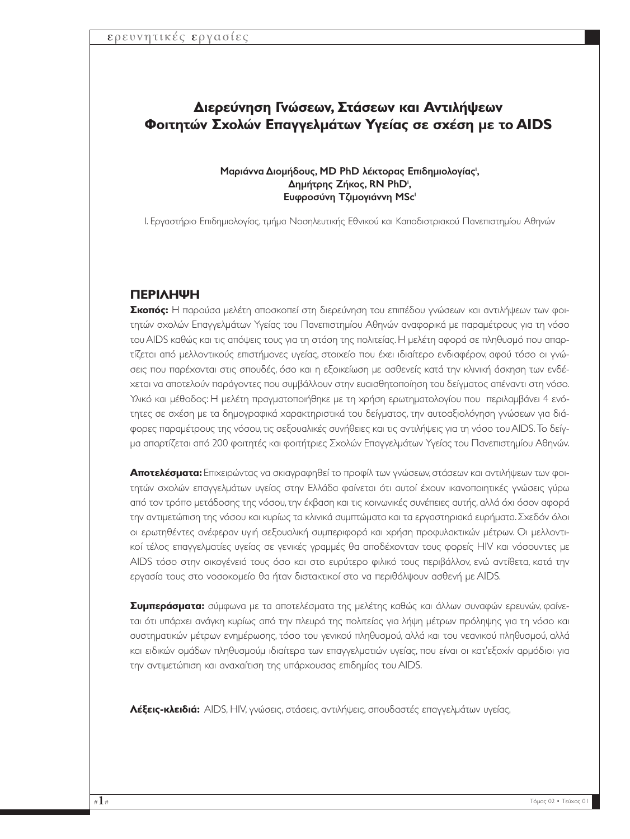## **∆ιερεύνηση Γνώσεων, Στάσεων και Αντιλήψεων Φοιτητών Σχολών Επαγγελµάτων Υγείας σε σχέση µε το AIDS**

#### Μαριάννα Διομήδους, MD PhD λέκτορας Επιδημιολογίας<sup>ι</sup>, Δημήτρης Ζήκος, RN PhD', Ευφροσύνη Τζιµογιάννη MSc1

1. Εργαστήριο Επιδηµιολογίας, τµήµα Νοσηλευτικής Εθνικού και Καποδιστριακού Πανεπιστηµίου Αθηνών

## **ΠΕΡΙΛΗΨΗ**

**Σκοπός:** Η παρούσα µελέτη αποσκοπεί στη διερεύνηση του επιπέδου γνώσεων και αντιλήψεων των φοιτητών σχολών Επαγγελµάτων Υγείας του Πανεπιστηµίου Αθηνών αναφορικά µε παραµέτρους για τη νόσο του AIDS καθώς και τις απόψεις τους για τη στάση της πολιτείας. Η µελέτη αφορά σε πληθυσµό που απαρτίζεται από µελλοντικούς επιστήµονες υγείας, στοιχείο που έχει ιδιαίτερο ενδιαφέρον, αφού τόσο οι γνώσεις που παρέχονται στις σπουδές, όσο και η εξοικείωση µε ασθενείς κατά την κλινική άσκηση των ενδέχεται να αποτελούν παράγοντες που συµβάλλουν στην ευαισθητοποίηση του δείγµατος απέναντι στη νόσο. Υλικό και µέθοδος: Η µελέτη πραγµατοποιήθηκε µε τη χρήση ερωτηµατολογίου που περιλαµβάνει 4 ενότητες σε σχέση µε τα δηµογραφικά χαρακτηριστικά του δείγµατος, την αυτοαξιολόγηση γνώσεων για διάφορες παραµέτρους της νόσου, τις σεξουαλικές συνήθειες και τις αντιλήψεις για τη νόσο του AIDS. Το δείγµα απαρτίζεται από 200 φοιτητές και φοιτήτριες Σχολών Επαγγελµάτων Υγείας του Πανεπιστηµίου Αθηνών.

**Αποτελέσµατα:** Επιχειρώντας να σκιαγραφηθεί το προφίλ των γνώσεων, στάσεων και αντιλήψεων των φοιτητών σχολών επαγγελµάτων υγείας στην Ελλάδα φαίνεται ότι αυτοί έχουν ικανοποιητικές γνώσεις γύρω από τον τρόπο µετάδοσης της νόσου, την έκβαση και τις κοινωνικές συνέπειες αυτής, αλλά όχι όσον αφορά την αντιµετώπιση της νόσου και κυρίως τα κλινικά συµπτώµατα και τα εργαστηριακά ευρήµατα. Σχεδόν όλοι οι ερωτηθέντες ανέφεραν υγιή σεξουαλική συµπεριφορά και χρήση προφυλακτικών µέτρων. Οι µελλοντικοί τέλος επαγγελµατίες υγείας σε γενικές γραµµές θα αποδέχονταν τους φορείς HIV και νόσουντες µε AIDS τόσο στην οικογένειά τους όσο και στο ευρύτερο φιλικό τους περιβάλλον, ενώ αντίθετα, κατά την εργασία τους στο νοσοκοµείο θα ήταν διστακτικοί στο να περιθάλψουν ασθενή µε AIDS.

**Συµπεράσµατα:** σύµφωνα µε τα αποτελέσµατα της µελέτης καθώς και άλλων συναφών ερευνών, φαίνεται ότι υπάρχει ανάγκη κυρίως από την πλευρά της πολιτείας για λήψη µέτρων πρόληψης για τη νόσο και συστηµατικών µέτρων ενηµέρωσης, τόσο του γενικού πληθυσµού, αλλά και του νεανικού πληθυσµού, αλλά και ειδικών οµάδων πληθυσµούµ ιδιαίτερα των επαγγελµατιών υγείας, που είναι οι κατ'εξοχίν αρµόδιοι για την αντιµετώπιση και αναχαίτιση της υπάρχουσας επιδηµίας του AIDS.

**Λέξεις-κλειδιά:** AIDS, HIV, γνώσεις, στάσεις, αντιλήψεις, σπουδαστές επαγγελµάτων υγείας,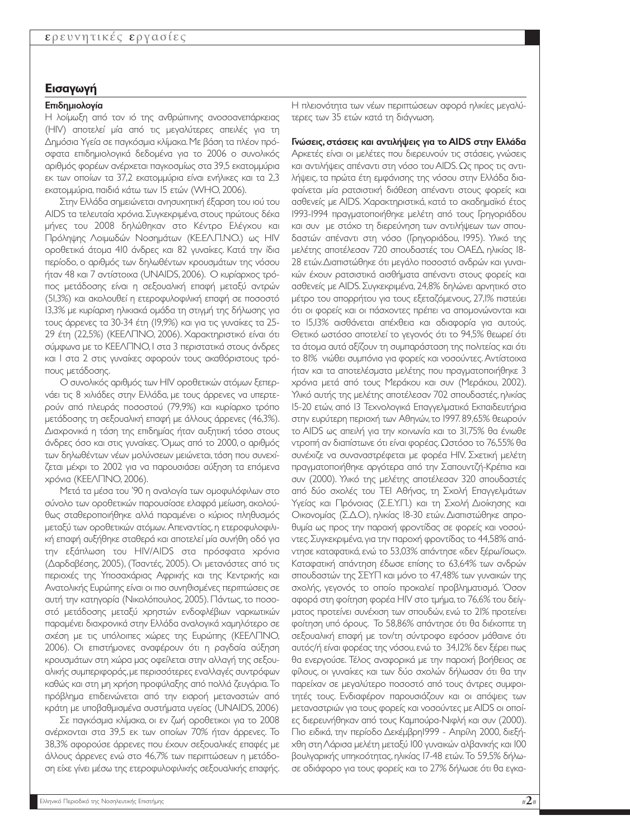## **Εισαγωγή**

#### Επιδηµιολογία

Η λοίµωξη από τον ιό της ανθρώπινης ανοσοανεπάρκειας (ΗΙV) αποτελεί µία από τις µεγαλύτερες απειλές για τη ∆ηµόσια Υγεία σε παγκόσµια κλίµακα.Με βάση τα πλέον πρόσφατα επιδηµιολογικά δεδοµένα για το 2006 ο συνολικός αριθµός φορέων ανέρχεται παγκοσµίως στα 39,5 εκατοµµύρια εκ των οποίων τα 37,2 εκατοµµύρια είναι ενήλικες και τα 2,3 εκατοµµύρια, παιδιά κάτω των 15 ετών (WHO, 2006).

Στην Ελλάδα σηµειώνεται ανησυχητική έξαρση του ιού του AIDS τα τελευταία χρόνια. Συγκεκριµένα, στους πρώτους δέκα µήνες του 2008 δηλώθηκαν στο Κέντρο Ελέγχου και Πρόληψης Λοιµωδών Νοσηµάτων (ΚΕ.ΕΛ.Π.ΝΟ.) ως HIV οροθετικά άτοµα 410 άνδρες και 82 γυναίκες. Κατά την ίδια περίοδο, ο αριθµός των δηλωθέντων κρουσµάτων της νόσου ήταν 48 και 7 αντίστοιχα (UNAIDS, 2006). Ο κυρίαρχος τρόπος µετάδοσης είναι η σεξουαλική επαφή µεταξύ αντρών (51,3%) και ακολουθεί η ετεροφυλοφιλική επαφή σε ποσοστό 13,3% µε κυρίαρχη ηλικιακά οµάδα τη στιγµή της δήλωσης για τους άρρενες τα 30-34 έτη (19,9%) και για τις γυναίκες τα 25- 29 έτη (22,5%) (ΚΕΕΛΠΝΟ, 2006). Χαρακτηριστικό είναι ότι σύµφωνα µε το ΚΕΕΛΠΝΟ, 1 στα 3 περιστατικά στους άνδρες και 1 στα 2 στις γυναίκες αφορούν τους ακαθόριστους τρόπους µετάδοσης.

Ο συνολικός αριθµός των ΗΙV οροθετικών ατόµων ξεπερνάει τις 8 χιλιάδες στην Ελλάδα, µε τους άρρενες να υπερτερούν από πλευράς ποσοστού (79,9%) και κυρίαρχο τρόπο µετάδοσης τη σεξουαλική επαφή µε άλλους άρρενες (46,3%). ∆ιαχρονικά η τάση της επιδηµίας ήταν αυξητική τόσο στους άνδρες όσο και στις γυναίκες. Όµως από το 2000, ο αριθµός των δηλωθέντων νέων µολύνσεων µειώνεται, τάση που συνεχίζεται µέχρι το 2002 για να παρουσιάσει αύξηση τα επόµενα χρόνια (ΚΕΕΛΠΝΟ, 2006).

Μετά τα µέσα του '90 η αναλογία των οµοφυλόφιλων στο σύνολο των οροθετικών παρουσίασε ελαφρά µείωση, ακολούθως σταθεροποιήθηκε αλλά παραµένει ο κύριος πληθυσµός µεταξύ των οροθετικών ατόµων. Απεναντίας, η ετεροφυλοφιλική επαφή αυξήθηκε σταθερά και αποτελεί µία συνήθη οδό για την εξάπλωση του HIV/AIDS στα πρόσφατα χρόνια (∆αρδαβέσης, 2005), (Τσαντές, 2005). Οι µετανάστες από τις περιοχές της Υποσαχάριας Αφρικής και της Κεντρικής και Ανατολικής Ευρώπης είναι οι πιο συνηθισµένες περιπτώσεις σε αυτή την κατηγορία (Νικολόπουλος, 2005). Πάντως, το ποσοστό µετάδοσης µεταξύ χρηστών ενδοφλέβιων ναρκωτικών παραµένει διαχρονικά στην Ελλάδα αναλογικά χαµηλότερο σε σχέση µε τις υπόλοιπες χώρες της Ευρώπης (ΚΕΕΛΠΝΟ, 2006). Οι επιστήµονες αναφέρουν ότι η ραγδαία αύξηση κρουσµάτων στη χώρα µας οφείλεται στην αλλαγή της σεξουαλικής συµπεριφοράς,µε περισσότερες εναλλαγές συντρόφων καθώς και στη µη χρήση προφύλαξης από πολλά ζευγάρια.Το πρόβληµα επιδεινώνεται από την εισροή µεταναστών από κράτη µε υποβαθµισµένα συστήµατα υγείας (UNAIDS, 2006)

Σε παγκόσµια κλίµακα, οι εν ζωή οροθετικοι για το 2008 ανέρχονται στα 39,5 εκ των οποίων 70% ήταν άρρενες. Το 38,3% αφορούσε άρρενες που έχουν σεξουαλικές επαφές µε άλλους άρρενες ενώ στο 46,7% των περιπτώσεων η µετάδοση είχε γίνει µέσω της ετεροφυλοφιλικής σεξουαλικής επαφής.

Η πλειονότητα των νέων περιπτώσεων αφορά ηλικίες µεγαλύτερες των 35 ετών κατά τη διάγνωση.

Γνώσεις, στάσεις και αντιλήψεις για το AIDS στην Ελλάδα Αρκετές είναι οι µελέτες που διερευνούν τις στάσεις, γνώσεις και αντιλήψεις απέναντι στη νόσο του AIDS. Ως προς τις αντιλήψεις, τα πρώτα έτη εµφάνισης της νόσου στην Ελλάδα διαφαίνεται µία ρατσιστική διάθεση απέναντι στους φορείς και ασθενείς µε AIDS. Χαρακτηριστικά, κατά το ακαδηµαϊκό έτος 1993-1994 πραγµατοποιήθηκε µελέτη από τους Γρηγοριάδου και συν µε στόχο τη διερεύνηση των αντιλήψεων των σπουδαστών απέναντι στη νόσο (Γρηγοριάδου, 1995). Υλικό της µελέτης αποτέλεσαν 720 σπουδαστές του ΟΑΕ∆, ηλικίας 18- 28 ετών.∆ιαπιστώθηκε ότι µεγάλο ποσοστό ανδρών και γυναικών έχουν ρατσιστικά αισθήµατα απέναντι στους φορείς και ασθενείς µε AIDS. Συγκεκριµένα, 24,8% δηλώνει αρνητικό στο µέτρο του απορρήτου για τους εξεταζόµενους, 27,1% πιστεύει ότι οι φορείς και οι πάσχοντες πρέπει να αποµονώνονται και το 15,13% αισθάνεται απέχθεια και αδιαφορία για αυτούς. Θετικό ωστόσο αποτελεί το γεγονός ότι το 94,5% θεωρεί ότι τα άτοµα αυτά αξίζουν τη συµπαράσταση της πολιτείας και ότι το 81% νιώθει συµπόνια για φορείς και νοσούντες. Αντίστοιχα ήταν και τα αποτελέσµατα µελέτης που πραγµατοποιήθηκε 3 χρόνια µετά από τους Μεράκου και συν (Μεράκου, 2002). Υλικό αυτής της µελέτης αποτέλεσαν 702 σπουδαστές, ηλικίας 15-20 ετών, από 13 Τεχνολογικά Επαγγελµατικά Εκπαιδευτήρια στην ευρύτερη περιοχή των Αθηνών, το 1997. 89,65% θεωρούν το AIDS ως απειλή για την κοινωνία και το 31,75% θα ένιωθε ντροπή αν διαπίστωνε ότι είναι φορέας.Ωστόσο το 76,55% θα συνέχιζε να συναναστρέφεται µε φορέα HIV. Σχετική µελέτη πραγµατοποιήθηκε αργότερα από την Σαπουντζή-Κρέπια και συν (2000). Υλικό της µελέτης αποτέλεσαν 320 σπουδαστές από δύο σχολές του ΤΕΙ Αθήνας, τη Σχολή Επαγγελµάτων Υγείας και Πρόνοιας (Σ.Ε.Υ.Π.) και τη Σχολή ∆ιοίκησης και Οικονοµίας (Σ.∆.Ο), ηλικίας 18-30 ετών. ∆ιαπιστώθηκε απροθυµία ως προς την παροχή φροντίδας σε φορείς και νοσούντες.Συγκεκριµένα,για την παροχή φροντίδας το 44,58% απάντησε καταφατικά, ενώ το 53,03% απάντησε «δεν ξέρω/ίσως». Καταφατική απάντηση έδωσε επίσης το 63,64% των ανδρών σπουδαστών της ΣΕΥΠ και µόνο το 47,48% των γυναικών της σχολής, γεγονός το οποίο προκαλεί προβληµατισµό. Όσον αφορά στη φοίτηση φορέα ΗΙV στο τµήµα,το 76,6% του δείγµατος προτείνει συνέχιση των σπουδών, ενώ το 21% προτείνει φοίτηση υπό όρους. Το 58,86% απάντησε ότι θα διέκοπτε τη σεξουαλική επαφή µε τον/τη σύντροφο εφόσον µάθαινε ότι αυτός/ή είναι φορέας της νόσου,ενώ το 34,12% δεν ξέρει πως θα ενεργούσε. Τέλος αναφορικά µε την παροχή βοήθειας σε φίλους, οι γυναίκες και των δύο σχολών δήλωσαν ότι θα την παρείχαν σε µεγαλύτερο ποσοστό από τους άντρες συµφοιτητές τους. Ενδιαφέρον παρουσιάζουν και οι απόψεις των µεταναστριών για τους φορείς και νοσούντες µε AIDS οι οποίες διερευνήθηκαν από τους Καµπούρα-Νιφλή και συν (2000). Πιο ειδικά, την περίοδο ∆εκέµβρη1999 - Απρίλη 2000, διεξήχθη στη Λάρισα µελέτη µεταξύ 100 γυναικών αλβανικής και 100 βουλγαρικής υπηκοότητας, ηλικίας 17-48 ετών. Το 59,5% δήλωσε αδιάφορο για τους φορείς και το 27% δήλωσε ότι θα εγκα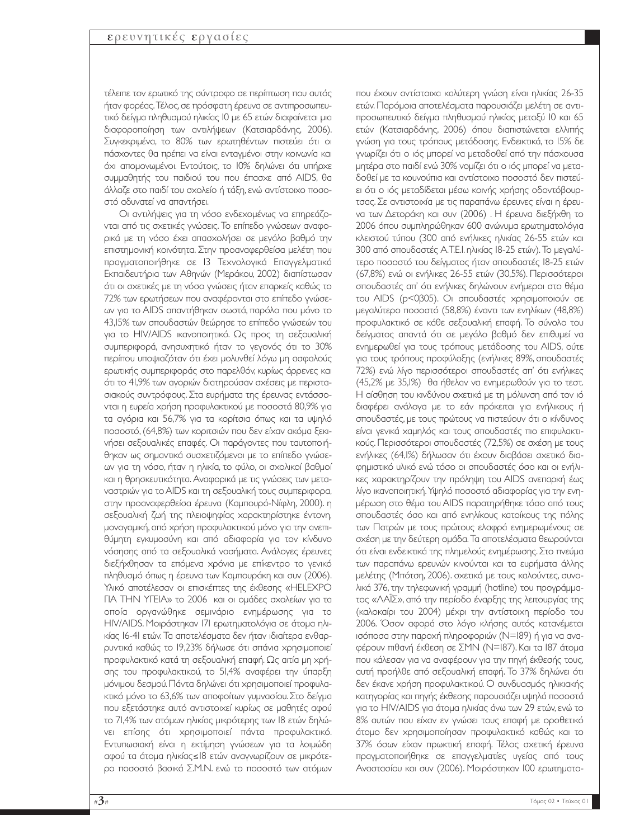τέλειπε τον ερωτικό της σύντροφο σε περίπτωση που αυτός ήταν φορέας.Τέλος,σε πρόσφατη έρευνα σε αντιπροσωπευτικό δείγµα πληθυσµού ηλικίας 10 µε 65 ετών διαφαίνεται µια διαφοροποίηση των αντιλήψεων (Κατσιαρδάνης, 2006). Συγκεκριµένα, το 80% των ερωτηθέντων πιστεύει ότι οι πάσχοντες θα πρέπει να είναι ενταγµένοι στην κοινωνία και όχι αποµονωµένοι. Εντούτοις, το 10% δηλώνει ότι υπήρχε συµµαθητής του παιδιού του που έπασχε από AIDS, θα άλλαζε στο παιδί του σχολείο ή τάξη, ενώ αντίστοιχο ποσοστό αδυνατεί να απαντήσει.

Οι αντιλήψεις για τη νόσο ενδεχοµένως να επηρεάζονται από τις σχετικές γνώσεις. Το επίπεδο γνώσεων αναφορικά µε τη νόσο έχει απασχολήσει σε µεγάλο βαθµό την επιστηµονική κοινότητα. Στην προαναφερθείσα µελέτη που πραγµατοποιήθηκε σε 13 Τεχνολογικά Επαγγελµατικά Εκπαιδευτήρια των Αθηνών (Μεράκου, 2002) διαπίστωσαν ότι οι σχετικές µε τη νόσο γνώσεις ήταν επαρκείς καθώς το 72% των ερωτήσεων που αναφέρονται στο επίπεδο γνώσεων για το AIDS απαντήθηκαν σωστά, παρόλο που µόνο το 43,15% των σπουδαστών θεώρησε το επίπεδο γνώσεών του για το HIV/AIDS ικανοποιητικό. Ως προς τη σεξουαλική συµπεριφορά, ανησυχητικό ήταν το γεγονός ότι το 30% περίπου υποψιαζόταν ότι έχει µολυνθεί λόγω µη ασφαλούς ερωτικής συµπεριφοράς στο παρελθόν, κυρίως άρρενες και ότι το 41,9% των αγοριών διατηρούσαν σχέσεις µε περιστασιακούς συντρόφους. Στα ευρήµατα της έρευνας εντάσσονται η ευρεία χρήση προφυλακτικού µε ποσοστά 80,9% για τα αγόρια και 56,7% για τα κορίτσια όπως και τα υψηλό ποσοστό, (64,8%) των κοριτσιών που δεν είχαν ακόµα ξεκινήσει σεξουαλικές επαφές. Οι παράγοντες που ταυτοποιήθηκαν ως σηµαντικά συσχετιζόµενοι µε το επίπεδο γνώσεων για τη νόσο, ήταν η ηλικία, το φύλο, οι σχολικοί βαθµοί και η θρησκευτικότητα. Αναφορικά µε τις γνώσεις των µεταναστριών για το AIDS και τη σεξουαλική τους συµπεριφορα, στην προαναφερθείσα έρευνα (Καµπουρά-Νίφλη, 2000). η σεξουαλική ζωή της πλειοψηφίας χαρακτηρίστηκε έντονη, µονογαµική, από χρήση προφυλακτικού µόνο για την ανεπιθύµητη εγκυµοσύνη και από αδιαφορία για τον κίνδυνο νόσησης από τα σεξουαλικά νοσήµατα. Ανάλογες έρευνες διεξήχθησαν τα επόµενα χρόνια µε επίκεντρο το γενικό πληθυσµό όπως η έρευνα των Καµπουράκη και συν (2006). Υλικό αποτέλεσαν οι επισκέπτες της έκθεσης «HELEXPO ΓΙΑ ΤΗΝ ΥΓΕΙΑ» το 2006 και οι οµάδες σχολείων για τα οποία οργανώθηκε σεµινάριο ενηµέρωσης για το HIV/AIDS. Μοιράστηκαν 171 ερωτηµατολόγια σε άτοµα ηλικίας 16-41 ετών. Τα αποτελέσµατα δεν ήταν ιδιαίτερα ενθαρρυντικά καθώς το 19,23% δήλωσε ότι σπάνια χρησιµοποιεί προφυλακτικό κατά τη σεξουαλική επαφή. Ως αιτία µη χρήσης του προφυλακτικού, το 51,4% αναφέρει την ύπαρξη µόνιµου δεσµού.Πάντα δηλώνει ότι χρησιµοποιεί προφυλακτικό µόνο το 63,6% των αποφοίτων γυµνασίου. Στο δείγµα που εξετάστηκε αυτό αντιστοιχεί κυρίως σε µαθητές αφού το 71,4% των ατόµων ηλικίας µικρότερης των 18 ετών δηλώνει επίσης ότι χρησιµοποιεί πάντα προφυλακτικό. Εντυπωσιακή είναι η εκτίµηση γνώσεων για τα λοιµώδη αφού τα άτοµα ηλικίας≤18 ετών αναγνωρίζουν σε µικρότερο ποσοστό βασικά Σ.Μ.Ν. ενώ το ποσοστό των ατόµων

που έχουν αντίστοιχα καλύτερη γνώση είναι ηλικίας 26-35 ετών. Παρόµοια αποτελέσµατα παρουσιάζει µελέτη σε αντιπροσωπευτικό δείγµα πληθυσµού ηλικίας µεταξύ 10 και 65 ετών (Κατσιαρδάνης, 2006) όπου διαπιστώνεται ελλιπής γνώση για τους τρόπους µετάδοσης. Ενδεικτικά, το 15% δε γνωρίζει ότι ο ιός µπορεί να µεταδοθεί από την πάσχουσα µητέρα στο παιδί ενώ 30% νοµίζει ότι ο ιός µπορεί να µεταδοθεί µε τα κουνούπια και αντίστοιχο ποσοστό δεν πιστεύει ότι ο ιός µεταδίδεται µέσω κοινής χρήσης οδοντόβουρτσας. Σε αντιστοιχία µε τις παραπάνω έρευνες είναι η έρευνα των ∆ετοράκη και συν (2006) . Η έρευνα διεξήχθη το 2006 όπου συµπληρώθηκαν 600 ανώνυµα ερωτηµατολόγια κλειστού τύπου (300 από ενήλικες ηλικίας 26-55 ετών και 300 από σπουδαστές Α.Τ.Ε.Ι. ηλικίας 18-25 ετών). Το µεγαλύτερο ποσοστό του δείγµατος ήταν σπουδαστές 18-25 ετών (67,8%) ενώ οι ενήλικες 26-55 ετών (30,5%). Περισσότεροι σπουδαστές απ' ότι ενήλικες δηλώνουν ενήµεροι στο θέµα του AIDS (p<0β05). Οι σπουδαστές χρησιµοποιούν σε µεγαλύτερο ποσοστό (58,8%) έναντι των ενηλίκων (48,8%) προφυλακτικό σε κάθε σεξουαλική επαφή. Το σύνολο του δείγµατος απαντά ότι σε µεγάλο βαθµό δεν επιθυµεί να ενηµερωθεί για τους τρόπους µετάδοσης του AIDS, ούτε για τους τρόπους προφύλαξης (ενήλικες 89%, σπουδαστές 72%) ενώ λίγο περισσότεροι σπουδαστές απ' ότι ενήλικες (45,2% µε 35,1%) θα ήθελαν να ενηµερωθούν για το τεστ. Η αίσθηση του κινδύνου σχετικά µε τη µόλυνση από τον ιό διαφέρει ανάλογα µε το εάν πρόκειται για ενήλικους ή σπουδαστές, µε τους πρώτους να πιστεύουν ότι ο κίνδυνος είναι γενικά χαµηλός και τους σπουδαστές πιο επιφυλακτικούς. Περισσότεροι σπουδαστές (72,5%) σε σχέση µε τους ενήλικες (64,1%) δήλωσαν ότι έχουν διαβάσει σχετικό διαφηµιστικό υλικό ενώ τόσο οι σπουδαστές όσο και οι ενήλικες χαρακτηρίζουν την πρόληψη του AIDS ανεπαρκή έως λίγο ικανοποιητική.Υψηλό ποσοστό αδιαφορίας για την ενηµέρωση στο θέµα του AIDS παρατηρήθηκε τόσο από τους σπουδαστές όσο και από ενηλίκους κατοίκους της πόλης των Πατρών µε τους πρώτους ελαφρά ενηµερωµένους σε σχέση µε την δεύτερη οµάδα.Τα αποτελέσµατα θεωρούνται ότι είναι ενδεικτικά της πληµελούς ενηµέρωσης. Στο πνεύµα των παραπάνω ερευνών κινούνται και τα ευρήµατα άλλης µελέτης (Μπότση, 2006). σχετικά µε τους καλούντες, συνολικά 376, την τηλεφωνική γραµµή (hotline) του προγράµµατος «ΛΑΪΣ», από την περίοδο έναρξης της λειτουργίας της (καλοκαίρι του 2004) µέχρι την αντίστοιχη περίοδο του 2006. Όσον αφορά στο λόγο κλήσης αυτός κατανέµεται ισόποσα στην παροχή πληροφοριών (Ν=189) ή για να αναφέρουν πιθανή έκθεση σε ΣΜΝ (Ν=187). Και τα 187 άτοµα που κάλεσαν για να αναφέρουν για την πηγή έκθεσής τους, αυτή προήλθε από σεξουαλική επαφή. Το 37% δηλώνει ότι δεν έκανε χρήση προφυλακτικού. Ο συνδυασµός ηλικιακής κατηγορίας και πηγής έκθεσης παρουσιάζει υψηλά ποσοστά για το HIV/AIDS για άτοµα ηλικίας άνω των 29 ετών, ενώ το 8% αυτών που είχαν εν γνώσει τους επαφή µε οροθετικό άτοµο δεν χρησιµοποίησαν προφυλακτικό καθώς και το 37% όσων είχαν πρωκτική επαφή. Τέλος σχετική έρευνα πραγµατοποιήθηκε σε επαγγελµατίες υγείας από τους Αναστασίου και συν (2006). Μοιράστηκαν 100 ερωτηµατο-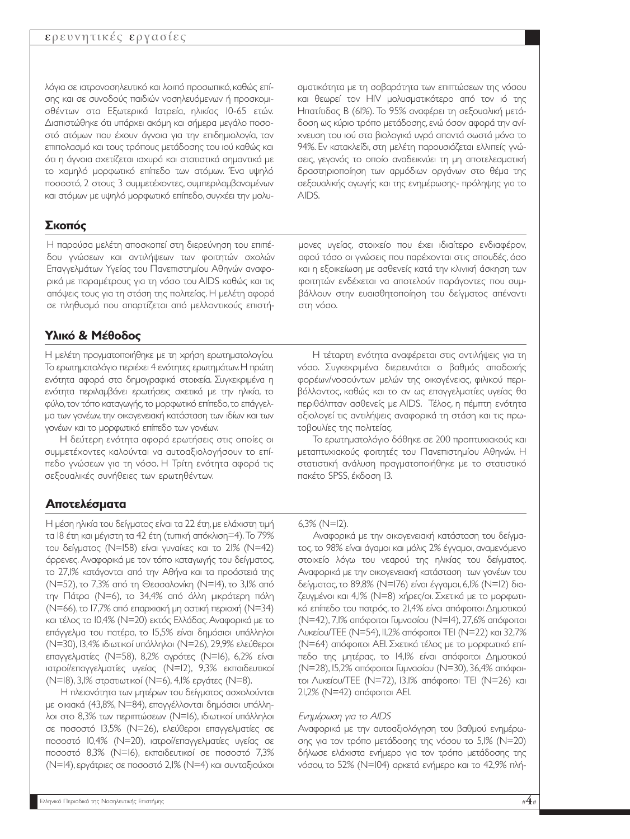#### ερευνητικές εργασίες

λόγια σε ιατρονοσηλευτικό και λοιπό προσωπικό,καθώς επίσης και σε συνοδούς παιδιών νοσηλευόµενων ή προσκοµισθέντων στα Εξωτερικά Ιατρεία, ηλικίας 10-65 ετών. ∆ιαπιστώθηκε ότι υπάρχει ακόµη και σήµερα µεγάλο ποσοστό ατόµων που έχουν άγνοια για την επιδηµιολογία, τον επιπολασµό και τους τρόπους µετάδοσης του ιού καθώς και ότι η άγνοια σχετίζεται ισχυρά και στατιστικά σηµαντικά µε το χαµηλό µορφωτικό επίπεδο των ατόµων. Ένα υψηλό ποσοστό, 2 στους 3 συµµετέχοντες, συµπεριλαµβανοµένων και ατόµων µε υψηλό µορφωτικό επίπεδο, συγχέει την µολυ-

## **Σκοπός**

Η παρούσα µελέτη αποσκοπεί στη διερεύνηση του επιπέδου γνώσεων και αντιλήψεων των φοιτητών σχολών Επαγγελµάτων Υγείας του Πανεπιστηµίου Αθηνών αναφορικά µε παραµέτρους για τη νόσο του AIDS καθώς και τις απόψεις τους για τη στάση της πολιτείας. Η µελέτη αφορά σε πληθυσµό που απαρτίζεται από µελλοντικούς επιστή-

## **Υλικό & Μέθοδος**

Η µελέτη πραγµατοποιήθηκε µε τη χρήση ερωτηµατολογίου. Το ερωτηµατολόγιο περιέχει 4 ενότητες ερωτηµάτων.Η πρώτη ενότητα αφορά στα δηµογραφικά στοιχεία. Συγκεκριµένα η ενότητα περιλαµβάνει ερωτήσεις σχετικά µε την ηλικία, το φύλο,τον τόπο καταγωγής,το µορφωτικό επίπεδο,το επάγγελµα των γονέων,την οικογενειακή κατάσταση των ιδίων και των γονέων και το µορφωτικό επίπεδο των γονέων.

Η δεύτερη ενότητα αφορά ερωτήσεις στις οποίες οι συµµετέχοντες καλούνται να αυτοαξιολογήσουν το επίπεδο γνώσεων για τη νόσο. Η Τρίτη ενότητα αφορά τις σεξουαλικές συνήθειες των ερωτηθέντων.

## **Αποτελέσµατα**

Η μέση ηλικία του δείγματος είναι τα 22 έτη, με ελάχιστη τιμή τα 18 έτη και µέγιστη τα 42 έτη (τυπική απόκλιση=4).Το 79% του δείγµατος (Ν=158) είναι γυναίκες και το 21% (Ν=42) άρρενες. Αναφορικά µε τον τόπο καταγωγής του δείγµατος, το 27,1% κατάγονται από την Αθήνα και τα προάστειά της (Ν=52), το 7,3% από τη Θεσσαλονίκη (Ν=14), το 3,1% από την Πάτρα (Ν=6), το 34,4% από άλλη µικρότερη πόλη (Ν=66),το 17,7% από επαρχιακή µη αστική περιοχή (Ν=34) και τέλος το 10,4% (Ν=20) εκτός Ελλάδας. Αναφορικά µε το επάγγελµα του πατέρα, το 15,5% είναι δηµόσιοι υπάλληλοι (Ν=30), 13,4% ιδιωτικοί υπάλληλοι (Ν=26), 29,9% ελεύθεροι επαγγελµατίες (Ν=58), 8,2% αγρότες (Ν=16), 6,2% είναι ιατροί/επαγγελµατίες υγείας (Ν=12), 9,3% εκπαιδευτικοί (Ν=18), 3,1% στρατιωτικοί (Ν=6), 4,1% εργάτες (Ν=8).

Η πλειονότητα των µητέρων του δείγµατος ασχολούνται µε οικιακά (43,8%, Ν=84), επαγγέλλονται δηµόσιοι υπάλληλοι στο 8,3% των περιπτώσεων (Ν=16), ιδιωτικοί υπάλληλοι σε ποσοστό 13,5% (Ν=26), ελεύθεροι επαγγελµατίες σε ποσοστό 10,4% (Ν=20), ιατροί/επαγγελµατίες υγείας σε ποσοστό 8,3% (Ν=16), εκπαιδευτικοί σε ποσοστό 7,3% (Ν=14),εργάτριες σε ποσοστό 2,1% (Ν=4) και συνταξιούχοι

σµατικότητα µε τη σοβαρότητα των επιπτώσεων της νόσου και θεωρεί τον HIV µολυσµατικότερο από τον ιό της Ηπατίτιδας Β (61%). Το 95% αναφέρει τη σεξουαλική µετάδοση ως κύριο τρόπο µετάδοσης,ενώ όσον αφορά την ανίχνευση του ιού στα βιολογικά υγρά απαντά σωστά µόνο το 94%. Εν κατακλείδι, στη µελέτη παρουσιάζεται ελλιπείς γνώσεις, γεγονός το οποίο αναδεικνύει τη µη αποτελεσµατική δραστηριοποίηση των αρµόδιων οργάνων στο θέµα της σεξουαλικής αγωγής και της ενηµέρωσης- πρόληψης για το AIDS.

µονες υγείας, στοιχείο που έχει ιδιαίτερο ενδιαφέρον, αφού τόσο οι γνώσεις που παρέχονται στις σπουδές, όσο και η εξοικείωση µε ασθενείς κατά την κλινική άσκηση των φοιτητών ενδέχεται να αποτελούν παράγοντες που συµβάλλουν στην ευαισθητοποίηση του δείγµατος απέναντι στη νόσο.

Η τέταρτη ενότητα αναφέρεται στις αντιλήψεις για τη νόσο. Συγκεκριµένα διερευνάται ο βαθµός αποδοχής φορέων/νοσούντων µελών της οικογένειας, φιλικού περιβάλλοντος, καθώς και το αν ως επαγγελµατίες υγείας θα περιθάλπταν ασθενείς µε AIDS. Τέλος, η πέµπτη ενότητα αξιολογεί τις αντιλήψεις αναφορικά τη στάση και τις πρωτοβουλίες της πολιτείας.

Το ερωτηµατολόγιο δόθηκε σε 200 προπτυχιακούς και µεταπτυχιακούς φοιτητές του Πανεπιστηµίου Αθηνών. Η στατιστική ανάλυση πραγµατοποιήθηκε µε το στατιστικό πακέτο SPSS, έκδοση 13.

#### 6,3% (Ν=12).

Αναφορικά µε την οικογενειακή κατάσταση του δείγµατος, το 98% είναι άγαµοι και µόλις 2% έγγαµοι, αναµενόµενο στοιχείο λόγω του νεαρού της ηλικίας του δείγµατος. Αναφορικά µε την οικογενειακή κατάσταση των γονέων του δείγµατος, το 89,8% (Ν=176) είναι έγγαµοι, 6,1% (Ν=12) διαζευγµένοι και 4,1% (Ν=8) χήρες/οι. Σχετικά µε το µορφωτικό επίπεδο του πατρός, το 21,4% είναι απόφοιτοι ∆ηµοτικού (Ν=42), 7,1% απόφοιτοι Γυµνασίου (Ν=14), 27,6% απόφοιτοι Λυκείου/ΤΕΕ (Ν=54),11,2% απόφοιτοι ΤΕΙ (Ν=22) και 32,7% (Ν=64) απόφοιτοι ΑΕΙ. Σχετικά τέλος µε το µορφωτικό επίπεδο της µητέρας, το 14,1% είναι απόφοιτοι ∆ηµοτικού (Ν=28), 15,2% απόφοιτοι Γυµνασίου (Ν=30), 36,4% απόφοιτοι Λυκείου/ΤΕΕ (Ν=72), 13,1% απόφοιτοι ΤΕΙ (Ν=26) και 21,2% (Ν=42) απόφοιτοι ΑΕΙ.

#### Ενηµέρωση για το AIDS

Αναφορικά µε την αυτοαξιολόγηση του βαθµού ενηµέρωσης για τον τρόπο µετάδοσης της νόσου το 5,1% (Ν=20) δήλωσε ελάχιστα ενήµερο για τον τρόπο µετάδοσης της νόσου, το 52% (Ν=104) αρκετά ενήµερο και το 42,9% πλή-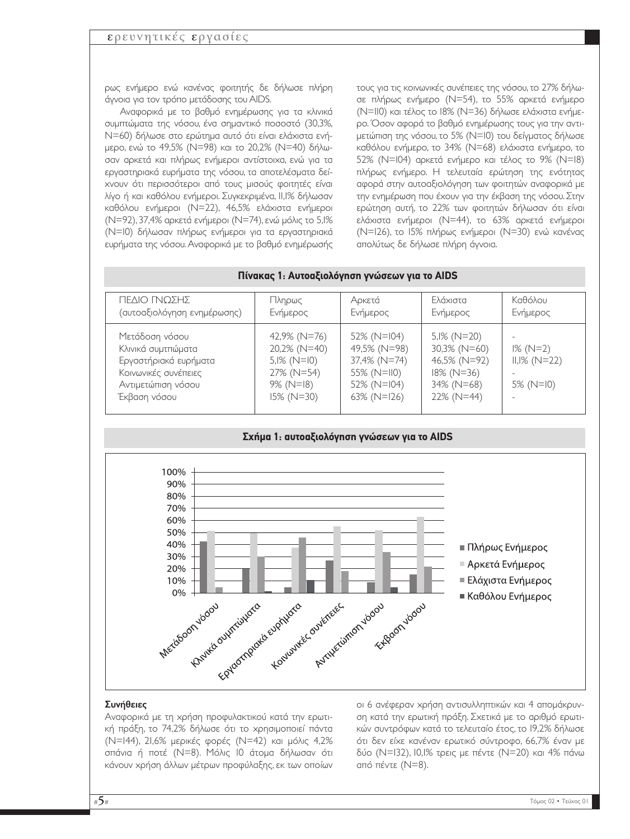ρως ενήµερο ενώ κανένας φοιτητής δε δήλωσε πλήρη άγνοια για τον τρόπο µετάδοσης του AIDS.

Αναφορικά µε το βαθµό ενηµέρωσης για τα κλινικά συµπτώµατα της νόσου, ένα σηµαντικό ποσοστό (30,3%, Ν=60) δήλωσε στο ερώτηµα αυτό ότι είναι ελάχιστα ενήµερο, ενώ το 49,5% (Ν=98) και το 20,2% (Ν=40) δήλωσαν αρκετά και πλήρως ενήµεροι αντίστοιχα, ενώ για τα εργαστηριακά ευρήµατα της νόσου, τα αποτελέσµατα δείχνουν ότι περισσότεροι από τους µισούς φοιτητές είναι λίγο ή και καθόλου ενήµεροι. Συγκεκριµένα, 11,1% δήλωσαν καθόλου ενήµεροι (Ν=22), 46,5% ελάχιστα ενήµεροι (Ν=92), 37,4% αρκετά ενήµεροι (Ν=74), ενώ µόλις το 5,1% (Ν=10) δήλωσαν πλήρως ενήµεροι για τα εργαστηριακά ευρήµατα της νόσου. Αναφορικά µε το βαθµό ενηµέρωσής τους για τις κοινωνικές συνέπειες της νόσου, το 27% δήλωσε πλήρως ενήµερο (Ν=54), το 55% αρκετά ενήµερο (Ν=110) και τέλος το 18% (Ν=36) δήλωσε ελάχιστα ενήµερο. Όσον αφορά το βαθµό ενηµέρωσης τους για την αντιµετώπιση της νόσου, το 5% (Ν=10) του δείγµατος δήλωσε καθόλου ενήµερο, το 34% (Ν=68) ελάχιστα ενήµερο, το 52% (Ν=104) αρκετά ενήµερο και τέλος το 9% (Ν=18) πλήρως ενήµερο. Η τελευταία ερώτηση της ενότητας αφορά στην αυτοαξιολόγηση των φοιτητών αναφορικά µε την ενηµέρωση που έχουν για την έκβαση της νόσου. Στην ερώτηση αυτή, το 22% των φοιτητών δήλωσαν ότι είναι ελάχιστα ενήµεροι (Ν=44), το 63% αρκετά ενήµεροι (Ν=126), το 15% πλήρως ενήµεροι (Ν=30) ενώ κανένας απολύτως δε δήλωσε πλήρη άγνοια.

| ΠΕΔΙΟ ΓΝΩΣΗΣ                                                                                                                | Πληρως                                                                                        | Αρκετά                                                                                   | Ελάχιστα                                                                                    | Καθόλου                                          |
|-----------------------------------------------------------------------------------------------------------------------------|-----------------------------------------------------------------------------------------------|------------------------------------------------------------------------------------------|---------------------------------------------------------------------------------------------|--------------------------------------------------|
| (αυτοαξιολόγηση ενημέρωσης)                                                                                                 | Ενήμερος                                                                                      | Ενήμερος                                                                                 | Ενήμερος                                                                                    | Ενήμερος                                         |
| Μετάδοση νόσου<br>Κλινικά συμτπώματα<br>Εργαστήριακά ευρήματα<br>Κοινωνικές συνέπειες<br>Αντιμετώπιση νόσου<br>Έκβαση νόσου | 42,9% (N=76)<br>20,2% (N=40)<br>$5,1\%$ (N=10)<br>27% (N=54)<br>$9\%$ (N=18)<br>$15\%$ (N=30) | 52% (N=104)<br>49,5% (N=98)<br>37,4% (N=74)<br>55% (N=II0)<br>52% (N=I04)<br>63% (N=I26) | $5,1\%$ (N=20)<br>30,3% (N=60)<br>46,5% (N=92)<br>$18\%$ (N=36)<br>34% (N=68)<br>22% (N=44) | $1\%$ (N=2)<br>$II, I\%$ (N=22)<br>5% ( $N=10$ ) |

#### **Πίνακας 1: Αυτοαξιολόγηση γνώσεων για το AIDS**



#### Συνήθειες

Αναφορικά µε τη χρήση προφυλακτικού κατά την ερωτική πράξη, το 74,2% δήλωσε ότι το χρησιµοποιεί πάντα (Ν=144), 21,6% µερικές φορές (Ν=42) και µόλις 4,2% σπάνια ή ποτέ (Ν=8). Μόλις 10 άτοµα δήλωσαν ότι κάνουν χρήση άλλων µέτρων προφύλαξης, εκ των οποίων

οι 6 ανέφεραν χρήση αντισυλληπτικών και 4 αποµάκρυνση κατά την ερωτική πράξη. Σχετικά µε το αριθµό ερωτικών συντρόφων κατά το τελευταίο έτος, το 19,2% δήλωσε ότι δεν είχε κανέναν ερωτικό σύντροφο, 66,7% έναν µε δύο (Ν=132), 10,1% τρεις µε πέντε (Ν=20) και 4% πάνω από πέντε (Ν=8).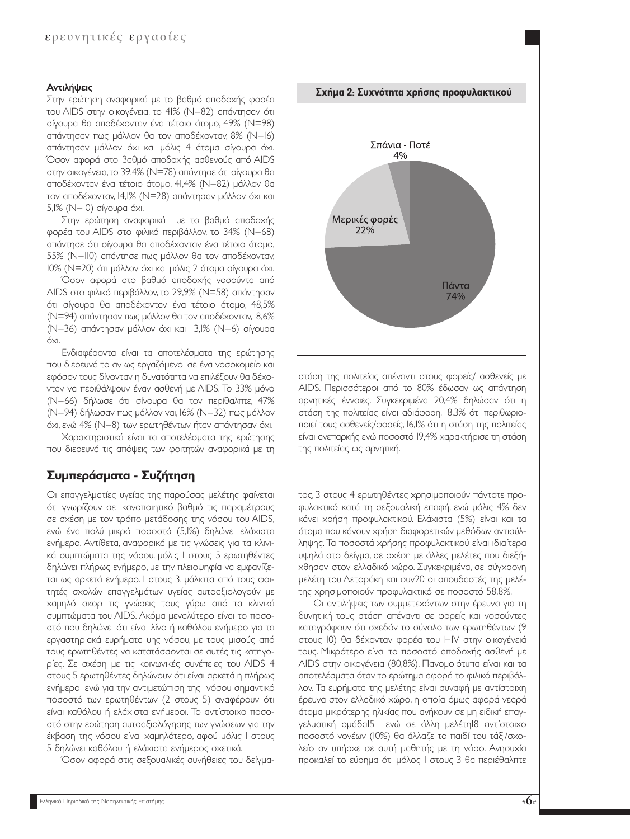#### Αντιλήψεις

Στην ερώτηση αναφορικά µε το βαθµό αποδοχής φορέα του AIDS στην οικογένεια, το 41% (Ν=82) απάντησαν ότι σίγουρα θα αποδέχονταν ένα τέτοιο άτοµο, 49% (Ν=98) απάντησαν πως µάλλον θα τον αποδέχονταν, 8% (Ν=16) απάντησαν µάλλον όχι και µόλις 4 άτοµα σίγουρα όχι. Όσον αφορά στο βαθµό αποδοχής ασθενούς από AIDS στην οικογένεια,το 39,4% (Ν=78) απάντησε ότι σίγουρα θα αποδέχονταν ένα τέτοιο άτοµο, 41,4% (Ν=82) µάλλον θα τον αποδέχονταν, 14,1% (Ν=28) απάντησαν µάλλον όχι και 5,1% (Ν=10) σίγουρα όχι.

Στην ερώτηση αναφορικά µε το βαθµό αποδοχής φορέα του AIDS στο φιλικό περιβάλλον, το 34% (Ν=68) απάντησε ότι σίγουρα θα αποδέχονταν ένα τέτοιο άτοµο, 55% (Ν=110) απάντησε πως µάλλον θα τον αποδέχονταν, 10% (Ν=20) ότι µάλλον όχι και µόλις 2 άτοµα σίγουρα όχι.

Όσον αφορά στο βαθµό αποδοχής νοσούντα από AIDS στο φιλικό περιβάλλον, το 29,9% (Ν=58) απάντησαν ότι σίγουρα θα αποδέχονταν ένα τέτοιο άτοµο, 48,5% (Ν=94) απάντησαν πως µάλλον θα τον αποδέχονταν,18,6% (Ν=36) απάντησαν µάλλον όχι και 3,1% (Ν=6) σίγουρα όχι.

Ενδιαφέροντα είναι τα αποτελέσµατα της ερώτησης που διερευνά το αν ως εργαζόµενοι σε ένα νοσοκοµείο και εφόσον τους δίνονταν η δυνατότητα να επιλέξουν θα δέχονταν να περιθάλψουν έναν ασθενή µε AIDS. Το 33% µόνο (Ν=66) δήλωσε ότι σίγουρα θα τον περίθαλπτε, 47% (Ν=94) δήλωσαν πως µάλλον ναι, 16% (Ν=32) πως µάλλον όχι, ενώ 4% (Ν=8) των ερωτηθέντων ήταν απάντησαν όχι.

Χαρακτηριστικά είναι τα αποτελέσµατα της ερώτησης που διερευνά τις απόψεις των φοιτητών αναφορικά µε τη

## **Συµπεράσµατα - Συζήτηση**

Οι επαγγελµατίες υγείας της παρούσας µελέτης φαίνεται ότι γνωρίζουν σε ικανοποιητικό βαθµό τις παραµέτρους σε σχέση µε τον τρόπο µετάδοσης της νόσου του AIDS, ενώ ένα πολύ µικρό ποσοστό (5,1%) δηλώνει ελάχιστα ενήµερο. Αντίθετα, αναφορικά µε τις γνώσεις για τα κλινικά συµπτώµατα της νόσου, µόλις 1 στους 5 ερωτηθέντες δηλώνει πλήρως ενήµερο, µε την πλειοψηφία να εµφανίζεται ως αρκετά ενήµερο. 1 στους 3, µάλιστα από τους φοιτητές σχολών επαγγελµάτων υγείας αυτοαξιολογούν µε χαµηλό σκορ τις γνώσεις τους γύρω από τα κλινικά συµπτώµατα του AIDS. Ακόµα µεγαλύτερο είναι το ποσοστό που δηλώνει ότι είναι λίγο ή καθόλου ενήµερο για τα εργαστηριακά ευρήµατα υης νόσου, µε τους µισούς από τους ερωτηθέντες να κατατάσσονται σε αυτές τις κατηγορίες. Σε σχέση µε τις κοινωνικές συνέπειες του AIDS 4 στους 5 ερωτηθέντες δηλώνουν ότι είναι αρκετά η πλήρως ενήµεροι ενώ για την αντιµετώπιση της νόσου σηµαντικό ποσοστό των ερωτηθέντων (2 στους 5) αναφέρουν ότι είναι καθόλου ή ελάχιστα ενήµεροι. Το αντίστοιχο ποσοστό στην ερώτηση αυτοαξιολόγησης των γνώσεων για την έκβαση της νόσου είναι χαµηλότερο, αφού µόλις 1 στους 5 δηλώνει καθόλου ή ελάχιστα ενήµερος σχετικά.

Όσον αφορά στις σεξουαλικές συνήθειες του δείγµα-



στάση της πολιτείας απέναντι στους φορείς/ ασθενείς µε AIDS. Περισσότεροι από το 80% έδωσαν ως απάντηση αρνητικές έννοιες. Συγκεκριµένα 20,4% δηλώσαν ότι η στάση της πολιτείας είναι αδιάφορη, 18,3% ότι περιθωριοποιεί τους ασθενείς/φορείς, 16,1% ότι η στάση της πολιτείας είναι ανεπαρκής ενώ ποσοστό 19,4% χαρακτήρισε τη στάση της πολιτείας ως αρνητική.

τος, 3 στους 4 ερωτηθέντες χρησιµοποιούν πάντοτε προφυλακτικό κατά τη σεξουαλική επαφή, ενώ µόλις 4% δεν κάνει χρήση προφυλακτικού. Ελάχιστα (5%) είναι και τα άτοµα που κάνουν χρήση διαφορετικών µεθόδων αντισύλληψης. Τα ποσοστά χρήσης προφυλακτικού είναι ιδιαίτερα υψηλά στο δείγµα, σε σχέση µε άλλες µελέτες που διεξήχθησαν στον ελλαδικό χώρο. Συγκεκριµένα, σε σύγχρονη µελέτη του ∆ετοράκη και συν20 οι σπουδαστές της µελέτης χρησιµοποιούν προφυλακτικό σε ποσοστό 58,8%.

Οι αντιλήψεις των συµµετεχόντων στην έρευνα για τη δυνητική τους στάση απέναντι σε φορείς και νοσούντες καταγράφουν ότι σχεδόν το σύνολο των ερωτηθέντων (9 στους 10) θα δέχονταν φορέα του HIV στην οικογένειά τους. Μικρότερο είναι το ποσοστό αποδοχής ασθενή µε AIDS στην οικογένεια (80,8%). Πανοµοιότυπα είναι και τα αποτελέσµατα όταν το ερώτηµα αφορά το φιλικό περιβάλλον. Τα ευρήµατα της µελέτης είναι συναφή µε αντίστοιχη έρευνα στον ελλαδικό χώρο, η οποία όµως αφορά νεαρά άτοµα µικρότερης ηλικίας που ανήκουν σε µη ειδική επαγγελµατική οµάδα15 ενώ σε άλλη µελέτη18 αντίστοιχο ποσοστό γονέων (10%) θα άλλαζε το παιδί του τάξι/σχολείο αν υπήρχε σε αυτή µαθητής µε τη νόσο. Ανησυχία προκαλεί το εύρηµα ότι µόλος 1 στους 3 θα περιέθαλπτε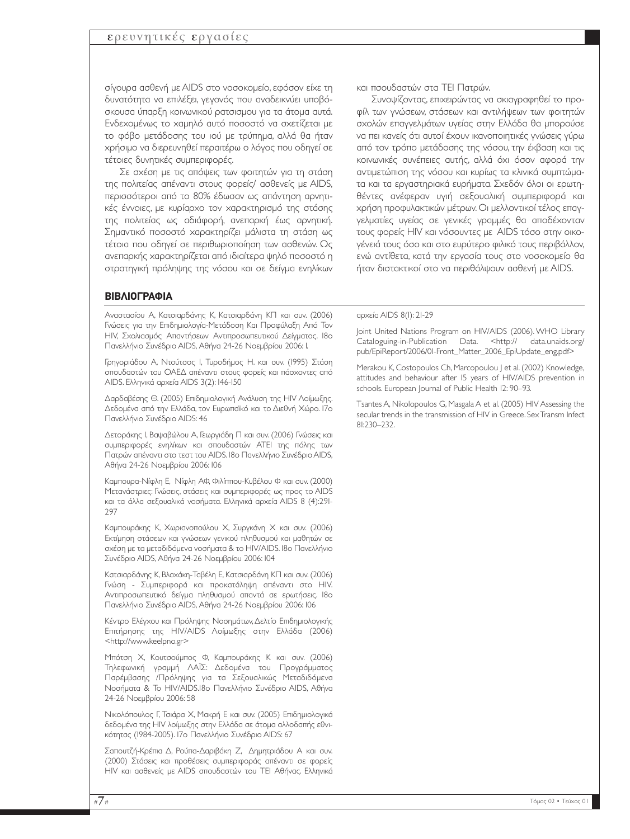σίγουρα ασθενή µε AIDS στο νοσοκοµείο, εφόσον είχε τη δυνατότητα να επιλέξει, γεγονός που αναδεικνύει υποβόσκουσα ύπαρξη κοινωνικού ρατσισµου για τα άτοµα αυτά. Ενδεχοµένως το χαµηλό αυτό ποσοστό να σχετίζεται µε το φόβο µετάδοσης του ιού µε τρύπηµα, αλλά θα ήταν χρήσιµο να διερευνηθεί περαιτέρω ο λόγος που οδηγεί σε τέτοιες δυνητικές συµπεριφορές.

Σε σχέση µε τις απόψεις των φοιτητών για τη στάση της πολιτείας απέναντι στους φορείς/ ασθενείς µε AIDS, περισσότεροι από το 80% έδωσαν ως απάντηση αρνητικές έννοιες, µε κυρίαρχο τον χαρακτηρισµό της στάσης της πολιτείας ως αδιάφορή, ανεπαρκή έως αρνητική. Σηµαντικό ποσοστό χαρακτηρίζει µάλιστα τη στάση ως τέτοια που οδηγεί σε περιθωριοποίηση των ασθενών. Ως ανεπαρκής χαρακτηρίζεται από ιδιαίτερα ψηλό ποσοστό η στρατηγική πρόληψης της νόσου και σε δείγµα ενηλίκων

#### **ΒΙΒΛΙΟΓΡΑΦΙΑ**

Αναστασίου Α, Κατσιαρδάνης Κ, Κατσιαρδάνη ΚΠ και συν. (2006) Γνώσεις για την Επιδηµιολογία-Μετάδοση Και Προφύλαξη Από Τον HIV, Σχολιασµός Απαντήσεων Αντιπροσωπευτικού ∆είγµατος. 18ο Πανελλήνιο Συνέδριο AIDS, Αθήνα 24-26 Νοεµβρίου 2006: 1.

Γρηγοριάδου Α, Ντούτσος Ι, Τυροδήµος Η. και συν. (1995) Στάση σπουδαστών του ΟΑΕ∆ απέναντι στους φορείς και πάσχοντες από AIDS. Ελληνικά αρχεία AIDS 3(2): 146-150

∆αρδαβέσης Θ. (2005) Επιδηµιολογική Ανάλυση της HIV Λοίµωξης. ∆εδοµένα από την Ελλάδα, τον Ευρωπαϊκό και το ∆ιεθνή Χώρο. 17ο Πανελλήνιο Συνέδριο AIDS: 46

∆ετοράκης Ι, Βαψαβώλου Α, Γεωργιάδη Π και συν. (2006) Γνώσεις και συµπεριφορές ενηλίκων και σπουδαστών ΑΤΕΙ της πόλης των Πατρών απέναντι στο τεστ του ΑIDS. 18ο Πανελλήνιο Συνέδριο AIDS, Αθήνα 24-26 Νοεµβρίου 2006: 106

Καµπουρα-Νίφλη Ε, Νίφλη ΑΦ, Φιλίππου-Κυβέλου Φ και συν. (2000) Μετανάστριες: Γνώσεις, στάσεις και συµπεριφορές ως προς το AIDS και τα άλλα σεξουαλικά νοσήµατα. Ελληνικά αρχεία AIDS 8 (4):291- 297

Καµπουράκης Κ, Χωριανοπούλου Χ, Συργκάνη Χ και συν. (2006) Εκτίµηση στάσεων και γνώσεων γενικού πληθυσµού και µαθητών σε σχέση µε τα µεταδιδόµενα νοσήµατα & το ΗΙV/AIDS. 18ο Πανελλήνιο Συνέδριο AIDS, Αθήνα 24-26 Νοεµβρίου 2006: 104

Κατσιαρδάνης Κ, Βλαχάκη-Ταβέλη Ε, Κατσιαρδάνη ΚΠ και συν. (2006) Γνώση - Συµπεριφορά και προκατάληψη απέναντι στο HIV. Αντιπροσωπευτικό δείγµα πληθυσµού απαντά σε ερωτήσεις. 18ο Πανελλήνιο Συνέδριο AIDS, Αθήνα 24-26 Νοεµβρίου 2006: 106

Κέντρο Ελέγχου και Πρόληψης Νοσηµάτων,∆ελτίο Επιδηµιολογικής Επιτήρησης της HIV/AIDS Λοίµωξης στην Ελλάδα (2006) <http://www.keelpno.gr>

Μπότση Χ, Κουτσούµπος Φ, Καµπουράκης Κ και συν. (2006) Τηλεφωνική γραµµή ΛΑΪΣ: ∆εδοµένα του Προγράµµατος Παρέµβασης /Πρόληψης για τα Σεξουαλικώς Μεταδιδόµενα Νοσήµατα & Το ΗΙV/AIDS.18ο Πανελλήνιο Συνέδριο AIDS, Αθήνα 24-26 Νοεµβρίου 2006: 58

Νικολόπουλος Γ, Τσιάρα Χ, Μακρή Ε και συν. (2005) Επιδηµιολογικά δεδοµένα της HIV λοίµωξης στην Ελλάδα σε άτοµα αλλοδαπής εθνικότητας (1984-2005). 17ο Πανελλήνιο Συνέδριο AIDS: 67

Σαπουτζή-Κρέπια ∆, Ρούπα-∆αριβάκη Ζ, ∆ηµητριάδου Α και συν. (2000) Στάσεις και προθέσεις συµπεριφοράς απέναντι σε φορείς HIV και ασθενείς µε AIDS σπουδαστών του ΤΕΙ Αθήνας. Ελληνικά και πσουδαστών στα ΤΕΙ Πατρών.

Συνοψίζοντας, επιχειρώντας να σκιαγραφηθεί το προφίλ των γνώσεων, στάσεων και αντιλήψεων των φοιτητών σχολών επαγγελµάτων υγείας στην Ελλάδα θα µπορούσε να πει κανείς ότι αυτοί έχουν ικανοποιητικές γνώσεις γύρω από τον τρόπο µετάδοσης της νόσου, την έκβαση και τις κοινωνικές συνέπειες αυτής, αλλά όχι όσον αφορά την αντιµετώπιση της νόσου και κυρίως τα κλινικά συµπτώµατα και τα εργαστηριακά ευρήµατα. Σχεδόν όλοι οι ερωτηθέντες ανέφεραν υγιή σεξουαλική συµπεριφορά και χρήση προφυλακτικών µέτρων. Οι µελλοντικοί τέλος επαγγελµατίες υγείας σε γενικές γραµµές θα αποδέχονταν τους φορείς HIV και νόσουντες µε AIDS τόσο στην οικογένειά τους όσο και στο ευρύτερο φιλικό τους περιβάλλον, ενώ αντίθετα, κατά την εργασία τους στο νοσοκοµείο θα ήταν διστακτικοί στο να περιθάλψουν ασθενή µε AIDS.

#### αρχεία AIDS 8(1): 21-29

Joint United Nations Program on HIV/AIDS (2006). WHO Library Cataloguing-in-Publication Data. <http:// data.unaids.org/ pub/EpiReport/2006/01-Front\_Matter\_2006\_EpiUpdate\_eng.pdf>

Merakou K, Costopoulos Ch, Marcopoulou J et al. (2002) Knowledge, attitudes and behaviour after 15 years of HIV/AIDS prevention in schools. European Journal of Public Health 12: 90–93.

Tsantes A, Nikolopoulos G, Masgala A et al. (2005) HIV Assessing the secular trends in the transmission of HIV in Greece. Sex Transm Infect 81:230–232.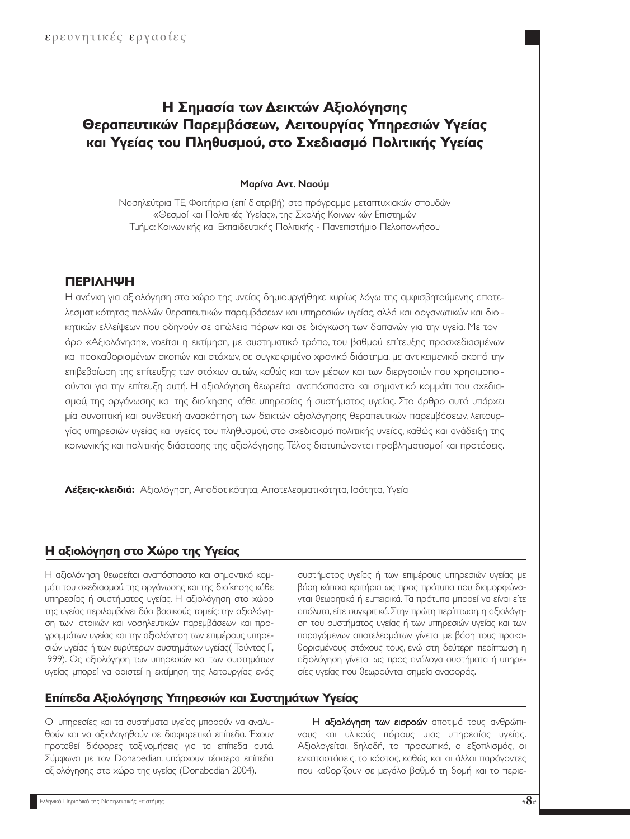# **Η Σηµασία των ∆εικτών Αξιολόγησης Θεραπευτικών Παρεµβάσεων, Λειτουργίας Υπηρεσιών Υγείας και Υγείας του Πληθυσµού, στο Σχεδιασµό Πολιτικής Υγείας**

#### Μαρίνα Αντ. Ναούµ

Νοσηλεύτρια ΤΕ, Φοιτήτρια (επί διατριβή) στο πρόγραµµα µεταπτυχιακών σπουδών «Θεσµοί και Πολιτικές Υγείας», της Σχολής Κοινωνικών Επιστηµών Τµήµα: Κοινωνικής και Εκπαιδευτικής Πολιτικής - Πανεπιστήµιο Πελοποννήσου

## **ΠΕΡΙΛΗΨΗ**

Η ανάγκη για αξιολόγηση στο χώρο της υγείας δηµιουργήθηκε κυρίως λόγω της αµφισβητούµενης αποτελεσµατικότητας πολλών θεραπευτικών παρεµβάσεων και υπηρεσιών υγείας, αλλά και οργανωτικών και διοικητικών ελλείψεων που οδηγούν σε απώλεια πόρων και σε διόγκωση των δαπανών για την υγεία. Με τον όρο «Αξιολόγηση», νοείται η εκτίµηση, µε συστηµατικό τρόπο, του βαθµού επίτευξης προσχεδιασµένων και προκαθορισµένων σκοπών και στόχων, σε συγκεκριµένο χρονικό διάστηµα, µε αντικειµενικό σκοπό την επιβεβαίωση της επίτευξης των στόχων αυτών, καθώς και των µέσων και των διεργασιών που χρησιµοποιούνται για την επίτευξη αυτή. Η αξιολόγηση θεωρείται αναπόσπαστο και σηµαντικό κοµµάτι του σχεδιασµού, της οργάνωσης και της διοίκησης κάθε υπηρεσίας ή συστήµατος υγείας. Στο άρθρο αυτό υπάρχει µία συνοπτική και συνθετική ανασκόπηση των δεικτών αξιολόγησης θεραπευτικών παρεµβάσεων, λειτουργίας υπηρεσιών υγείας και υγείας του πληθυσµού, στο σχεδιασµό πολιτικής υγείας, καθώς και ανάδειξη της κοινωνικής και πολιτικής διάστασης της αξιολόγησης. Τέλος διατυπώνονται προβληµατισµοί και προτάσεις.

**Λέξεις-κλειδιά:** Αξιολόγηση, Αποδοτικότητα, Αποτελεσµατικότητα, Ισότητα, Υγεία

## **Η αξιολόγηση στο Χώρο της Υγείας**

Η αξιολόγηση θεωρείται αναπόσπαστο και σηµαντικό κοµµάτι του σχεδιασµού,της οργάνωσης και της διοίκησης κάθε υπηρεσίας ή συστήµατος υγείας. Η αξιολόγηση στο χώρο της υγείας περιλαµβάνει δύο βασικούς τοµείς: την αξιολόγηση των ιατρικών και νοσηλευτικών παρεµβάσεων και προγραµµάτων υγείας και την αξιολόγηση των επιµέρους υπηρεσιών υγείας ή των ευρύτερων συστηµάτων υγείας( Τούντας Γ., 1999). Ως αξιολόγηση των υπηρεσιών και των συστηµάτων υγείας µπορεί να οριστεί η εκτίµηση της λειτουργίας ενός

συστήµατος υγείας ή των επιµέρους υπηρεσιών υγείας µε βάση κάποια κριτήρια ως προς πρότυπα που διαµορφώνονται θεωρητικά ή εµπειρικά. Τα πρότυπα µπορεί να είναι είτε απόλυτα, είτε συγκριτικά. Στην πρώτη περίπτωση, η αξιολόγηση του συστήµατος υγείας ή των υπηρεσιών υγείας και των παραγόµενων αποτελεσµάτων γίνεται µε βάση τους προκαθορισµένους στόχους τους, ενώ στη δεύτερη περίπτωση η αξιολόγηση γίνεται ως προς ανάλογα συστήµατα ή υπηρεσίες υγείας που θεωρούνται σηµεία αναφοράς.

## **Επίπεδα Αξιολόγησης Υπηρεσιών και Συστηµάτων Υγείας**

Οι υπηρεσίες και τα συστήµατα υγείας µπορούν να αναλυθούν και να αξιολογηθούν σε διαφορετικά επίπεδα. Έχουν προταθεί διάφορες ταξινοµήσεις για τα επίπεδα αυτά. Σύµφωνα µε τον Donabedian, υπάρχουν τέσσερα επίπεδα αξιολόγησης στο χώρο της υγείας (Donabedian 2004).

Η αξιολόγηση των εισροών αποτιµά τους ανθρώπινους και υλικούς πόρους µιας υπηρεσίας υγείας. Αξιολογείται, δηλαδή, το προσωπικό, ο εξοπλισµός, οι εγκαταστάσεις, το κόστος, καθώς και οι άλλοι παράγοντες που καθορίζουν σε µεγάλο βαθµό τη δοµή και το περιε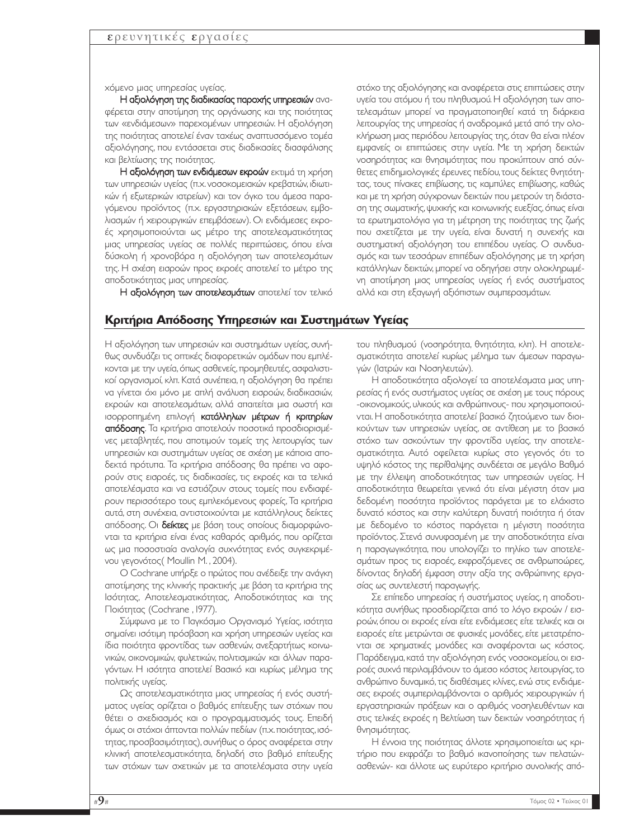χόµενο µιας υπηρεσίας υγείας.

Η αξιολόγηση της διαδικασίας παροχής υπηρεσιών αναφέρεται στην αποτίµηση της οργάνωσης και της ποιότητας των «ενδιάµεσων» παρεχοµένων υπηρεσιών. Η αξιολόγηση της ποιότητας αποτελεί έναν ταχέως αναπτυσσόµενο τοµέα αξιολόγησης, που εντάσσεται στις διαδικασίες διασφάλισης και βελτίωσης της ποιότητας.

Η αξιολόγηση των ενδιάµεσων εκροών εκτιµά τη χρήση των υπηρεσιών υγείας (π.χ. νοσοκοµειακών κρεβατιών, ιδιωτικών ή εξωτερικών ιατρείων) και τον όγκο του άµεσα παραγόµενου προϊόντος (π.χ. εργαστηριακών εξετάσεων, εµβολιασµών ή χειρουργικών επεµβάσεων). Οι ενδιάµεσες εκροές χρησιµοποιούνται ως µέτρο της αποτελεσµατικότητας µιας υπηρεσίας υγείας σε πολλές περιπτώσεις, όπου είναι δύσκολη ή χρονοβόρα η αξιολόγηση των αποτελεσµάτων της. Η σχέση εισροών προς εκροές αποτελεί το µέτρο της αποδοτικότητας µιας υπηρεσίας.

Η αξιολόγηση των αποτελεσµάτων αποτελεί τον τελικό

#### **Κριτήρια Απόδοσης Υπηρεσιών και Συστηµάτων Υγείας**

Η αξιολόγηση των υπηρεσιών και συστηµάτων υγείας, συνήθως συνδυάζει τις οπτικές διαφορετικών οµάδων που εµπλέκονται µε την υγεία,όπως ασθενείς,προµηθευτές,ασφαλιστικοί οργανισµοί, κλπ. Κατά συνέπεια, η αξιολόγηση θα πρέπει να γίνεται όχι µόνο µε απλή ανάλυση εισροών, διαδικασιών, εκροών και αποτελεσµάτων, αλλά απαιτείται µια σωστή και ισορροπηµένη επιλογή κατάλληλων µέτρων ή κριτηρίων απόδοσης. Τα κριτήρια αποτελούν ποσοτικά προσδιορισµένες µεταβλητές, που αποτιµούν τοµείς της λειτουργίας των υπηρεσιών και συστηµάτων υγείας σε σχέση µε κάποια αποδεκτά πρότυπα. Τα κριτήρια απόδοσης θα πρέπει να αφορούν στις εισροές, τις διαδικασίες, τις εκροές και τα τελικά αποτελέσµατα και να εστιάζουν στους τοµείς που ενδιαφέρουν περισσότερο τους εµπλεκόµενους φορείς, Τα κριτήρια αυτά, στη συνέχεια, αντιστοιχούνται µε κατάλληλους δείκτες απόδοσης. Οι δείκτες µε βάση τους οποίους διαµορφώνονται τα κριτήρια είναι ένας καθαρός αριθµός, που ορίζεται ως µια ποσοστιαία αναλογία συχνότητας ενός συγκεκριµένου γεγονότος( Moullin M. , 2004).

Ο Cochrane υπήρξε ο πρώτος που ανέδειξε την ανάγκη αποτίµησης της κλινικής πρακτικής ,µε βάση τα κριτήρια της Ισότητας, Αποτελεσµατικότητας, Αποδοτικότητας και της Ποιότητας (Cochrane , 1977).

Σύµφωνα µε το Παγκόσµιο Οργανισµό Υγείας, ισότητα σηµαίνει ισότιµη πρόσβαση και χρήση υπηρεσιών υγείας και ίδια ποιότητα φροντίδας των ασθενών, ανεξαρτήτως κοινωνικών, οικονοµικών, φυλετικών, πολιτισµικών και άλλων παραγόντων. Η ισότητα αποτελεί Βασικό και κυρίως µέληµα της πολιτικής υγείας.

Ως αποτελεσµατικότητα µιας υπηρεσίας ή ενός συστήµατος υγείας ορίζεται ο βαθµός επίτευξης των στόχων που θέτει ο σχεδιασµός και ο προγραµµατισµός τους. Επειδή όµως οι στόχοι άπτονται πολλών πεδίων (π.χ.ποιότητας,ισότητας,προσβασιµότητας),συνήθως ο όρος αναφέρεται στην κλινική αποτελεσµατικότητα, δηλαδή στο βαθµό επίτευξης των στόχων των σχετικών µε τα αποτελέσµατα στην υγεία

στόχο της αξιολόγησης και αναφέρεται στις επιπτώσεις στην υγεία του ατόµου ή του πληθυσµού. Η αξιολόγηση των αποτελεσµάτων µπορεί να πραγµατοποιηθεί κατά τη διάρκεια λειτουργίας της υπηρεσίας ή αναδροµικά µετά από την ολοκλήρωση µιας περιόδου λειτουργίας της,όταν θα είναι πλέον εµφανείς οι επιπτώσεις στην υγεία. Με τη χρήση δεικτών νοσηρότητας και θνησιµότητας που προκύπτουν από σύνθετες επιδηµιολογικές έρευνες πεδίου,τους δείκτες θνητότητας, τους πίνακες επιβίωσης, τις καµπύλες επιβίωσης, καθώς και µε τη χρήση σύγχρονων δεικτών που µετρούν τη διάσταση της σωµατικής,ψυχικής και κοινωνικής ευεξίας,όπως είναι τα ερωτηµατολόγια για τη µέτρηση της ποιότητας της ζωής που σχετίζεται µε την υγεία, είναι δυνατή η συνεχής και συστηµατική αξιολόγηση του επιπέδου υγείας. Ο συνδυασµός και των τεσσάρων επιπέδων αξιολόγησης µε τη χρήση κατάλληλων δεικτών, µπορεί να οδηγήσει στην ολοκληρωµένη αποτίµηση µιας υπηρεσίας υγείας ή ενός συστήµατος αλλά και στη εξαγωγή αξιόπιστων συµπερασµάτων.

του πληθυσµού (νοσηρότητα, θνητότητα, κλπ). Η αποτελεσµατικότητα αποτελεί κυρίως µέληµα των άµεσων παραγωγών (Ιατρών και Νοσηλευτών).

Η αποδοτικότητα αξιολογεί τα αποτελέσµατα µιας υπηρεσίας ή ενός συστήµατος υγείας σε σχέση µε τους πόρους -οικονοµικούς, υλικούς και ανθρώπινους- που χρησιµοποιούνται. Η αποδοτικότητα αποτελεί βασικό ζητούµενο των διοικούντων των υπηρεσιών υγείας, σε αντίθεση µε το βασικό στόχο των ασκούντων την φροντίδα υγείας, την αποτελεσµατικότητα. Αυτό οφείλεται κυρίως στο γεγονός ότι το υψηλό κόστος της περίθαλψης συνδέεται σε µεγάλο Βαθµό µε την έλλειψη αποδοτικότητας των υπηρεσιών υγείας. Η αποδοτικότητα θεωρείται γενικά ότι είναι µέγιστη όταν µια δεδοµένη ποσότητα προϊόντος παράγεται µε το ελάχιστο δυνατό κόστος και στην καλύτερη δυνατή ποιότητα ή όταν µε δεδοµένο το κόστος παράγεται η µέγιστη ποσότητα προϊόντος. Στενά συνυφασµένη µε την αποδοτικότητα είναι η παραγωγικότητα, που υπολογίζει το πηλίκο των αποτελεσµάτων προς τις εισροές, εκφραζόµενες σε ανθρωποώρες, δίνοντας δηλαδή έµφαση στην αξία της ανθρώπινης εργασίας ως συντελεστή παραγωγής.

Σε επίπεδο υπηρεσίας ή συστήµατος υγείας, η αποδοτικότητα συνήθως προσδιορίζεται από το λόγο εκροών / εισροών, όπου οι εκροές είναι είτε ενδιάµεσες είτε τελικές και οι εισροές είτε µετρώνται σε φυσικές µονάδες, είτε µετατρέπονται σε χρηµατικές µονάδες και αναφέρονται ως κόστος. Παράδειγµα, κατά την αξιολόγηση ενός νοσοκοµείου, οι εισροές συχνά περιλαµβάνουν το άµεσο κόστος λειτουργίας,το ανθρώπινο δυναµικό,τις διαθέσιµες κλίνες, ενώ στις ενδιάµεσες εκροές συµπεριλαµβάνονται ο αριθµός χειρουργικών ή εργαστηριακών πράξεων και ο αριθµός νοσηλευθέντων και στις τελικές εκροές η Βελτίωση των δεικτών νοσηρότητας ή θνησιµότητας.

Η έννοια της ποιότητας άλλοτε χρησιµοποιείται ως κριτήριο που εκφράζει το βαθµό ικανοποίησης των πελατώνασθενών- και άλλοτε ως ευρύτερο κριτήριο συνολικής από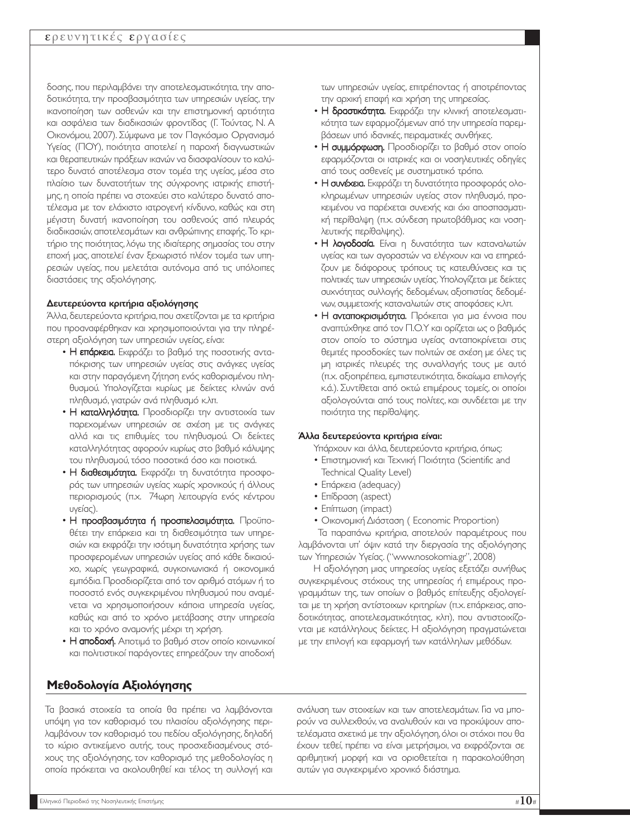δοσης, που περιλαµβάνει την αποτελεσµατικότητα, την αποδοτικότητα, την προσβασιµότητα των υπηρεσιών υγείας, την ικανοποίηση των ασθενών και την επιστηµονική αρτιότητα και ασφάλεια των διαδικασιών φροντίδας (Γ. Τούντας, Ν. Α Οικονόµου, 2007). Σύµφωνα µε τον Παγκόσµιο Οργανισµό Υγείας (ΠΟΥ), ποιότητα αποτελεί η παροχή διαγνωστικών και θεραπευτικών πράξεων ικανών να διασφαλίσουν το καλύτερο δυνατό αποτέλεσµα στον τοµέα της υγείας, µέσα στο πλαίσιο των δυνατοτήτων της σύγχρονης ιατρικής επιστήµης, η οποία πρέπει να στοχεύει στο καλύτερο δυνατό αποτέλεσµα µε τον ελάχιστο ιατρογενή κίνδυνο, καθώς και στη µέγιστη δυνατή ικανοποίηση του ασθενούς από πλευράς διαδικασιών, αποτελεσµάτων και ανθρώπινης επαφής. Το κριτήριο της ποιότητας,λόγω της ιδιαίτερης σηµασίας του στην εποχή µας, αποτελεί έναν ξεχωριστό πλέον τοµέα των υπηρεσιών υγείας, που µελετάται αυτόνοµα από τις υπόλοιπες διαστάσεις της αξιολόγησης.

#### ∆ευτερεύοντα κριτήρια αξιολόγησης

Άλλα, δευτερεύοντα κριτήρια, που σχετίζονται με τα κριτήρια που προαναφέρθηκαν και χρησιµοποιούνται για την πληρέστερη αξιολόγηση των υπηρεσιών υγείας, είναι:

- Η επάρκεια. Εκφράζει το βαθμό της ποσοτικής ανταπόκρισης των υπηρεσιών υγείας στις ανάγκες υγείας και στην παραγόµενη ζήτηση ενός καθορισµένου πληθυσµού. Υπολογίζεται κυρίως µε δείκτες κλινών ανά πληθυσµό, γιατρών ανά πληθυσµό κ.λπ.
- Η καταλληλότητα. Προσδιορίζει την αντιστοιχία των παρεχοµένων υπηρεσιών σε σχέση µε τις ανάγκες αλλά και τις επιθυµίες του πληθυσµού. Οι δείκτες καταλληλότητας αφορούν κυρίως στο βαθµό κάλυψης του πληθυσµού, τόσο ποσοτικά όσο και ποιοτικά.
- Η διαθεσιμότητα. Εκφράζει τη δυνατότητα προσφοράς των υπηρεσιών υγείας χωρίς χρονικούς ή άλλους περιορισµούς (π.χ. 74ωρη λειτουργία ενός κέντρου υγείας).
- Η προσβασιµότητα ή προσπελασιµότητα. Προϋποθέτει την επάρκεια και τη διαθεσιµότητα των υπηρεσιών και εκφράζει την ισότιµη δυνατότητα χρήσης των προσφεροµένων υπηρεσιών υγείας από κάθε δικαιούχο, χωρίς γεωγραφικά, συγκοινωνιακά ή οικονοµικά εµπόδια.Προσδιορίζεται από τον αριθµό ατόµων ή το ποσοστό ενός συγκεκριµένου πληθυσµού που αναµένεται να χρησιµοποιήσουν κάποια υπηρεσία υγείας, καθώς και από το χρόνο µετάβασης στην υπηρεσία και το χρόνο αναµονής µέχρι τη χρήση.
- Η αποδοχή. Αποτιμά το βαθμό στον οποίο κοινωνικοί και πολιτιστικοί παράγοντες επηρεάζουν την αποδοχή

#### των υπηρεσιών υγείας, επιτρέποντας ή αποτρέποντας την αρχική επαφή και χρήση της υπηρεσίας.

- Η δραστικότητα. Εκφράζει την κλινική αποτελεσματικότητα των εφαρµοζόµενων από την υπηρεσία παρεµβάσεων υπό ιδανικές, πειραµατικές συνθήκες.
- Η συμμόρφωση. Προσδιορίζει το βαθμό στον οποίο εφαρµόζονται οι ιατρικές και οι νοσηλευτικές οδηγίες από τους ασθενείς µε συστηµατικό τρόπο.
- Η συνέχεια. Εκφράζει τη δυνατότητα προσφοράς ολοκληρωµένων υπηρεσιών υγείας στον πληθυσµό, προκειµένου να παρέχεται συνεχής και όχι αποσπασµατική περίθαλψη (π.χ. σύνδεση πρωτοβάθµιας και νοσηλευτικής περίθαλψης).
- Η λογοδοσία. Είναι η δυνατότητα των καταναλωτών υγείας και των αγοραστών να ελέγχουν και να επηρεάζουν µε διάφορους τρόπους τις κατευθύνσεις και τις πολιτικές των υπηρεσιών υγείας.Υπολογίζεται µε δείκτες συχνότητας συλλογής δεδοµένων, αξιοπιστίας δεδοµένων, συµµετοχής καταναλωτών στις αποφάσεις κ.λπ.
- **Η ανταποκρισιμότητα.** Πρόκειται για μια έννοια που αναπτύχθηκε από τον Π.Ο.Υ και ορίζεται ως ο βαθµός στον οποίο το σύστηµα υγείας ανταποκρίνεται στις θεµιτές προσδοκίες των πολιτών σε σχέση µε όλες τις µη ιατρικές πλευρές της συναλλαγής τους µε αυτό (π.χ. αξιοπρέπεια, εµπιστευτικότητα, δικαίωµα επιλογής κ.ά.). Συντίθεται από οκτώ επιµέρους τοµείς, οι οποίοι αξιολογούνται από τους πολίτες, και συνδέεται µε την ποιότητα της περίθαλψης.

## Άλλα δευτερεύοντα κριτήρια είναι:

Υπάρχουν και άλλα, δευτερεύοντα κριτήρια, όπως:

- Επιστηµονική και Τεχνική Ποιότητα (Scientific and Technical Quality Level)
- Επάρκεια (adequacy)
- Επίδραση (aspect)
- Επίπτωση (impact)
- Οικονοµική ∆ιάσταση ( Economic Proportion)

Τα παραπάνω κριτήρια, αποτελούν παραµέτρους που λαµβάνονται υπ' όψιν κατά την διεργασία της αξιολόγησης των Υπηρεσιών Υγείας. ("www.nosokomia.gr", 2008)

Η αξιολόγηση µιας υπηρεσίας υγείας εξετάζει συνήθως συγκεκριµένους στόχους της υπηρεσίας ή επιµέρους προγραµµάτων της, των οποίων ο βαθµός επίτευξης αξιολογείται µε τη χρήση αντίστοιχων κριτηρίων (π.χ. επάρκειας, αποδοτικότητας, αποτελεσµατικότητας, κλπ), που αντιστοιχίζονται µε κατάλληλους δείκτες. Η αξιολόγηση πραγµατώνεται µε την επιλογή και εφαρµογή των κατάλληλων µεθόδων.

Τα βασικά στοιχεία τα οποία θα πρέπει να λαµβάνονται υπόψη για τον καθορισµό του πλαισίου αξιολόγησης περιλαµβάνουν τον καθορισµό του πεδίου αξιολόγησης, δηλαδή το κύριο αντικείµενο αυτής, τους προσχεδιασµένους στόχους της αξιολόγησης, τον καθορισµό της µεθοδολογίας η οποία πρόκειται να ακολουθηθεί και τέλος τη συλλογή και

ανάλυση των στοιχείων και των αποτελεσµάτων. Για να µπορούν να συλλεχθούν, να αναλυθούν και να προκύψουν αποτελέσµατα σχετικά µε την αξιολόγηση,όλοι οι στόχοι που θα έχουν τεθεί, πρέπει να είναι µετρήσιµοι, να εκφράζονται σε αριθµητική µορφή και να οριοθετείται η παρακολούθηση αυτών για συγκεκριµένο χρονικό διάστηµα.

**Μεθοδολογία Αξιολόγησης**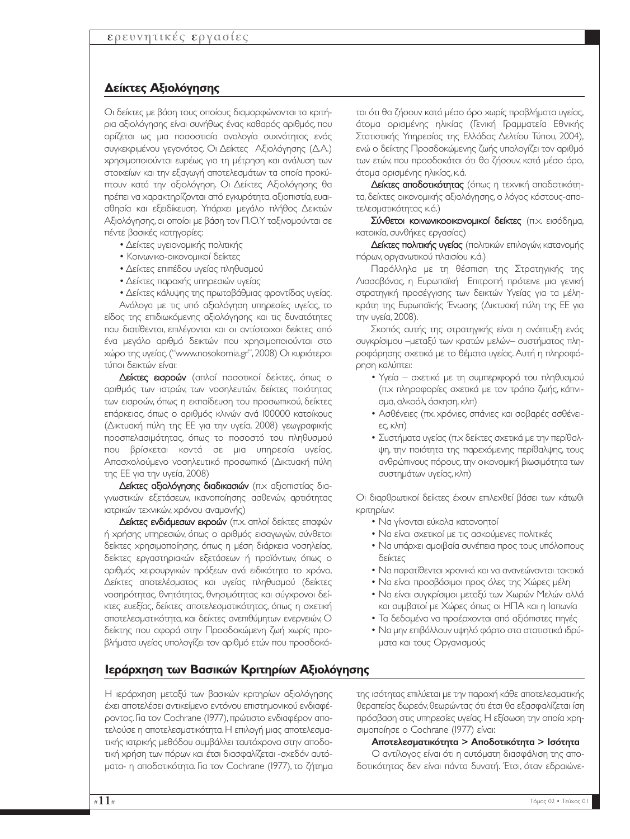## **∆είκτες Αξιολόγησης**

Οι δείκτες µε βάση τους οποίους διαµορφώνονται τα κριτήρια αξιολόγησης είναι συνήθως ένας καθαρός αριθµός, που ορίζεται ως µια ποσοστιαία αναλογία συχνότητας ενός συγκεκριµένου γεγονότος. Οι ∆είκτες Αξιολόγησης (∆.Α.) χρησιµοποιούνται ευρέως για τη µέτρηση και ανάλυση των στοιχείων και την εξαγωγή αποτελεσµάτων τα οποία προκύπτουν κατά την αξιολόγηση. Οι ∆είκτες Αξιολόγησης θα πρέπει να χαρακτηρίζονται από εγκυρότητα,αξιοπιστία,ευαισθησία και εξειδίκευση. Υπάρχει µεγάλο πλήθος ∆εικτών Αξιολόγησης,οι οποίοι µε βάση τον Π.Ο.Υ ταξινοµούνται σε πέντε βασικές κατηγορίες:

- ∆είκτες υγειονοµικής πολιτικής
- Κοινωνικο-οικονοµικοί δείκτες
- ∆είκτες επιπέδου υγείας πληθυσµού
- ∆είκτες παροχής υπηρεσιών υγείας
- ∆είκτες κάλυψης της πρωτοβάθµιας φροντίδας υγείας.

Ανάλογα µε τις υπό αξιολόγηση υπηρεσίες υγείας, το είδος της επιδιωκόµενης αξιολόγησης και τις δυνατότητες που διατίθενται, επιλέγονται και οι αντίστοιχοι δείκτες από ένα µεγάλο αριθµό δεικτών που χρησιµοποιούνται στο χώρο της υγείας.("www.nosokomia.gr",2008) Οι κυριότεροι τύποι δεικτών είναι:

∆είκτες εισροών (απλοί ποσοτικοί δείκτες, όπως ο αριθµός των ιατρών, των νοσηλευτών, δείκτες ποιότητας των εισροών, όπως η εκπαίδευση του προσωπικού, δείκτες επάρκειας, όπως ο αριθµός κλινών ανά 100000 κατοίκους (∆ικτυακή πύλη της ΕΕ για την υγεία, 2008) γεωγραφικής προσπελασιµότητας, όπως το ποσοστό του πληθυσµού που βρίσκεται κοντά σε µια υπηρεσία υγείας, Απασχολούµενο νοσηλευτικό προσωπικό (∆ικτυακή πύλη της ΕΕ για την υγεία, 2008)

∆είκτες αξιολόγησης διαδικασιών (π.χ αξιοπιστίας διαγνωστικών εξετάσεων, ικανοποίησης ασθενών, αρτιότητας ιατρικών τεχνικών, χρόνου αναµονής)

∆είκτες ενδιάµεσων εκροών (π.χ. απλοί δείκτες επαφών ή χρήσης υπηρεσιών, όπως ο αριθµός εισαγωγών, σύνθετοι δείκτες χρησιµοποίησης, όπως η µέση διάρκεια νοσηλείας, δείκτες εργαστηριακών εξετάσεων ή προϊόντων, όπως ο αριθµός χειρουργικών πράξεων ανά ειδικότητα το χρόνο, ∆είκτες αποτελέσµατος και υγείας πληθυσµού (δείκτες νοσηρότητας, θνητότητας, θνησιµότητας και σύγχρονοι δείκτες ευεξίας, δείκτες αποτελεσµατικότητας, όπως η σχετική αποτελεσµατικότητα, και δείκτες ανεπιθύµητων ενεργειών, Ο δείκτης που αφορά στην Προσδοκώµενη ζωή χωρίς προβλήµατα υγείας υπολογίζει τον αριθµό ετών που προσδοκά-

**Ιεράρχηση των Βασικών Κριτηρίων Αξιολόγησης**

Η ιεράρχηση µεταξύ των βασικών κριτηρίων αξιολόγησης έχει αποτελέσει αντικείµενο εντόνου επιστηµονικού ενδιαφέροντος. Για τον Cochrane (1977), πρώτιστο ενδιαφέρον αποτελούσε η αποτελεσµατικότητα.Η επιλογή µιας αποτελεσµατικής ιατρικής µεθόδου συµβάλλει ταυτόχρονα στην αποδοτική χρήση των πόρων και έτσι διασφαλίζεται -σχεδόν αυτόµατα- η αποδοτικότητα. Για τον Cochrane (1977), το ζήτηµα

ται ότι θα ζήσουν κατά µέσο όρο χωρίς προβλήµατα υγείας, άτοµα ορισµένης ηλικίας (Γενική Γραµµατεία Εθνικής Στατιστικής Υπηρεσίας της Ελλάδος ∆ελτίου Τύπου, 2004), ενώ ο δείκτης Προσδοκώµενης ζωής υπολογίζει τον αριθµό των ετών, που προσδοκάται ότι θα ζήσουν, κατά µέσο όρο, άτοµα ορισµένης ηλικίας, κ.ά.

∆είκτες αποδοτικότητας (όπως η τεχνική αποδοτικότητα, δείκτες οικονοµικής αξιολόγησης, ο λόγος κόστους-αποτελεσµατικότητας κ.ά.)

Σύνθετοι κοινωνικοοικονοµικοί δείκτες (π.χ. εισόδηµα, κατοικία, συνθήκες εργασίας)

Δείκτες πολιτικής υγείας (πολιτικών επιλογών, κατανομής πόρων, οργανωτικού πλαισίου κ.ά.)

Παράλληλα µε τη θέσπιση της Στρατηγικής της Λισσαβόνας, η Ευρωπαϊκή Επιτροπή πρότεινε µια γενική στρατηγική προσέγγισης των δεικτών Υγείας για τα µέληκράτη της Ευρωπαϊκής Ένωσης (∆ικτυακή πύλη της ΕΕ για την υγεία, 2008).

Σκοπός αυτής της στρατηγικής είναι η ανάπτυξη ενός συγκρίσιµου –µεταξύ των κρατών µελών– συστήµατος πληροφόρησης σχετικά µε το θέµατα υγείας. Αυτή η πληροφόρηση καλύπτει:

- Υγεία σχετικά µε τη συµπεριφορά του πληθυσµού (π.χ πληροφορίες σχετικά µε τον τρόπο ζωής, κάπνισµα, αλκοόλ, άσκηση, κλπ)
- Ασθένειες (πχ. χρόνιες, σπάνιες και σοβαρές ασθένειες, κλπ)
- Συστήµατα υγείας (π.χ δείκτες σχετικά µε την περίθαλψη, την ποιότητα της παρεχόµενης περίθαλψης, τους ανθρώπινους πόρους,την οικονοµική βιωσιµότητα των συστηµάτων υγείας, κλπ)

Οι διαρθρωτικοί δείκτες έχουν επιλεχθεί βάσει των κάτωθι κριτηρίων:

- Να γίνονται εύκολα κατανοητοί
- Να είναι σχετικοί µε τις ασκούµενες πολιτικές
- Να υπάρχει αµοιβαία συνέπεια προς τους υπόλοιπους δείκτες
- Να παρατίθενται χρονικά και να ανανεώνονται τακτικά
- Να είναι προσβάσιμοι προς όλες της Χώρες μέλη
- Να είναι συγκρίσιµοι µεταξύ των Χωρών Μελών αλλά και συµβατοί µε Χώρες όπως οι ΗΠΑ και η Ιαπωνία
- Τα δεδοµένα να προέρχονται από αξιόπιστες πηγές
- Να µην επιβάλλουν υψηλό φόρτο στα στατιστικά ιδρύµατα και τους Οργανισµούς

της ισότητας επιλύεται µε την παροχή κάθε αποτελεσµατικής θεραπείας δωρεάν,θεωρώντας ότι έτσι θα εξασφαλίζεται ίση πρόσβαση στις υπηρεσίες υγείας.Η εξίσωση την οποία χρησιµοποίησε ο Cochrane (1977) είναι:

#### Αποτελεσµατικότητα > Αποδοτικότητα > Ισότητα

Ο αντίλογος είναι ότι η αυτόµατη διασφάλιση της αποδοτικότητας δεν είναι πάντα δυνατή. Έτσι, όταν εδραιώνε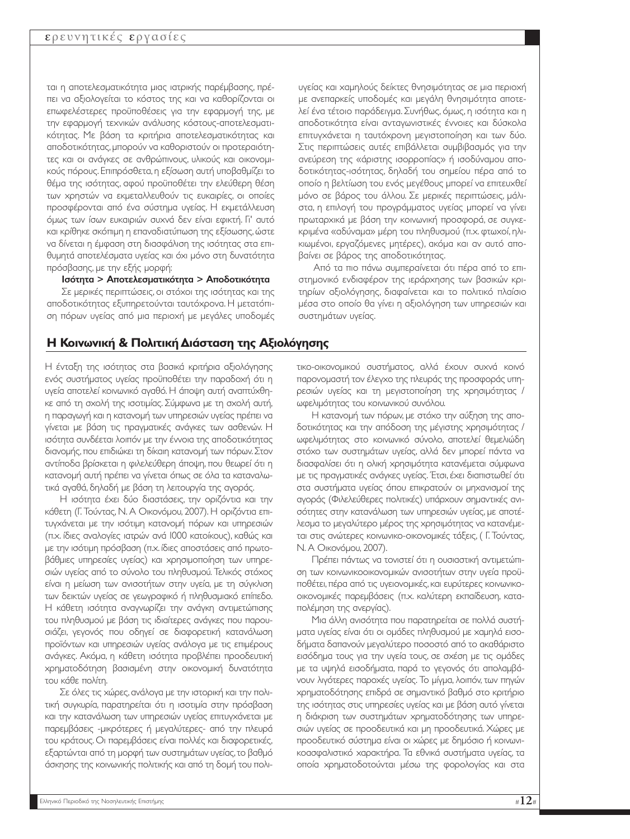ται η αποτελεσµατικότητα µιας ιατρικής παρέµβασης, πρέπει να αξιολογείται το κόστος της και να καθορίζονται οι επωφελέστερες προϋποθέσεις για την εφαρµογή της, µε την εφαρµογή τεχνικών ανάλυσης κόστους-αποτελεσµατικότητας. Με βάση τα κριτήρια αποτελεσµατικότητας και αποδοτικότητας,µπορούν να καθοριστούν οι προτεραιότητες και οι ανάγκες σε ανθρώπινους, υλικούς και οικονοµικούς πόρους. Επιπρόσθετα, η εξίσωση αυτή υποβαθµίζει το θέµα της ισότητας, αφού προϋποθέτει την ελεύθερη θέση των χρηστών να εκµεταλλευθούν τις ευκαιρίες, οι οποίες προσφέρονται από ένα σύστηµα υγείας. Η εκµετάλλευση όµως των ίσων ευκαιριών συχνά δεν είναι εφικτή. Γι' αυτό και κρίθηκε σκόπιµη η επαναδιατύπωση της εξίσωσης,ώστε να δίνεται η έµφαση στη διασφάλιση της ισότητας στα επιθυµητά αποτελέσµατα υγείας και όχι µόνο στη δυνατότητα πρόσβασης, µε την εξής µορφή:

Ισότητα > Αποτελεσµατικότητα > Αποδοτικότητα

Σε µερικές περιπτώσεις, οι στόχοι της ισότητας και της αποδοτικότητας εξυπηρετούνται ταυτόχρονα. Η µετατόπιση πόρων υγείας από µια περιοχή µε µεγάλες υποδοµές

## **H Κοινωνική & Πολιτική ∆ιάσταση της Αξιολόγησης**

Η ένταξη της ισότητας στα βασικά κριτήρια αξιολόγησης ενός συστήµατος υγείας προϋποθέτει την παραδοχή ότι η υγεία αποτελεί κοινωνικό αγαθό. Η άποψη αυτή αναπτύχθηκε από τη σχολή της ισοτιµίας. Σύµφωνα µε τη σχολή αυτή, η παραγωγή και η κατανοµή των υπηρεσιών υγείας πρέπει να γίνεται µε βάση τις πραγµατικές ανάγκες των ασθενών. Η ισότητα συνδέεται λοιπόν µε την έννοια της αποδοτικότητας διανοµής, που επιδιώκει τη δίκαιη κατανοµή των πόρων. Στον αντίποδα βρίσκεται η φιλελεύθερη άποψη, που θεωρεί ότι η κατανοµή αυτή πρέπει να γίνεται όπως σε όλα τα καταναλωτικά αγαθά, δηλαδή µε βάση τη λειτουργία της αγοράς.

Η ισότητα έχει δύο διαστάσεις, την οριζόντια και την κάθετη (Γ. Τούντας, Ν. Α Οικονόµου, 2007). Η οριζόντια επιτυγχάνεται µε την ισότιµη κατανοµή πόρων και υπηρεσιών (π.χ. ίδιες αναλογίες ιατρών ανά 1000 κατοίκους), καθώς και µε την ισότιµη πρόσβαση (π.χ. ίδιες αποστάσεις από πρωτοβάθµιες υπηρεσίες υγείας) και χρησιµοποίηση των υπηρεσιών υγείας από το σύνολο του πληθυσµού. Τελικός στόχος είναι η µείωση των ανισοτήτων στην υγεία, µε τη σύγκλιση των δεικτών υγείας σε γεωγραφικό ή πληθυσµιακό επίπεδο. Η κάθετη ισότητα αναγνωρίζει την ανάγκη αντιµετώπισης του πληθυσµού µε βάση τις ιδιαίτερες ανάγκες που παρουσιάζει, γεγονός που οδηγεί σε διαφορετική κατανάλωση προϊόντων και υπηρεσιών υγείας ανάλογα µε τις επιµέρους ανάγκες. Ακόµα, η κάθετη ισότητα προβλέπει προοδευτική χρηµατοδότηση βασισµένη στην οικονοµική δυνατότητα του κάθε πολίτη.

Σε όλες τις χώρες,ανάλογα µε την ιστορική και την πολιτική συγκυρία, παρατηρείται ότι η ισοτιμία στην πρόσβαση και την κατανάλωση των υπηρεσιών υγείας επιτυγχάνεται µε παρεµβάσεις -µικρότερες ή µεγαλύτερες- από την πλευρά του κράτους. Οι παρεµβάσεις είναι πολλές και διαφορετικές, εξαρτώνται από τη µορφή των συστηµάτων υγείας,το βαθµό άσκησης της κοινωνικής πολιτικής και από τη δοµή του πολιυγείας και χαµηλούς δείκτες θνησιµότητας σε µια περιοχή µε ανεπαρκείς υποδοµές και µεγάλη θνησιµότητα αποτελεί ένα τέτοιο παράδειγµα. Συνήθως, όµως, η ισότητα και η αποδοτικότητα είναι ανταγωνιστικές έννοιες και δύσκολα επιτυγχάνεται η ταυτόχρονη µεγιστοποίηση και των δύο. Στις περιπτώσεις αυτές επιβάλλεται συµβιβασµός για την ανεύρεση της «άριστης ισορροπίας» ή ισοδύναµου αποδοτικότητας-ισότητας, δηλαδή του σηµείου πέρα από το οποίο η βελτίωση του ενός µεγέθους µπορεί να επιτευχθεί µόνο σε βάρος του άλλου. Σε µερικές περιπτώσεις, µάλιστα, η επιλογή του προγράµµατος υγείας µπορεί να γίνει πρωταρχικά µε βάση την κοινωνική προσφορά, σε συγκεκριµένα «αδύναµα» µέρη του πληθυσµού (π.χ. φτωχοί, ηλικιωµένοι, εργαζόµενες µητέρες), ακόµα και αν αυτό αποβαίνει σε βάρος της αποδοτικότητας.

Από τα πιο πάνω συµπεραίνεται ότι πέρα από το επιστηµονικό ενδιαφέρον της ιεράρχησης των βασικών κριτηρίων αξιολόγησης, διαφαίνεται και το πολιτικό πλαίσιο µέσα στο οποίο θα γίνει η αξιολόγηση των υπηρεσιών και συστηµάτων υγείας.

τικο-οικονοµικού συστήµατος, αλλά έχουν συχνά κοινό παρονοµαστή τον έλεγχο της πλευράς της προσφοράς υπηρεσιών υγείας και τη µεγιστοποίηση της χρησιµότητας / ωφελιµότητας του κοινωνικού συνόλου.

Η κατανοµή των πόρων, µε στόχο την αύξηση της αποδοτικότητας και την απόδοση της µέγιστης χρησιµότητας / ωφελιµότητας στο κοινωνικό σύνολο, αποτελεί θεµελιώδη στόχο των συστηµάτων υγείας, αλλά δεν µπορεί πάντα να διασφαλίσει ότι η ολική χρησιµότητα κατανέµεται σύµφωνα µε τις πραγµατικές ανάγκες υγείας. Έτσι, έχει διαπιστωθεί ότι στα συστήµατα υγείας όπου επικρατούν οι µηχανισµοί της αγοράς (Φιλελεύθερες πολιτικές) υπάρχουν σηµαντικές ανισότητες στην κατανάλωση των υπηρεσιών υγείας, µε αποτέλεσµα το µεγαλύτερο µέρος της χρησιµότητας να κατανέµεται στις ανώτερες κοινωνικο-οικονοµικές τάξεις, ( Γ. Τούντας, Ν. Α Οικονόµου, 2007).

Πρέπει πάντως να τονιστεί ότι η ουσιαστική αντιµετώπιση των κοινωνικοοικονοµικών ανισοτήτων στην υγεία προϋποθέτει, πέρα από τις υγειονοµικές, και ευρύτερες κοινωνικοοικονοµικές παρεµβάσεις (π.χ. καλύτερη εκπαίδευση, καταπολέµηση της ανεργίας).

Μια άλλη ανισότητα που παρατηρείται σε πολλά συστήµατα υγείας είναι ότι οι οµάδες πληθυσµού µε χαµηλά εισοδήµατα δαπανούν µεγαλύτερο ποσοστό από το ακαθάριστο εισόδηµα τους για την υγεία τους, σε σχέση µε τις οµάδες µε τα υψηλά εισοδήµατα, παρά το γεγονός ότι απολαµβάνουν λιγότερες παροχές υγείας. Το µίγµα, λοιπόν, των πηγών χρηµατοδότησης επιδρά σε σηµαντικό βαθµό στο κριτήριο της ισότητας στις υπηρεσίες υγείας και µε βάση αυτό γίνεται η διάκριση των συστηµάτων χρηµατοδότησης των υπηρεσιών υγείας σε προοδευτικά και µη προοδευτικά. Χώρες µε προοδευτικό σύστηµα είναι οι χώρες µε δηµόσιο ή κοινωνικοασφαλιστικό χαρακτήρα. Τα εθνικά συστήµατα υγείας, τα οποία χρηµατοδοτούνται µέσω της φορολογίας και στα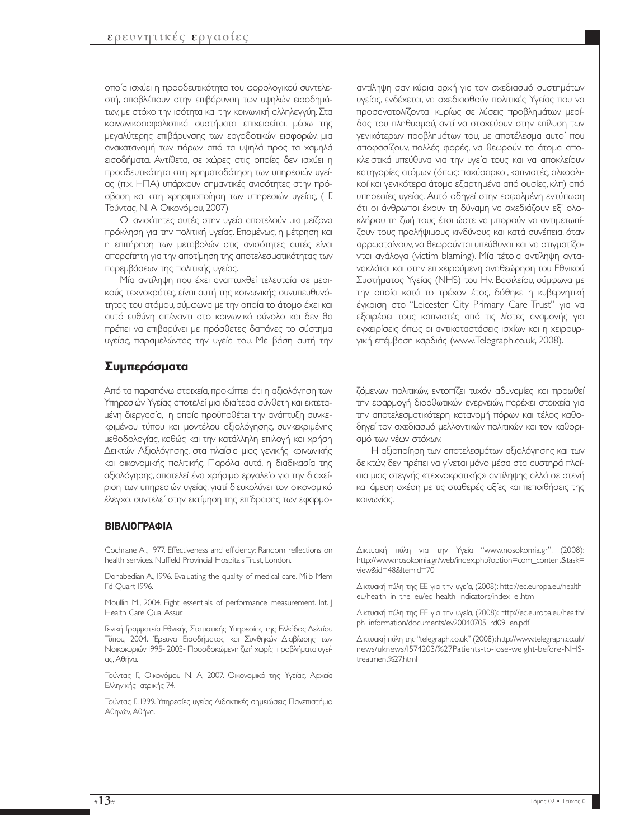οποία ισχύει η προοδευτικότητα του φορολογικού συντελεστή, αποβλέπουν στην επιβάρυνση των υψηλών εισοδηµάτων, µε στόχο την ισότητα και την κοινωνική αλληλεγγύη. Στα κοινωνικοασφαλιστικά συστήµατα επιχειρείται, µέσω της µεγαλύτερης επιβάρυνσης των εργοδοτικών εισφορών, µια ανακατανοµή των πόρων από τα υψηλά προς τα χαµηλά εισοδήµατα. Αντίθετα, σε χώρες στις οποίες δεν ισχύει η προοδευτικότητα στη χρηµατοδότηση των υπηρεσιών υγείας (π.χ. ΗΠΑ) υπάρχουν σηµαντικές ανισότητες στην πρόσβαση και στη χρησιµοποίηση των υπηρεσιών υγείας, ( Γ. Τούντας, Ν. Α Οικονόµου, 2007)

Οι ανισότητες αυτές στην υγεία αποτελούν µια µείζονα πρόκληση για την πολιτική υγείας. Εποµένως, η µέτρηση και η επιτήρηση των µεταβολών στις ανισότητες αυτές είναι απαραίτητη για την αποτίµηση της αποτελεσµατικότητας των παρεµβάσεων της πολιτικής υγείας.

Μία αντίληψη που έχει αναπτυχθεί τελευταία σε µερικούς τεχνοκράτες, είναι αυτή της κοινωνικής συνυπευθυνότητας του ατόµου, σύµφωνα µε την οποία το άτοµο έχει και αυτό ευθύνη απέναντι στο κοινωνικό σύνολο και δεν θα πρέπει να επιβαρύνει µε πρόσθετες δαπάνες το σύστηµα υγείας, παραµελώντας την υγεία του. Με βάση αυτή την

αντίληψη σαν κύρια αρχή για τον σχεδιασµό συστηµάτων υγείας, ενδέχεται, να σχεδιασθούν πολιτικές Υγείας που να προσανατολίζονται κυρίως σε λύσεις προβληµάτων µερίδας του πληθυσµού, αντί να στοχεύουν στην επίλυση των γενικότερων προβληµάτων του, µε αποτέλεσµα αυτοί που αποφασίζουν, πολλές φορές, να θεωρούν τα άτοµα αποκλειστικά υπεύθυνα για την υγεία τους και να αποκλείουν κατηγορίες ατόµων (όπως: παχύσαρκοι, καπνιστές, αλκοολικοί και γενικότερα άτοµα εξαρτηµένα από ουσίες, κλπ) από υπηρεσίες υγείας. Αυτό οδηγεί στην εσφαλµένη εντύπωση ότι οι άνθρωποι έχουν τη δύναµη να σχεδιάζουν εξ' ολοκλήρου τη ζωή τους έτσι ώστε να µπορούν να αντιµετωπίζουν τους προλήψιµους κινδύνους και κατά συνέπεια, όταν αρρωσταίνουν, να θεωρούνται υπεύθυνοι και να στιγµατίζονται ανάλογα (victim blaming). Μία τέτοια αντίληψη αντανακλάται και στην επιχειρούµενη αναθεώρηση του Εθνικού Συστήµατος Υγείας (NHS) του Ην. Βασιλείου, σύµφωνα µε την οποία κατά το τρέχον έτος, δόθηκε η κυβερνητική έγκριση στο "Leicester City Primary Care Trust" για να εξαιρέσει τους καπνιστές από τις λίστες αναµονής για εγχειρίσεις όπως οι αντικαταστάσεις ισχίων και η χειρουργική επέµβαση καρδιάς (www.Telegraph.co.uk, 2008).

## **Συµπεράσµατα**

Από τα παραπάνω στοιχεία,προκύπτει ότι η αξιολόγηση των Υπηρεσιών Υγείας αποτελεί µια ιδιαίτερα σύνθετη και εκτεταµένη διεργασία, η οποία προϋποθέτει την ανάπτυξη συγκεκριµένου τύπου και µοντέλου αξιολόγησης, συγκεκριµένης µεθοδολογίας, καθώς και την κατάλληλη επιλογή και χρήση ∆εικτών Αξιολόγησης, στα πλαίσια µιας γενικής κοινωνικής και οικονοµικής πολιτικής. Παρόλα αυτά, η διαδικασία της αξιολόγησης, αποτελεί ένα χρήσιµο εργαλείο για την διαχείριση των υπηρεσιών υγείας, γιατί διευκολύνει τον οικονοµικό έλεγχο, συντελεί στην εκτίµηση της επίδρασης των εφαρµο-

ζόµενων πολιτικών, εντοπίζει τυχόν αδυναµίες και προωθεί την εφαρµογή διορθωτικών ενεργειών, παρέχει στοιχεία για την αποτελεσµατικότερη κατανοµή πόρων και τέλος καθοδηγεί τον σχεδιασµό µελλοντικών πολιτικών και τον καθορισµό των νέων στόχων.

H αξιοποίηση των αποτελεσµάτων αξιολόγησης και των δεικτών, δεν πρέπει να γίνεται µόνο µέσα στα αυστηρά πλαίσια µιας στεγνής «τεχνοκρατικής» αντίληψης αλλά σε στενή και άµεση σχέση µε τις σταθερές αξίες και πεποιθήσεις της κοινωνίας.

#### **ΒΙΒΛΙΟΓΡΑΦΙΑ**

Cochrane Al., 1977. Effectiveness and efficiency: Random reflections on health services. Nuffield Provincial Hospitals Trust, London.

Donabedian A., 1996. Evaluating the quality of medical care. Milb Mem Fd Quart 1996.

Moullin M., 2004. Eight essentials of performance measurement. Int. J Health Care Qual Assur.

Γενική Γραµµατεία Εθνικής Στατιστικής Υπηρεσίας της Ελλάδος ∆ελτίου Τύπου, 2004. Έρευνα Εισοδήµατος και Συνθηκών ∆ιαβίωσης των Νοικοκυριών 1995- 2003- Προσδοκώµενη ζωή χωρίς προβλήµατα υγείας, Αθήνα.

Τούντας Γ., Οικονόµου Ν. Α, 2007. Οικονοµικά της Υγείας, Αρχεία Ελληνικής Ιατρικής 74.

Τούντας Γ., 1999. Υπηρεσίες υγείας.∆ιδακτικές σηµειώσεις Πανεπιστήµιο Αθηνών, Αθήνα.

∆ικτυακή πύλη για την Υγεία "www.nosokomia.gr", (2008): http://www.nosokomia.gr/web/index.php?option=com\_content&task= view&id=48&Itemid=70

∆ικτυακή πύλη της ΕΕ για την υγεία, (2008): http://ec.europa.eu/healtheu/health\_in\_the\_eu/ec\_health\_indicators/index\_el.htm

∆ικτυακή πύλη της ΕΕ για την υγεία, (2008): http://ec.europa.eu/health/ ph\_information/documents/ev20040705\_rd09\_en.pdf

∆ικτυακή πύλη της "telegraph.co.uk" (2008):http://www.telegraph.co.uk/ news/uknews/1574203/%27Patients-to-lose-weight-before-NHStreatment%27.html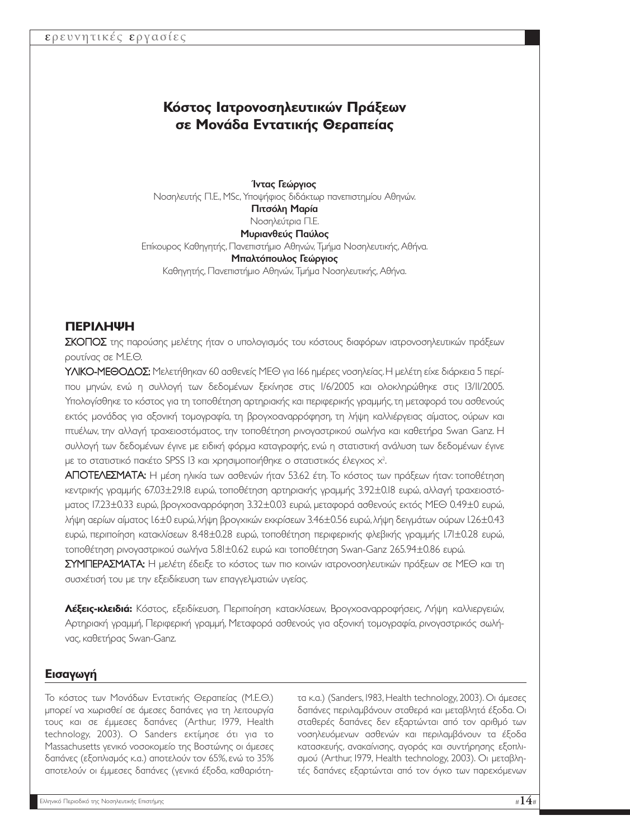# **Κόστος Ιατρονοσηλευτικών Πράξεων σε Μονάδα Εντατικής Θεραπείας**

Ίντας Γεώργιος Νοσηλευτής Π.Ε., MSc, Υποψήφιος διδάκτωρ πανεπιστηµίου Αθηνών. Πιτσόλη Μαρία Νοσηλεύτρια Π.Ε. Μυριανθεύς Παύλος Επίκουρος Καθηγητής, Πανεπιστήµιο Αθηνών, Τµήµα Νοσηλευτικής, Αθήνα. Μπαλτόπουλος Γεώργιος Καθηγητής, Πανεπιστήµιο Αθηνών, Τµήµα Νοσηλευτικής, Αθήνα.

## **ΠΕΡΙΛΗΨΗ**

ΣΚΟΠΟΣ της παρούσης µελέτης ήταν ο υπολογισµός του κόστους διαφόρων ιατρονοσηλευτικών πράξεων ρουτίνας σε Μ.Ε.Θ.

ΥΛΙΚΟ-ΜΕΘΟΔΟΣ: Μελετήθηκαν 60 ασθενείς ΜΕΘ για 166 ημέρες νοσηλείας. Η μελέτη είχε διάρκεια 5 περίπου µηνών, ενώ η συλλογή των δεδοµένων ξεκίνησε στις 1/6/2005 και ολοκληρώθηκε στις 13/11/2005. Υπολογίσθηκε το κόστος για τη τοποθέτηση αρτηριακής και περιφερικής γραµµής,τη µεταφορά του ασθενούς εκτός µονάδας για αξονική τοµογραφία, τη βρογχοαναρρόφηση, τη λήψη καλλιέργειας αίµατος, ούρων και πτυέλων, την αλλαγή τραχειοστόµατος, την τοποθέτηση ρινογαστρικού σωλήνα και καθετήρα Swan Ganz. Η συλλογή των δεδοµένων έγινε µε ειδική φόρµα καταγραφής, ενώ η στατιστική ανάλυση των δεδοµένων έγινε με το στατιστικό πακέτο SPSS 13 και χρησιμοποιήθηκε ο στατιστικός έλεγχος  $x^2$ . .

ΑΠΟΤΕΛΕΣΜΑΤΑ: Η µέση ηλικία των ασθενών ήταν 53.62 έτη. Το κόστος των πράξεων ήταν: τοποθέτηση κεντρικής γραµµής 67.03±29.18 ευρώ, τοποθέτηση αρτηριακής γραµµής 3.92±0.18 ευρώ, αλλαγή τραχειοστόµατος 17.23±0.33 ευρώ, βρογχοαναρρόφηση 3.32±0.03 ευρώ, µεταφορά ασθενούς εκτός ΜΕΘ 0.49±0 ευρώ, λήψη αερίων αίµατος 1.6±0 ευρώ,λήψη βρογχικών εκκρίσεων 3.46±0.56 ευρώ,λήψη δειγµάτων ούρων 1.26±0.43 ευρώ, περιποίηση κατακλίσεων 8.48±0.28 ευρώ, τοποθέτηση περιφερικής φλεβικής γραµµής 1.71±0.28 ευρώ, τοποθέτηση ρινογαστρικού σωλήνα 5.81±0.62 ευρώ και τοποθέτηση Swan-Ganz 265.94±0.86 ευρώ.

ΣΥΜΠΕΡΑΣΜΑΤΑ: Η µελέτη έδειξε το κόστος των πιο κοινών ιατρονοσηλευτικών πράξεων σε ΜΕΘ και τη συσχέτισή του µε την εξειδίκευση των επαγγελµατιών υγείας.

**Λέξεις-κλειδιά:** Κόστος, εξειδίκευση, Περιποίηση κατακλίσεων, Βρογχοαναρροφήσεις, Λήψη καλλιεργειών, Αρτηριακή γραµµή, Περιφερική γραµµή, Μεταφορά ασθενούς για αξονική τοµογραφία, ρινογαστρικός σωλήνας, καθετήρας Swan-Ganz.

## **Εισαγωγή**

Το κόστος των Μονάδων Εντατικής Θεραπείας (Μ.Ε.Θ.) µπορεί να χωρισθεί σε άµεσες δαπάνες για τη λειτουργία τους και σε έµµεσες δαπάνες (Arthur, 1979, Health technology, 2003). Ο Sanders εκτίµησε ότι για το Massachusetts γενικό νοσοκομείο της Βοστώνης οι άμεσες δαπάνες (εξοπλισµός κ.α.) αποτελούν τον 65%, ενώ το 35% αποτελούν οι έµµεσες δαπάνες (γενικά έξοδα, καθαριότη-

τα κ.α.) (Sanders, 1983, Health technology, 2003). Οι άµεσες δαπάνες περιλαµβάνουν σταθερά και µεταβλητά έξοδα. Οι σταθερές δαπάνες δεν εξαρτώνται από τον αριθµό των νοσηλευόµενων ασθενών και περιλαµβάνουν τα έξοδα κατασκευής, ανακαίνισης, αγοράς και συντήρησης εξοπλισµού (Arthur, 1979, Health technology, 2003). Οι µεταβλητές δαπάνες εξαρτώνται από τον όγκο των παρεχόµενων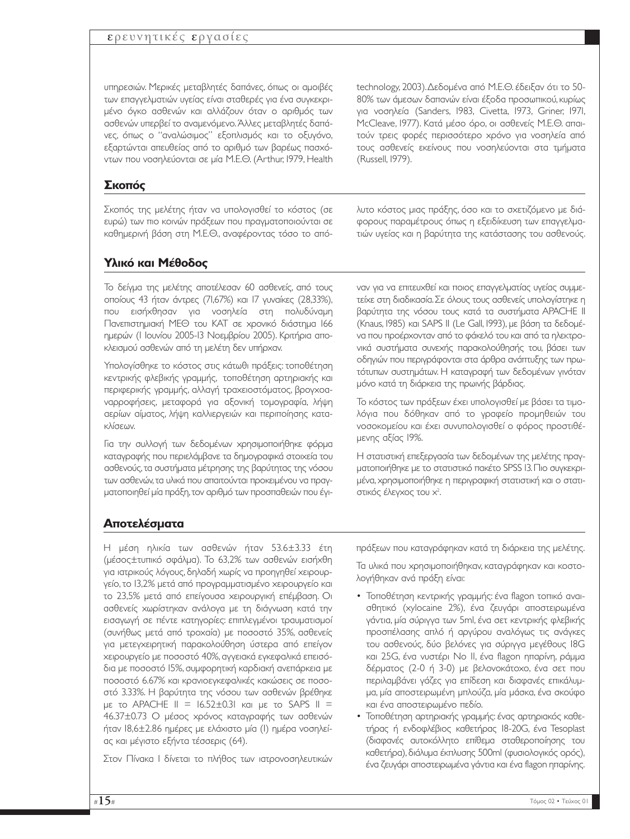## ερευνητικές εργασίες

υπηρεσιών. Μερικές µεταβλητές δαπάνες, όπως οι αµοιβές των επαγγελµατιών υγείας είναι σταθερές για ένα συγκεκριµένο όγκο ασθενών και αλλάζουν όταν ο αριθµός των ασθενών υπερβεί το αναµενόµενο.Άλλες µεταβλητές δαπάνες, όπως ο "αναλώσιµος" εξοπλισµός και το οξυγόνο, εξαρτώνται απευθείας από το αριθµό των βαρέως πασχόντων που νοσηλεύονται σε µία Μ.Ε.Θ. (Arthur, 1979, Health

technology, 2003).∆εδοµένα από Μ.Ε.Θ. έδειξαν ότι το 50- 80% των άµεσων δαπανών είναι έξοδα προσωπικού, κυρίως για νοσηλεία (Sanders, 1983, Civetta, 1973, Griner, 1971, McCleave, 1977). Κατά µέσο όρο, οι ασθενείς Μ.Ε.Θ. απαιτούν τρεις φορές περισσότερο χρόνο για νοσηλεία από τους ασθενείς εκείνους που νοσηλεύονται στα τµήµατα (Russell, 1979).

## **Σκοπός**

Σκοπός της µελέτης ήταν να υπολογισθεί το κόστος (σε ευρώ) των πιο κοινών πράξεων που πραγµατοποιούνται σε καθηµερινή βάση στη Μ.Ε.Θ., αναφέροντας τόσο το απόλυτο κόστος µιας πράξης, όσο και το σχετιζόµενο µε διάφορους παραµέτρους όπως η εξειδίκευση των επαγγελµατιών υγείας και η βαρύτητα της κατάστασης του ασθενούς.

## **Υλικό και Μέθοδος**

Το δείγµα της µελέτης αποτέλεσαν 60 ασθενείς, από τους οποίους 43 ήταν άντρες (71,67%) και 17 γυναίκες (28,33%), που εισήχθησαν για νοσηλεία στη πολυδύναµη Πανεπιστηµιακή ΜΕΘ του ΚΑΤ σε χρονικό διάστηµα 166 ηµερών (1 Ιουνίου 2005-13 Νοεµβρίου 2005). Κριτήρια αποκλεισµού ασθενών από τη µελέτη δεν υπήρχαν.

Υπολογίσθηκε το κόστος στις κάτωθι πράξεις: τοποθέτηση κεντρικής φλεβικής γραµµής, τοποθέτηση αρτηριακής και περιφερικής γραµµής, αλλαγή τραχειοστόµατος, βρογχοαναρροφήσεις, µεταφορά για αξονική τοµογραφία, λήψη αερίων αίµατος, λήψη καλλιεργειών και περιποίησης κατακλίσεων.

Για την συλλογή των δεδοµένων χρησιµοποιήθηκε φόρµα καταγραφής που περιελάµβανε τα δηµογραφικά στοιχεία του ασθενούς,τα συστήµατα µέτρησης της βαρύτητας της νόσου των ασθενών,τα υλικά που απαιτούνται προκειµένου να πραγµατοποιηθεί µία πράξη,τον αριθµό των προσπαθειών που έγι-

ναν για να επιτευχθεί και ποιος επαγγελµατίας υγείας συµµετείχε στη διαδικασία.Σε όλους τους ασθενείς υπολογίστηκε η βαρύτητα της νόσου τους κατά τα συστήµατα APACHE II (Knaus, 1985) και SAPS II (Le Gall, 1993), µε βάση τα δεδοµένα που προέρχονταν από το φάκελό του και από τα ηλεκτρονικά συστήµατα συνεχής παρακολούθησής του, βάσει των οδηγιών που περιγράφονται στα άρθρα ανάπτυξης των πρωτότυπων συστηµάτων. Η καταγραφή των δεδοµένων γινόταν µόνο κατά τη διάρκεια της πρωινής βάρδιας.

Το κόστος των πράξεων έχει υπολογισθεί µε βάσει τα τιµολόγια που δόθηκαν από το γραφείο προµηθειών του νοσοκοµείου και έχει συνυπολογισθεί ο φόρος προστιθέµενης αξίας 19%.

Η στατιστική επεξεργασία των δεδοµένων της µελέτης πραγµατοποιήθηκε µε το στατιστικό πακέτο SPSS 13.Πιο συγκεκριµένα, χρησιµοποιήθηκε η περιγραφική στατιστική και ο στατιστικός έλεγχος του χ<sup>2</sup>. .

## **Αποτελέσµατα**

Η µέση ηλικία των ασθενών ήταν 53.6±3.33 έτη (µέσος±τυπικό σφάλµα). Το 63,2% των ασθενών εισήχθη για ιατρικούς λόγους, δηλαδή χωρίς να προηγηθεί χειρουργείο, το 13,2% µετά από προγραµµατισµένο χειρουργείο και το 23,5% µετά από επείγουσα χειρουργική επέµβαση. Οι ασθενείς χωρίστηκαν ανάλογα µε τη διάγνωση κατά την εισαγωγή σε πέντε κατηγορίες: επιπλεγµένοι τραυµατισµοί (συνήθως µετά από τροχαία) µε ποσοστό 35%, ασθενείς για µετεγχειρητική παρακολούθηση ύστερα από επείγον χειρουργείο µε ποσοστό 40%, αγγειακά εγκεφαλικά επεισόδια µε ποσοστό 15%, συµφορητική καρδιακή ανεπάρκεια µε ποσοστό 6.67% και κρανιοεγκεφαλικές κακώσεις σε ποσοστό 3.33%. Η βαρύτητα της νόσου των ασθενών βρέθηκε µε το APACHE II = 16.52±0.31 και µε το SAPS II = 46.37±0.73 Ο µέσος χρόνος καταγραφής των ασθενών ήταν 18,6±2.86 ηµέρες µε ελάχιστο µία (1) ηµέρα νοσηλείας και µέγιστο εξήντα τέσσερις (64).

Στον Πίνακα Ι δίνεται το πλήθος των ιατρονοσηλευτικών

πράξεων που καταγράφηκαν κατά τη διάρκεια της µελέτης.

Τα υλικά που χρησιµοποιήθηκαν, καταγράφηκαν και κοστολογήθηκαν ανά πράξη είναι:

- Τοποθέτηση κεντρικής γραµµής: ένα flagon τοπικό αναισθητικό (xylocaine 2%), ένα ζευγάρι αποστειρωµένα γάντια, µία σύριγγα των 5ml, ένα σετ κεντρικής φλεβικής προσπέλασης απλό ή αργύρου αναλόγως τις ανάγκες του ασθενούς, δύο βελόνες για σύριγγα µεγέθους 18G και 25G, ένα νυστέρι Νο 11, ένα flagon ηπαρίνη, ράµµα δέρµατος (2-0 ή 3-0) µε βελονοκάτοχο, ένα σετ που περιλαµβάνει γάζες για επίδεση και διαφανές επικάλυµµα, µία αποστειρωµένη µπλούζα, µία µάσκα, ένα σκούφο και ένα αποστειρωµένο πεδίο.
- Τοποθέτηση αρτηριακής γραµµής: ένας αρτηριακός καθετήρας ή ενδοφλέβιος καθετήρας 18-20G, ένα Tesoplast (διαφανές αυτοκόλλητο επίθεµα σταθεροποίησης του καθετήρα),διάλυµα έκπλυσης 500ml (φυσιολογικός ορός), ένα ζευγάρι αποστειρωµένα γάντια και ένα flagon ηπαρίνης.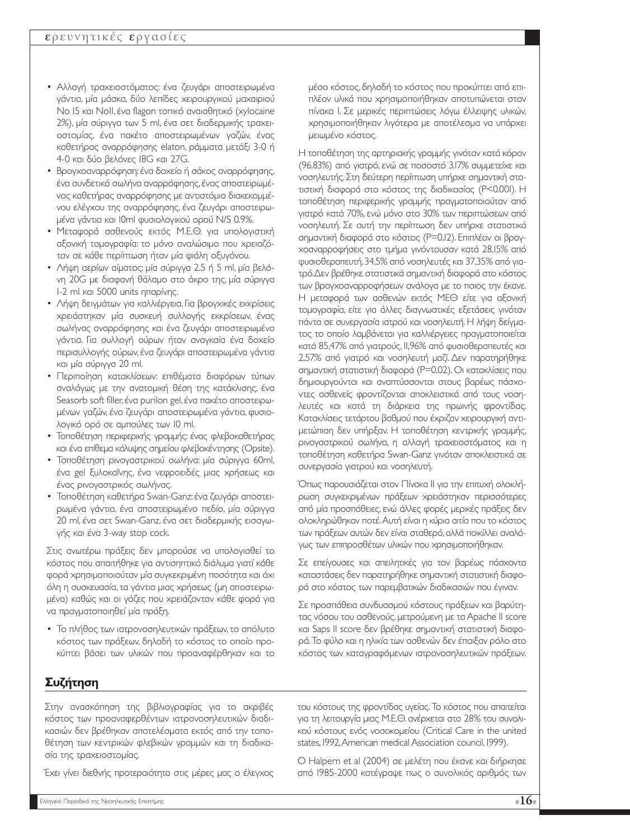- Αλλαγή τραχειοστόµατος: ένα ζευγάρι αποστειρωµένα γάντια, µία µάσκα, δύο λεπίδες χειρουργικού µαχαιριού Νο 15 και Νο11, ένα flagon τοπικό αναισθητικό (xylocaine 2%), µία σύριγγα των 5 ml, ένα σετ διαδερµικής τραχειοστοµίας, ένα πακέτο αποστειρωµένων γαζών, ένας καθετήρας αναρρόφησης elaton, ράµµατα µετάξι 3-0 ή 4-0 και δύο βελόνες 18G και 27G.
- Βρογχοαναρρόφηση:ένα δοχείο ή σάκος αναρρόφησης, ένα συνδετικό σωλήνα αναρρόφησης,ένας αποστειρωµένος καθετήρας αναρρόφησης µε αντιστόµιο διακεκοµµένου ελέγχου της αναρρόφησης, ένα ζευγάρι αποστειρωµένα γάντια και 10ml φυσιολογικού ορού N/S 0.9%.
- Μεταφορά ασθενούς εκτός Μ.Ε.Θ. για υπολογιστική αξονική τοµογραφία: το µόνο αναλώσιµο που χρειαζόταν σε κάθε περίπτωση ήταν µία φιάλη οξυγόνου.
- Λήψη αερίων αίµατος: µία σύριγγα 2.5 ή 5 ml, µία βελόνη 20G µε διαφανή θάλαµο στο άκρο της, µία σύριγγα 1-2 ml και 5000 units ηπαρίνης.
- Λήψη δειγμάτων για καλλιέργεια. Για βρογχικές εκκρίσεις χρειάστηκαν µία συσκευή συλλογής εκκρίσεων, ένας σωλήνας αναρρόφησης και ένα ζευγάρι αποστειρωµένα γάντια. Για συλλογή ούρων ήταν αναγκαία ένα δοχείο περισυλλογής ούρων, ένα ζευγάρι αποστειρωµένα γάντια και µία σύριγγα 20 ml.
- Περιποίηση κατακλίσεων: επιθέµατα διαφόρων τύπων αναλόγως µε την ανατοµική θέση της κατάκλισης, ένα Seasorb soft filler,ένα purilon gel,ένα πακέτο αποστειρωµένων γαζών, ένα ζευγάρι αποστειρωµένα γάντια, φυσιολογικό ορό σε αµπούλες των 10 ml.
- Τοποθέτηση περιφερικής γραµµής: ένας φλεβοκαθετήρας και ένα επίθεµα κάλυψης σηµείου φλεβοκέντησης (Opsite).
- Τοποθέτηση ρινογαστρικού σωλήνα: µία σύριγγα 60ml, ένα gel ξυλοκαΐνης, ένα νεφροειδές µιας χρήσεως και ένας ρινογαστρικός σωλήνας.
- Τοποθέτηση καθετήρα Swan-Ganz:ένα ζευγάρι αποστειρωµένα γάντια, ένα αποστειρωµένο πεδίο, µία σύριγγα 20 ml, ένα σετ Swan-Ganz, ένα σετ διαδερµικής εισαγωγής και ένα 3-way stop cock.

Στις ανωτέρω πράξεις δεν µπορούσε να υπολογισθεί το κόστος που απαιτήθηκε για αντισηπτικό διάλυµα γιατί κάθε φορά χρησιµοποιούταν µία συγκεκριµένη ποσότητα και όχι όλη η συσκευασία, τα γάντια µιας χρήσεως (µη αποστειρωµένα) καθώς και οι γάζες που χρειάζονταν κάθε φορά για να πραγµατοποιηθεί µία πράξη.

• Το πλήθος των ιατρονοσηλευτικών πράξεων, το απόλυτο κόστος των πράξεων, δηλαδή το κόστος το οποίο προκύπτει βάσει των υλικών που προαναφέρθηκαν και το µέσο κόστος, δηλαδή το κόστος που προκύπτει από επιπλέον υλικά που χρησιµοποιήθηκαν αποτυπώνεται στον πίνακα Ι. Σε µερικές περιπτώσεις λόγω έλλειψης υλικών, χρησιµοποιήθηκαν λιγότερα µε αποτέλεσµα να υπάρχει µειωµένο κόστος.

H τοποθέτηση της αρτηριακής γραµµής γινόταν κατά κόρον (96.83%) από γιατρό, ενώ σε ποσοστό 3.17% συµµετείχε και νοσηλευτής.Στη δεύτερη περίπτωση υπήρχε σηµαντική στατιστική διαφορά στο κόστος της διαδικασίας (Ρ<0.001). Η τοποθέτηση περιφερικής γραµµής πραγµατοποιούταν από γιατρό κατά 70%, ενώ µόνο στο 30% των περιπτώσεων από νοσηλευτή. Σε αυτή την περίπτωση δεν υπήρχε στατιστικά σηµαντική διαφορά στο κόστος (Ρ=0,12). Επιπλέον οι βρογχοαναρροφήσεις στο τµήµα γινόντουσαν κατά 28,15% από φυσιοθεραπευτή,34,5% από νοσηλευτές και 37,35% από γιατρό.∆εν βρέθηκε στατιστικά σηµαντική διαφορά στο κόστος των βρογχοαναρροφήσεων ανάλογα µε το ποιος την έκανε. Η µεταφορά των ασθενών εκτός ΜΕΘ είτε για αξονική τοµογραφία, είτε για άλλες διαγνωστικές εξετάσεις γινόταν πάντα σε συνεργασία ιατρού και νοσηλευτή. Η λήψη δείγµατος το οποίο λαµβάνεται για καλλιέργειες πραγµατοποιείται κατά 85,47% από γιατρούς, 11,96% από φυσιοθεραπευτές και 2,57% από γιατρό και νοσηλευτή µαζί. ∆εν παρατηρήθηκε σηµαντική στατιστική διαφορά (Ρ=0,02). Οι κατακλίσεις που δηµιουργούνται και αναπτύσσονται στους βαρέως πάσχοντες ασθενείς φροντίζονται αποκλειστικά από τους νοσηλευτές και κατά τη διάρκεια της πρωινής φροντίδας. Κατακλίσεις τετάρτου βαθµού που έχριζαν χειρουργική αντιµετώπιση δεν υπήρξαν. Η τοποθέτηση κεντρικής γραµµής, ρινογαστρικού σωλήνα, η αλλαγή τραχειοστόµατος και η τοποθέτηση καθετήρα Swan-Ganz γινόταν αποκλειστικά σε συνεργασία γιατρού και νοσηλευτή.

Όπως παρουσιάζεται στον Πίνακα ΙΙ για την επιτυχή ολοκλήρωση συγκεκριµένων πράξεων χρειάστηκαν περισσότερες από µία προσπάθειες, ενώ άλλες φορές µερικές πράξεις δεν ολοκληρώθηκαν ποτέ.Αυτή είναι η κύρια αιτία που το κόστος των πράξεων αυτών δεν είναι σταθερό,αλλά ποικίλλει αναλόγως των επιπροσθέτων υλικών που χρησιµοποιήθηκαν.

Σε επείγουσες και απειλητικές για τον βαρέως πάσχοντα καταστάσεις δεν παρατηρήθηκε σηµαντική στατιστική διαφορά στο κόστος των παρεµβατικών διαδικασιών που έγιναν.

Σε προσπάθεια συνδυασµού κόστους πράξεων και βαρύτητας νόσου του ασθενούς, µετρούµενη µε τα Apache II score και Saps II score δεν βρέθηκε σηµαντική στατιστική διαφορά.Το φύλο και η ηλικία των ασθενών δεν έπαιξαν ρόλο στο κόστος των καταγραφόµενων ιατρονοσηλευτικών πράξεων.

## **Συζήτηση**

Στην ανασκόπηση της βιβλιογραφίας για το ακριβές κόστος των προαναφερθέντων ιατρονοσηλευτικών διαδικασιών δεν βρέθηκαν αποτελέσµατα εκτός από την τοποθέτηση των κεντρικών φλεβικών γραµµών και τη διαδικασία της τραχειοστοµίας.

Έχει γίνει διεθνής προτεραιότητα στις µέρες µας ο έλεγχος

του κόστους της φροντίδας υγείας. Το κόστος που απαιτείται για τη λειτουργία µιας Μ.Ε.Θ. ανέρχεται στο 28% του συνολικού κόστους ενός νοσοκοµείου (Critical Care in the united states, 1992,American medical Association council, 1999).

Ο Halpern et al (2004) σε µελέτη που έκανε και διήρκησε από 1985-2000 κατέγραψε πως ο συνολικός αριθµός των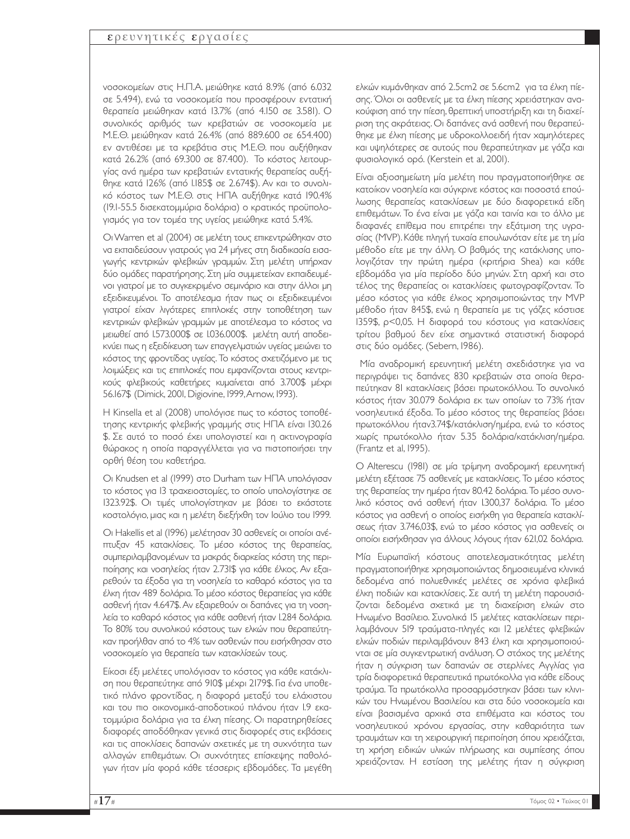#### ερευνητικές εργασίες

νοσοκοµείων στις Η.Π.Α. µειώθηκε κατά 8.9% (από 6.032 σε 5.494), ενώ τα νοσοκοµεία που προσφέρουν εντατική θεραπεία µειώθηκαν κατά 13.7% (από 4.150 σε 3.581). Ο συνολικός αριθµός των κρεβατιών σε νοσοκοµεία µε Μ.Ε.Θ. µειώθηκαν κατά 26.4% (από 889.600 σε 654.400) εν αντιθέσει µε τα κρεβάτια στις Μ.Ε.Θ. που αυξήθηκαν κατά 26.2% (από 69.300 σε 87.400). Το κόστος λειτουργίας ανά ηµέρα των κρεβατιών εντατικής θεραπείας αυξήθηκε κατά 126% (από 1.185\$ σε 2.674\$). Αν και το συνολικό κόστος των Μ.Ε.Θ. στις ΗΠΑ αυξήθηκε κατά 190.4% (19.1-55.5 δισεκατοµµύρια δολάρια) ο κρατικός προϋπολογισµός για τον τοµέα της υγείας µειώθηκε κατά 5.4%.

Οι Warren et al (2004) σε µελέτη τους επικεντρώθηκαν στο να εκπαιδεύσουν γιατρούς για 24 µήνες στη διαδικασία εισαγωγής κεντρικών φλεβικών γραµµών. Στη µελέτη υπήρχαν δύο οµάδες παρατήρησης. Στη µία συµµετείχαν εκπαιδευµένοι γιατροί µε το συγκεκριµένο σεµινάριο και στην άλλοι µη εξειδικευµένοι. Το αποτέλεσµα ήταν πως οι εξειδικευµένοι γιατροί είχαν λιγότερες επιπλοκές στην τοποθέτηση των κεντρικών φλεβικών γραµµών µε αποτέλεσµα το κόστος να µειωθεί από 1.573.000\$ σε 1.036.000\$. µελέτη αυτή αποδεικνύει πως η εξειδίκευση των επαγγελµατιών υγείας µειώνει το κόστος της φροντίδας υγείας. Το κόστος σχετιζόµενο µε τις λοιµώξεις και τις επιπλοκές που εµφανίζονται στους κεντρικούς φλεβικούς καθετήρες κυµαίνεται από 3.700\$ µέχρι 56.167\$ (Dimick, 2001, Digiovine, 1999,Arnow, 1993).

Η Kinsella et al (2008) υπολόγισε πως το κόστος τοποθέτησης κεντρικής φλεβικής γραµµής στις ΗΠΑ είναι 130.26 \$. Σε αυτό το ποσό έχει υπολογιστεί και η ακτινογραφία θώρακος η οποία παραγγέλλεται για να πιστοποιήσει την ορθή θέση του καθετήρα.

Οι Knudsen et al (1999) στο Durham των ΗΠΑ υπολόγισαν το κόστος για 13 τραχειοστοµίες, το οποίο υπολογίστηκε σε 1323.92\$. Οι τιµές υπολογίστηκαν µε βάσει το εκάστοτε κοστολόγιο, µιας και η µελέτη διεξήχθη τον Ιούλιο του 1999.

Οι Hakellis et al (1996) µελέτησαν 30 ασθενείς οι οποίοι ανέπτυξαν 45 κατακλίσεις. Το µέσο κόστος της θεραπείας, συµπεριλαµβανοµένων τα µακράς διαρκείας κόστη της περιποίησης και νοσηλείας ήταν 2.731\$ για κάθε έλκος. Αν εξαιρεθούν τα έξοδα για τη νοσηλεία το καθαρό κόστος για τα έλκη ήταν 489 δολάρια. Το µέσο κόστος θεραπείας για κάθε ασθενή ήταν 4.647\$.Αν εξαιρεθούν οι δαπάνες για τη νοσηλεία το καθαρό κόστος για κάθε ασθενή ήταν 1.284 δολάρια. Το 80% του συνολικού κόστους των ελκών που θεραπεύτηκαν προήλθαν από το 4% των ασθενών που εισήχθησαν στο νοσοκοµείο για θεραπεία των κατακλίσεών τους.

Είκοσι έξι µελέτες υπολόγισαν το κόστος για κάθε κατάκλιση που θεραπεύτηκε από 910\$ µέχρι 2179\$. Για ένα υποθετικό πλάνο φροντίδας, η διαφορά µεταξύ του ελάχιστου και του πιο οικονοµικά-αποδοτικού πλάνου ήταν 1.9 εκατοµµύρια δολάρια για τα έλκη πίεσης. Οι παρατηρηθείσες διαφορές αποδόθηκαν γενικά στις διαφορές στις εκβάσεις και τις αποκλίσεις δαπανών σχετικές µε τη συχνότητα των αλλαγών επιθεµάτων. Οι συχνότητες επίσκεψης παθολόγων ήταν µία φορά κάθε τέσσερις εβδοµάδες. Τα µεγέθη ελκών κυµάνθηκαν από 2.5cm2 σε 5.6cm2 για τα έλκη πίεσης. Όλοι οι ασθενείς µε τα έλκη πίεσης χρειάστηκαν ανακούφιση από την πίεση, θρεπτική υποστήριξη και τη διαχείριση της ακράτειας. Οι δαπάνες ανά ασθενή που θεραπεύθηκε µε έλκη πίεσης µε υδροκολλοειδή ήταν χαµηλότερες και υψηλότερες σε αυτούς που θεραπεύτηκαν µε γάζα και φυσιολογικό ορό. (Kerstein et al, 2001).

Είναι αξιοσηµείωτη µία µελέτη που πραγµατοποιήθηκε σε κατοίκον νοσηλεία και σύγκρινε κόστος και ποσοστά επούλωσης θεραπείας κατακλίσεων µε δύο διαφορετικά είδη επιθεµάτων. Το ένα είναι µε γάζα και ταινία και το άλλο µε διαφανές επίθεµα που επιτρέπει την εξάτµιση της υγρασίας (MVP). Κάθε πληγή τυχαία επουλωνόταν είτε µε τη µία µέθοδο είτε µε την άλλη. Ο βαθµός της κατάκλισης υπολογιζόταν την πρώτη ηµέρα (κριτήρια Shea) και κάθε εβδοµάδα για µία περίοδο δύο µηνών. Στη αρχή και στο τέλος της θεραπείας οι κατακλίσεις φωτογραφίζονταν. Το µέσο κόστος για κάθε έλκος χρησιµοποιώντας την MVP µέθοδο ήταν 845\$, ενώ η θεραπεία µε τις γάζες κόστισε 1359\$, ρ<0,05. Η διαφορά του κόστους για κατακλίσεις τρίτου βαθµού δεν είχε σηµαντικά στατιστική διαφορά στις δύο οµάδες. (Sebern, 1986).

Μία αναδροµική ερευνητική µελέτη σχεδιάστηκε για να περιγράψει τις δαπάνες 830 κρεβατιών στα οποία θεραπεύτηκαν 81 κατακλίσεις βάσει πρωτοκόλλου. Το συνολικό κόστος ήταν 30.079 δολάρια εκ των οποίων το 73% ήταν νοσηλευτικά έξοδα. Το µέσο κόστος της θεραπείας βάσει πρωτοκόλλου ήταν3.74\$/κατάκλιση/ηµέρα, ενώ το κόστος χωρίς πρωτόκολλο ήταν 5.35 δολάρια/κατάκλιση/ηµέρα. (Frantz et al, 1995).

Ο Alterescu (1981) σε µία τρίµηνη αναδροµική ερευνητική µελέτη εξέτασε 75 ασθενείς µε κατακλίσεις. Το µέσο κόστος της θεραπείας την ηµέρα ήταν 80.42 δολάρια.Το µέσο συνολικό κόστος ανά ασθενή ήταν 1.300,37 δολάρια. Το µέσο κόστος για ασθενή ο οποίος εισήχθη για θεραπεία κατακλίσεως ήταν 3.746,03\$, ενώ το µέσο κόστος για ασθενείς οι οποίοι εισήχθησαν για άλλους λόγους ήταν 621,02 δολάρια.

Μία Ευρωπαϊκή κόστους αποτελεσµατικότητας µελέτη πραγµατοποιήθηκε χρησιµοποιώντας δηµοσιευµένα κλινικά δεδοµένα από πολυεθνικές µελέτες σε χρόνια φλεβικά έλκη ποδιών και κατακλίσεις. Σε αυτή τη µελέτη παρουσιάζονται δεδοµένα σχετικά µε τη διαχείριση ελκών στο Ηνωµένο Βασίλειο. Συνολικά 15 µελέτες κατακλίσεων περιλαµβάνουν 519 τραύµατα-πληγές και 12 µελέτες φλεβικών ελκών ποδιών περιλαµβάνουν 843 έλκη και χρησιµοποιούνται σε µία συγκεντρωτική ανάλυση. Ο στόχος της µελέτης ήταν η σύγκριση των δαπανών σε στερλίνες Αγγλίας για τρία διαφορετικά θεραπευτικά πρωτόκολλα για κάθε είδους τραύµα. Τα πρωτόκολλα προσαρµόστηκαν βάσει των κλινικών του Ηνωµένου Βασιλείου και στα δύο νοσοκοµεία και είναι βασισµένα αρχικά στα επιθέµατα και κόστος του νοσηλευτικού χρόνου εργασίας, στην καθαριότητα των τραυµάτων και τη χειρουργική περιποίηση όπου χρειάζεται, τη χρήση ειδικών υλικών πλήρωσης και συµπίεσης όπου χρειάζονταν. Η εστίαση της µελέτης ήταν η σύγκριση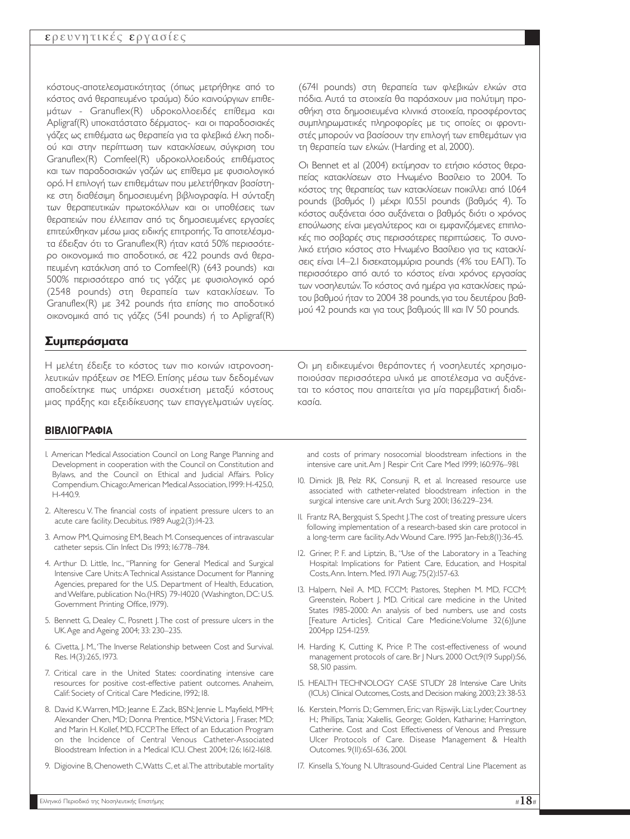κόστους-αποτελεσµατικότητας (όπως µετρήθηκε από το κόστος ανά θεραπευµένο τραύµα) δύο καινούργιων επιθεµάτων - Granuflex(R) υδροκολλοειδές επίθεµα και Apligraf(R) υποκατάστατο δέρµατος- και οι παραδοσιακές γάζες ως επιθέµατα ως θεραπεία για τα φλεβικά έλκη ποδιού και στην περίπτωση των κατακλίσεων, σύγκριση του Granuflex(R) Comfeel(R) υδροκολλοειδούς επιθέµατος και των παραδοσιακών γαζών ως επίθεµα µε φυσιολογικό ορό. Η επιλογή των επιθεµάτων που µελετήθηκαν βασίστηκε στη διαθέσιµη δηµοσιευµένη βιβλιογραφία. Η σύνταξη των θεραπευτικών πρωτοκόλλων και οι υποθέσεις των θεραπειών που έλλειπαν από τις δηµοσιευµένες εργασίες επιτεύχθηκαν µέσω µιας ειδικής επιτροπής.Τα αποτελέσµατα έδειξαν ότι το Granuflex(R) ήταν κατά 50% περισσότερο οικονοµικά πιο αποδοτικό, σε 422 pounds ανά θεραπευµένη κατάκλιση από το Comfeel(R) (643 pounds) και 500% περισσότερο από τις γάζες µε φυσιολογικό ορό (2548 pounds) στη θεραπεία των κατακλίσεων. Το Granuflex(R) µε 342 pounds ήτα επίσης πιο αποδοτικό οικονοµικά από τις γάζες (541 pounds) ή το Apligraf(R)

## **Συµπεράσµατα**

Η µελέτη έδειξε το κόστος των πιο κοινών ιατρονοσηλευτικών πράξεων σε ΜΕΘ. Επίσης µέσω των δεδοµένων αποδείχτηκε πως υπάρχει συσχέτιση µεταξύ κόστους µιας πράξης και εξειδίκευσης των επαγγελµατιών υγείας. (6741 pounds) στη θεραπεία των φλεβικών ελκών στα πόδια. Αυτά τα στοιχεία θα παράσχουν µια πολύτιµη προσθήκη στα δηµοσιευµένα κλινικά στοιχεία, προσφέροντας συµπληρωµατικές πληροφορίες µε τις οποίες οι φροντιστές µπορούν να βασίσουν την επιλογή των επιθεµάτων για τη θεραπεία των ελκών. (Harding et al, 2000).

Οι Bennet et al (2004) εκτίµησαν το ετήσιο κόστος θεραπείας κατακλίσεων στο Ηνωµένο Βασίλειο το 2004. Το κόστος της θεραπείας των κατακλίσεων ποικίλλει από 1.064 pounds (βαθµός 1) µέχρι 10.551 pounds (βαθµός 4). Το κόστος αυξάνεται όσο αυξάνεται ο βαθµός διότι ο χρόνος επούλωσης είναι µεγαλύτερος και οι εµφανιζόµενες επιπλοκές πιο σοβαρές στις περισσότερες περιπτώσεις. Το συνολικό ετήσιο κόστος στο Ηνωµένο Βασίλειο για τις κατακλίσεις είναι 1.4–2.1 δισεκατοµµύρια pounds (4% του ΕΑΠ). Το περισσότερο από αυτό το κόστος είναι χρόνος εργασίας των νοσηλευτών. Το κόστος ανά ηµέρα για κατακλίσεις πρώτου βαθµού ήταν το 2004 38 pounds,για του δευτέρου βαθµού 42 pounds και για τους βαθµούς III και IV 50 pounds.

Οι µη ειδικευµένοι θεράποντες ή νοσηλευτές χρησιµοποιούσαν περισσότερα υλικά µε αποτέλεσµα να αυξάνεται το κόστος που απαιτείται για µία παρεµβατική διαδικασία.

#### **ΒΙΒΛΙΟΓΡΑΦΙΑ**

- 1. American Medical Association Council on Long Range Planning and Development in cooperation with the Council on Constitution and Bylaws, and the Council on Ethical and Judicial Affairs. Policy Compendium.Chicago:American Medical Association,1999:H-425.0, H-440.9.
- 2. Alterescu V. The financial costs of inpatient pressure ulcers to an acute care facility. Decubitus. 1989 Aug;2(3):14-23.
- 3. Arnow PM, Quimosing EM, Beach M. Consequences of intravascular catheter sepsis. Clin Infect Dis 1993; 16:778–784.
- 4. Arthur D. Little, Inc., "Planning for General Medical and Surgical Intensive Care Units:A Technical Assistance Document for Planning Agencies, prepared for the U.S. Department of Health, Education, and Welfare, publication No.(HRS) 79-14020 (Washington, DC: U.S. Government Printing Office, 1979).
- 5. Bennett G, Dealey C, Posnett J.The cost of pressure ulcers in the UK.Age and Ageing 2004; 33: 230–235.
- 6. Civetta, J. M.,'The Inverse Relationship between Cost and Survival. Res. 14(3):265, 1973.
- 7. Critical care in the United States: coordinating intensive care resources for positive cost-effective patient outcomes. Anaheim, Calif: Society of Critical Care Medicine, 1992; 18.
- 8. David K.Warren, MD; Jeanne E. Zack, BSN; Jennie L. Mayfield, MPH; Alexander Chen, MD; Donna Prentice, MSN; Victoria I, Fraser, MD; and Marin H. Kollef, MD, FCCP.The Effect of an Education Program on the Incidence of Central Venous Catheter-Associated Bloodstream Infection in a Medical ICU. Chest 2004; 126; 1612-1618.
- 9. Digiovine B, Chenoweth C,Watts C, et al.The attributable mortality

and costs of primary nosocomial bloodstream infections in the intensive care unit.Am J Respir Crit Care Med 1999; 160:976–981.

- 10. Dimick JB, Pelz RK, Consunji R, et al. Increased resource use associated with catheter-related bloodstream infection in the surgical intensive care unit.Arch Surg 2001; 136:229–234.
- 11. Frantz RA, Bergquist S, Specht J.The cost of treating pressure ulcers following implementation of a research-based skin care protocol in a long-term care facility. Adv Wound Care. 1995 Jan-Feb;8(1):36-45.
- 12. Griner, P. F. and Liptzin, B., "Use of the Laboratory in a Teaching Hospital: Implications for Patient Care, Education, and Hospital Costs,Ann. Intern. Med. 1971 Aug; 75(2):157-63.
- 13. Halpern, Neil A. MD, FCCM; Pastores, Stephen M. MD, FCCM; Greenstein, Robert J. MD. Critical care medicine in the United States 1985-2000: An analysis of bed numbers, use and costs [Feature Articles]. Critical Care Medicine: Volume 32(6) June 2004pp 1254-1259.
- 14. Harding K, Cutting K, Price P. The cost-effectiveness of wound management protocols of care. Br J Nurs. 2000 Oct;9(19 Suppl):S6, S8, S10 passim.
- 15. HEALTH TECHNOLOGY CASE STUDY 28 Intensive Care Units (ICUs) Clinical Outcomes,Costs,and Decision making.2003;23:38-53.
- 16. Kerstein, Morris D.; Gemmen, Eric; van Rijswijk, Lia; Lyder, Courtney H.; Phillips, Tania; Xakellis, George; Golden, Katharine; Harrington, Catherine. Cost and Cost Effectiveness of Venous and Pressure Ulcer Protocols of Care. Disease Management & Health Outcomes. 9(11):651-636, 2001.
- 17. Kinsella S,Young N. Ultrasound-Guided Central Line Placement as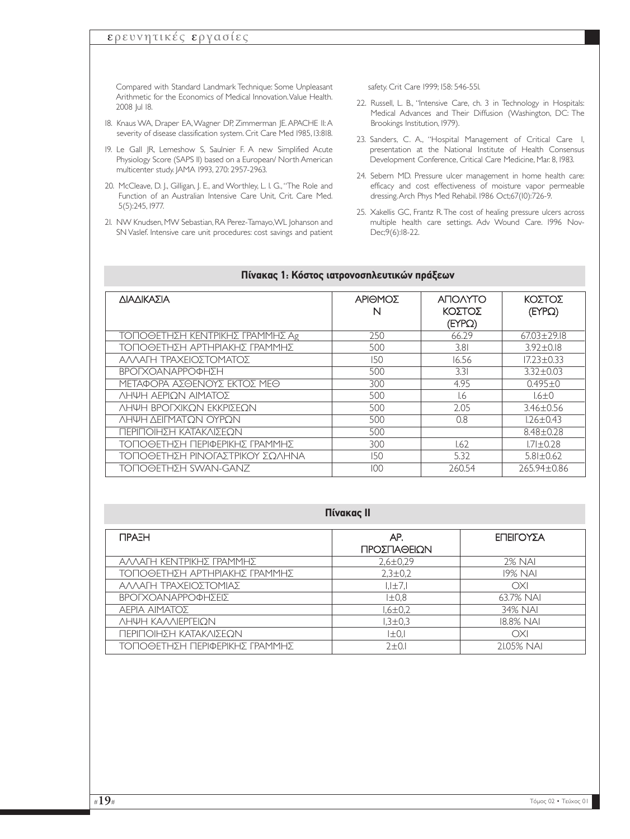## ερευνητικές εργασίες

Compared with Standard Landmark Technique: Some Unpleasant Arithmetic for the Economics of Medical Innovation.Value Health. 2008 Jul 18.

- 18. Knaus WA, Draper EA,Wagner DP, Zimmerman JE.APACHE II:A severity of disease classification system. Crit Care Med 1985, 13:818.
- 19. Le Gall JR, Lemeshow S, Saulnier F. A new Simplified Acute Physiology Score (SAPS II) based on a European/ North American multicenter study. JAMA 1993, 270: 2957-2963.
- 20. McCleave, D. J., Gilligan, J. E., and Worthley, L. 1. G., "The Role and Function of an Australian Intensive Care Unit, Crit. Care Med. 5(5):245, 1977.
- 21. NW Knudsen, MW Sebastian, RA Perez-Tamayo,WL Johanson and SN Vaslef. Intensive care unit procedures: cost savings and patient

safety. Crit Care 1999; 158: 546-551.

- 22. Russell, L. B., "Intensive Care, ch. 3 in Technology in Hospitals: Medical Advances and Their Diffusion (Washington, DC: The Brookings Institution, 1979).
- 23. Sanders, C. A., "Hospital Management of Critical Care I, presentation at the National Institute of Health Consensus Development Conference, Critical Care Medicine, Mar. 8, 1983.
- 24. Sebern MD. Pressure ulcer management in home health care: efficacy and cost effectiveness of moisture vapor permeable dressing.Arch Phys Med Rehabil. 1986 Oct;67(10):726-9.
- 25. Xakellis GC, Frantz R.The cost of healing pressure ulcers across multiple health care settings. Adv Wound Care. 1996 Nov-Dec;9(6):18-22.

| ΔΙΑΔΙΚΑΣΙΑ                      | ΑΡΙΘΜΟΣ<br>N | <b>ANOVATO</b><br>ΚΟΣΤΟΣ<br>(FYPQ) | ΚΟΣΤΟΣ<br>$( EYP\Omega)$ |
|---------------------------------|--------------|------------------------------------|--------------------------|
| ΤΟΠΟΘΕΤΗΣΗ ΚΕΝΤΡΙΚΗΣ ΓΡΑΜΜΗΣ Αg | 250          | 66.29                              | $67.03 + 29.18$          |
| ΤΟΠΟΘΕΤΗΣΗ ΑΡΤΗΡΙΑΚΗΣ ΓΡΑΜΜΗΣ   | 500          | 3.81                               | $3.92 + 0.18$            |
| ΑΛΛΑΓΗ ΤΡΑΧΕΙΟΣΤΟΜΑΤΟΣ          | 150          | 16.56                              | $17.23 \pm 0.33$         |
| ΒΡΟΓΧΟΑΝΑΡΡΟΦΗΣΗ                | 500          | 3.31                               | $3.32 \pm 0.03$          |
| ΜΕΤΑΦΟΡΑ ΑΣΘΕΝΟΥΣ ΕΚΤΟΣ ΜΕΘ     | 300          | 4.95                               | $0.495 \pm 0$            |
| ΛΗΨΗ ΑΕΡΙΩΝ ΑΙΜΑΤΟΣ             | 500          | 1.6                                | $1.6 \pm 0$              |
| ΛΗΨΗ ΒΡΟΓΧΙΚΟΝ ΕΚΚΡΙΣΕΟΝ        | 500          | 2.05                               | $3.46 + 0.56$            |
| ΛΗΨΗ ΔΕΙΓΜΑΤΩΝ ΟΥΡΩΝ            | 500          | 0.8                                | $1.26 \pm 0.43$          |
| ΠΕΡΙΠΟΙΗΣΗ ΚΑΤΑΚΛΙΣΕΟΝ          | 500          |                                    | $8.48 + 0.28$            |
| ΤΟΠΟΘΕΤΗΣΗ ΠΕΡΙΦΕΡΙΚΗΣ ΓΡΑΜΜΗΣ  | 300          | 1.62                               | $1.71 + 0.28$            |
| ΤΟΠΟΘΕΤΗΣΗ ΡΙΝΟΓΑΣΤΡΙΚΟΥ ΣΩΛΗΝΑ | 150          | 5.32                               | $5.81 \pm 0.62$          |
| <b>ΤΟΠΟΘΕΤΗΣΗ SWAN-GANZ</b>     | 100          | 260.54                             | 265,94±0.86              |

#### **Πίνακας 1: Κόστος ιατρονοσηλευτικών πράξεων**

#### **Πίνακας ΙΙ**

| <b>TIPAEH</b>                  | AP.<br>ΠΡΟΣΠΑΘΕΙΩΝ | ΕΠΕΙΓΟΥΣΑ      |
|--------------------------------|--------------------|----------------|
|                                |                    |                |
| ΑΛΛΑΓΗ ΚΕΝΤΡΙΚΗΣ ΓΡΑΜΜΗΣ       | $2,6 \pm 0.29$     | 2% NAI         |
| ΤΟΠΟΘΕΤΗΣΗ ΑΡΤΗΡΙΑΚΗΣ ΓΡΑΜΜΗΣ  | $2,3 \pm 0.2$      | <b>19% NAI</b> |
| ΑΛΛΑΓΗ ΤΡΑΧΕΙΟΣΤΟΜΙΑΣ          | $I,I \pm 7,I$      | OXI            |
| ΒΡΟΓΧΟΑΝΑΡΡΟΦΗΣΕΙΣ             | $I\pm 0.8$         | 63.7% NAI      |
| ΑΕΡΙΑ ΑΙΜΑΤΟΣ                  | $1,6 \pm 0.2$      | 34% NAI        |
| ΛΗΨΗ ΚΑΛΛΙΕΡΓΕΙΟΝ              | $1,3 \pm 0.3$      | 18.8% NAI      |
| ΠΕΡΙΠΟΙΗΣΗ ΚΑΤΑΚΛΙΣΕΟΝ         | $ \pm 0 $          | OXI            |
| ΤΟΠΟΘΕΤΗΣΗ ΠΕΡΙΦΕΡΙΚΗΣ ΓΡΑΜΜΗΣ | $2+0.1$            | 21.05% NAI     |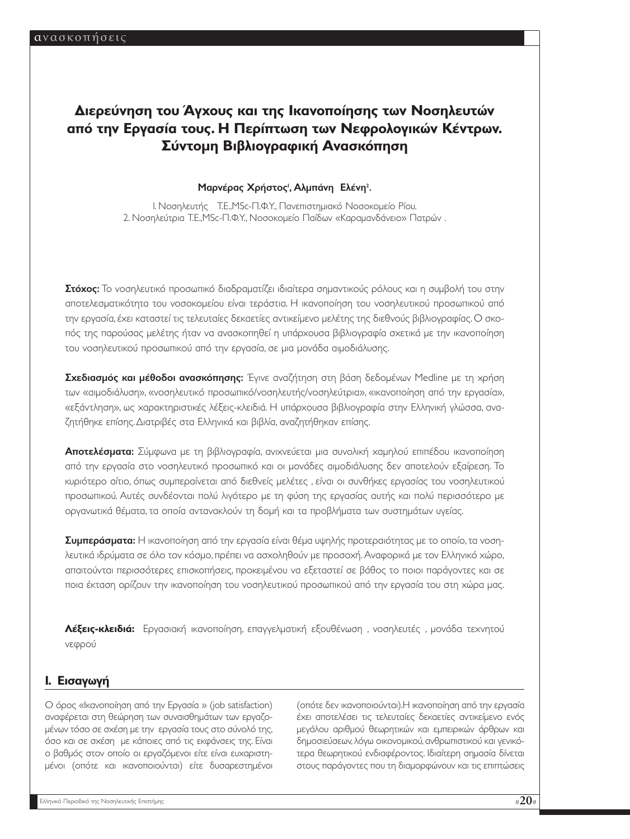# **∆ιερεύνηση του Άγχους και της Ικανοποίησης των Νοσηλευτών από την Εργασία τους. Η Περίπτωση των Νεφρολογικών Κέντρων. Σύντοµη Βιβλιογραφική Ανασκόπηση**

#### Μαρνέρας Χρήστος<sup>ι</sup>, Αλμπάνη Ελένη<sup>2</sup>.

1. Νοσηλευτής Τ.Ε.,MSc-Π.Φ.Υ., Πανεπιστηµιακό Νοσοκοµείο Ρίου. 2. Νοσηλεύτρια Τ.Ε.,MSc-Π.Φ.Υ., Νοσοκοµείο Παίδων «Καραµανδάνειο» Πατρών .

Στόχος: Το νοσηλευτικό προσωπικό διαδραματίζει ιδιαίτερα σημαντικούς ρόλους και η συμβολή του στην αποτελεσµατικότητα του νοσοκοµείου είναι τεράστια. Η ικανοποίηση του νοσηλευτικού προσωπικού από την εργασία, έχει καταστεί τις τελευταίες δεκαετίες αντικείµενο µελέτης της διεθνούς βιβλιογραφίας. Ο σκοπός της παρούσας µελέτης ήταν να ανασκοπηθεί η υπάρχουσα βιβλιογραφία σχετικά µε την ικανοποίηση του νοσηλευτικού προσωπικού από την εργασία, σε µια µονάδα αιµοδιάλυσης.

**Σχεδιασμός και μέθοδοι ανασκόπησης:** Έγινε αναζήτηση στη βάση δεδομένων Medline με τη χρήση των «αιµοδιάλυση», «νοσηλευτικό προσωπικό/νοσηλευτής/νοσηλεύτρια», «ικανοποίηση από την εργασία», «εξάντληση», ως χαρακτηριστικές λέξεις-κλειδιά. Η υπάρχουσα βιβλιογραφία στην Ελληνική γλώσσα, αναζητήθηκε επίσης.∆ιατριβές στα Ελληνικά και βιβλία, αναζητήθηκαν επίσης.

**Αποτελέσματα:** Σύμφωνα με τη βιβλιογραφία, ανιχνεύεται μια συνολική χαμηλού επιπέδου ικανοποίηση από την εργασία στο νοσηλευτικό προσωπικό και οι µονάδες αιµοδιάλυσης δεν αποτελούν εξαίρεση. Το κυριότερο αίτιο, όπως συµπεραίνεται από διεθνείς µελέτες , είναι οι συνθήκες εργασίας του νοσηλευτικού προσωπικού. Αυτές συνδέονται πολύ λιγότερο µε τη φύση της εργασίας αυτής και πολύ περισσότερο µε οργανωτικά θέµατα, τα οποία αντανακλούν τη δοµή και τα προβλήµατα των συστηµάτων υγείας.

Συμπεράσματα: Η ικανοποίηση από την εργασία είναι θέμα υψηλής προτεραιότητας με το οποίο, τα νοσηλευτικά ιδρύµατα σε όλο τον κόσµο, πρέπει να ασχοληθούν µε προσοχή. Αναφορικά µε τον Ελληνικό χώρο, απαιτούνται περισσότερες επισκοπήσεις, προκειµένου να εξεταστεί σε βάθος το ποιοι παράγοντες και σε ποια έκταση ορίζουν την ικανοποίηση του νοσηλευτικού προσωπικού από την εργασία του στη χώρα µας.

**Λέξεις-κλειδιά:** Εργασιακή ικανοποίηση, επαγγελµατική εξουθένωση , νοσηλευτές , µονάδα τεχνητού νεφρού

## **1. Eισαγωγή**

Ο όρος «Ικανοποίηση από την Εργασία » (job satisfaction) αναφέρεται στη θεώρηση των συναισθηµάτων των εργαζοµένων τόσο σε σχέση µε την εργασία τους στο σύνολό της, όσο και σε σχέση µε κάποιες από τις εκφάνσεις της. Είναι ο βαθµός στον οποίο οι εργαζόµενοι είτε είναι ευχαριστηµένοι (οπότε και ικανοποιούνται) είτε δυσαρεστηµένοι (οπότε δεν ικανοποιούνται).Η ικανοποίηση από την εργασία έχει αποτελέσει τις τελευταίες δεκαετίες αντικείµενο ενός µεγάλου αριθµού θεωρητικών και εµπειρικών άρθρων και δηµοσιεύσεων,λόγω οικονοµικού,ανθρωπιστικού και γενικότερα θεωρητικού ενδιαφέροντος. Ιδιαίτερη σηµασία δίνεται στους παράγοντες που τη διαµορφώνουν και τις επιπτώσεις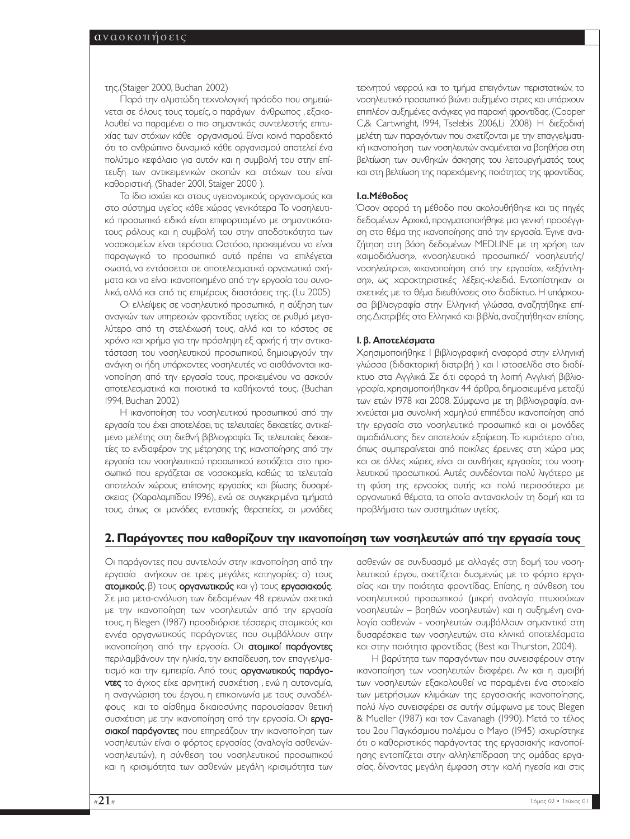της.(Staiger 2000, Buchan 2002)

Παρά την αλµατώδη τεχνολογική πρόοδο που σηµειώνεται σε όλους τους τοµείς, ο παράγων άνθρωπος , εξακολουθεί να παραµένει ο πιο σηµαντικός συντελεστής επιτυχίας των στόχων κάθε οργανισµού. Είναι κοινά παραδεκτό ότι το ανθρώπινο δυναµικό κάθε οργανισµού αποτελεί ένα πολύτιµο κεφάλαιο για αυτόν και η συµβολή του στην επίτευξη των αντικειµενικών σκοπών και στόχων του είναι καθοριστική. (Shader 2001, Staiger 2000 ).

Το ίδιο ισχύει και στους υγειονοµικούς οργανισµούς και στο σύστηµα υγείας κάθε χώρας γενικότερα Το νοσηλευτικό προσωπικό ειδικά είναι επιφορτισµένο µε σηµαντικότατους ρόλους και η συµβολή του στην αποδοτικότητα των νοσοκοµείων είναι τεράστια. Ωστόσο, προκειµένου να είναι παραγωγικό το προσωπικό αυτό πρέπει να επιλέγεται σωστά, να εντάσσεται σε αποτελεσµατικά οργανωτικά σχήµατα και να είναι ικανοποιηµένο από την εργασία του συνολικά, αλλά και από τις επιµέρους διαστάσεις της. (Lu 2005)

Οι ελλείψεις σε νοσηλευτικό προσωπικό, η αύξηση των αναγκών των υπηρεσιών φροντίδας υγείας σε ρυθµό µεγαλύτερο από τη στελέχωσή τους, αλλά και το κόστος σε χρόνο και χρήµα για την πρόσληψη εξ αρχής ή την αντικατάσταση του νοσηλευτικού προσωπικού, δηµιουργούν την ανάγκη οι ήδη υπάρχοντες νοσηλευτές να αισθάνονται ικανοποίηση από την εργασία τους, προκειµένου να ασκούν αποτελεσµατικά και ποιοτικά τα καθήκοντά τους. (Buchan 1994, Buchan 2002)

Η ικανοποίηση του νοσηλευτικού προσωπικού από την εργασία του έχει αποτελέσει, τις τελευταίες δεκαετίες, αντικείµενο µελέτης στη διεθνή βιβλιογραφία. Τις τελευταίες δεκαετίες το ενδιαφέρον της µέτρησης της ικανοποίησης από την εργασία του νοσηλευτικού προσωπικού εστιάζεται στο προσωπικό που εργάζεται σε νοσοκοµεία, καθώς τα τελευταία αποτελούν χώρους επίπονης εργασίας και βίωσης δυσαρέσκειας (Χαραλαµπίδου 1996), ενώ σε συγκεκριµένα τµήµατά τους, όπως οι µονάδες εντατικής θεραπείας, οι µονάδες τεχνητού νεφρού, και το τµήµα επειγόντων περιστατικών, το νοσηλευτικό προσωπικό βιώνει αυξηµένο στρες και υπάρχουν επιπλέον αυξηµένες ανάγκες για παροχή φροντίδας.(Cooper C,& Cartwright, 1994, Tselebis 2006,Li 2008) Η διεξοδική µελέτη των παραγόντων που σχετίζονται µε την επαγγελµατική ικανοποίηση των νοσηλευτών αναµένεται να βοηθήσει στη βελτίωση των συνθηκών άσκησης του λειτουργήµατός τους και στη βελτίωση της παρεχόµενης ποιότητας της φροντίδας.

#### 1.α.Μέθοδος

Όσον αφορά τη µέθοδο που ακολουθήθηκε και τις πηγές δεδοµένων Αρχικά, πραγµατοποιήθηκε µια γενική προσέγγιση στο θέµα της ικανοποίησης από την εργασία. Έγινε αναζήτηση στη βάση δεδοµένων MEDLINE µε τη χρήση των «αιµοδιάλυση», «νοσηλευτικό προσωπικό/ νοσηλευτής/ νοσηλεύτρια», «ικανοποίηση από την εργασία», «εξάντληση», ως χαρακτηριστικές λέξεις-κλειδιά. Εντοπίστηκαν οι σχετικές µε το θέµα διευθύνσεις στο διαδίκτυο. Η υπάρχουσα βιβλιογραφία στην Ελληνική γλώσσα, αναζητήθηκε επίσης.∆ιατριβές στα Ελληνικά και βιβλία,αναζητήθηκαν επίσης.

#### 1. β. Αποτελέσµατα

Χρησιµοποιήθηκε 1 βιβλιογραφική αναφορά στην ελληνική γλώσσα (διδακτορική διατριβή ) και 1 ιστοσελίδα στο διαδίκτυο στα Αγγλικά. Σε ό,τι αφορά τη λοιπή Αγγλική βιβλιογραφία, χρησιµοποιήθηκαν 44 άρθρα, δηµοσιευµένα µεταξύ των ετών 1978 και 2008. Σύµφωνα µε τη βιβλιογραφία, ανιχνεύεται µια συνολική χαµηλού επιπέδου ικανοποίηση από την εργασία στο νοσηλευτικό προσωπικό και οι µονάδες αιµοδιάλυσης δεν αποτελούν εξαίρεση. Το κυριότερο αίτιο, όπως συµπεραίνεται από ποικίλες έρευνες στη χώρα µας και σε άλλες χώρες, είναι οι συνθήκες εργασίας του νοσηλευτικού προσωπικού. Αυτές συνδέονται πολύ λιγότερο µε τη φύση της εργασίας αυτής και πολύ περισσότερο µε οργανωτικά θέµατα, τα οποία αντανακλούν τη δοµή και τα προβλήµατα των συστηµάτων υγείας.

#### **2. Παράγοντες που καθορίζουν την ικανοποίηση των νοσηλευτών από την εργασία τους**

Οι παράγοντες που συντελούν στην ικανοποίηση από την εργασία ανήκουν σε τρεις µεγάλες κατηγορίες: α) τους ατοµικούς, β) τους οργανωτικούς και γ) τους εργασιακούς. Σε µια µετα-ανάλυση των δεδοµένων 48 ερευνών σχετικά µε την ικανοποίηση των νοσηλευτών από την εργασία τους, η Blegen (1987) προσδιόρισε τέσσερις ατοµικούς και εννέα οργανωτικούς παράγοντες που συµβάλλουν στην ικανοποίηση από την εργασία. Οι ατοµικοί παράγοντες περιλαµβάνουν την ηλικία, την εκπαίδευση, τον επαγγελµατισµό και την εµπειρία. Από τους οργανωτικούς παράγοντες το άγχος είχε αρνητική συσχέτιση, ενώ η αυτονομία, η αναγνώριση του έργου, η επικοινωνία µε τους συναδέλφους και το αίσθηµα δικαιοσύνης παρουσίασαν θετική συσχέτιση µε την ικανοποίηση από την εργασία. Οι εργασιακοί παράγοντες που επηρεάζουν την ικανοποίηση των νοσηλευτών είναι ο φόρτος εργασίας (αναλογία ασθενώννοσηλευτών), η σύνθεση του νοσηλευτικού προσωπικού και η κρισιµότητα των ασθενών µεγάλη κρισιµότητα των

ασθενών σε συνδυασµό µε αλλαγές στη δοµή του νοσηλευτικού έργου, σχετίζεται δυσµενώς µε το φόρτο εργασίας και την ποιότητα φροντίδας. Επίσης, η σύνθεση του νοσηλευτικού προσωπικού (µικρή αναλογία πτυχιούχων νοσηλευτών – βοηθών νοσηλευτών) και η αυξηµένη αναλογία ασθενών - νοσηλευτών συµβάλλουν σηµαντικά στη δυσαρέσκεια των νοσηλευτών, στα κλινικά αποτελέσµατα και στην ποιότητα φροντίδας (Best και Thurston, 2004).

Η βαρύτητα των παραγόντων που συνεισφέρουν στην ικανοποίηση των νοσηλευτών διαφέρει. Αν και η αµοιβή των νοσηλευτών εξακολουθεί να παραµένει ένα στοιχείο των µετρήσιµων κλιµάκων της εργασιακής ικανοποίησης, πολύ λίγο συνεισφέρει σε αυτήν σύµφωνα µε τους Blegen & Mueller (1987) και τον Cavanagh (1990). Μετά το τέλος του 2ου Παγκόσµιου πολέµου ο Mayo (1945) ισχυρίστηκε ότι ο καθοριστικός παράγοντας της εργασιακής ικανοποίησης εντοπίζεται στην αλληλεπίδραση της οµάδας εργασίας, δίνοντας µεγάλη έµφαση στην καλή ηγεσία και στις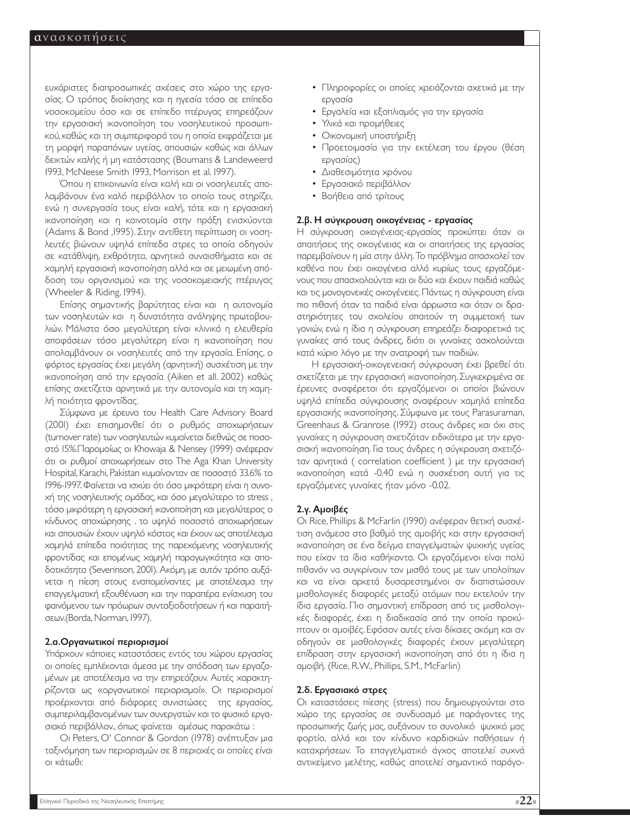ευχάριστες διαπροσωπικές σχέσεις στο χώρο της εργασίας. Ο τρόπος διοίκησης και η ηγεσία τόσο σε επίπεδο νοσοκοµείου όσο και σε επίπεδο πτέρυγας επηρεάζουν την εργασιακή ικανοποίηση του νοσηλευτικού προσωπικού, καθώς και τη συµπεριφορά του η οποία εκφράζεται µε τη µορφή παραπόνων υγείας, απουσιών καθώς και άλλων δεικτών καλής ή µη κατάστασης (Boumans & Landeweerd 1993, McNeese Smith 1993, Morrison et al. 1997).

Όπου η επικοινωνία είναι καλή και οι νοσηλευτές απολαµβάνουν ένα καλό περιβάλλον το οποίο τους στηρίζει, ενώ η συνεργασία τους είναι καλή, τότε και η εργασιακή ικανοποίηση και η καινοτοµία στην πράξη ενισχύονται (Adams & Bond ,1995). Στην αντίθετη περίπτωση οι νοσηλευτές βιώνουν υψηλά επίπεδα στρες τα οποία οδηγούν σε κατάθλιψη, εχθρότητα, αρνητικά συναισθήµατα και σε χαµηλή εργασιακή ικανοποίηση αλλά και σε µειωµένη απόδοση του οργανισµού και της νοσοκοµειακής πτέρυγας (Wheeler & Riding, 1994).

Επίσης σηµαντικής βαρύτητας είναι και η αυτονοµία των νοσηλευτών και η δυνατότητα ανάληψης πρωτοβουλιών. Μάλιστα όσο µεγαλύτερη είναι κλινικά η ελευθερία αποφάσεων τόσο µεγαλύτερη είναι η ικανοποίηση που απολαµβάνουν οι νοσηλευτές από την εργασία. Επίσης, ο φόρτος εργασίας έχει µεγάλη (αρνητική) συσχέτιση µε την ικανοποίηση από την εργασία (Aiken et all. 2002) καθώς επίσης σχετίζεται αρνητικά µε την αυτονοµία και τη χαµηλή ποιότητα φροντίδας.

Σύµφωνα µε έρευνα του Health Care Advisory Board (2001) έχει επισηµανθεί ότι ο ρυθµός αποχωρήσεων (turnover rate) των νοσηλευτών κυµαίνεται διεθνώς σε ποσοστό 15%.Παροµοίως οι Khowaja & Nensey (1999) ανέφεραν ότι οι ρυθµοί αποχωρήσεων στο The Aga Khan University Hospital, Karachi, Pakistan κυµαίνονταν σε ποσοστό 33.6% το 1996-1997.Φαίνεται να ισχύει ότι όσο µικρότερη είναι η συνοχή της νοσηλευτικής οµάδας, και όσο µεγαλύτερο το stress , τόσο µικρότερη η εργασιακή ικανοποίηση και µεγαλύτερος ο κίνδυνος αποχώρησης . το υψηλό ποσοστό αποχωρήσεων και απουσιών έχουν υψηλό κόστος και έχουν ως αποτέλεσμα χαµηλά επίπεδα ποιότητας της παρεχόµενης νοσηλευτικής φροντίδας και εποµένως χαµηλή παραγωγικότητα και αποδοτικότητα (Severinson, 2001). Ακόµη, µε αυτόν τρόπο αυξάνεται η πίεση στους εναποµείναντες µε αποτέλεσµα την επαγγελµατική εξουθένωση και την παραπέρα ενίσχυση του φαινόµενου των πρόωρων συνταξιοδοτήσεων ή και παραιτήσεων.(Borda, Norman, 1997).

#### 2.α.Οργανωτικοί περιορισµοί

Υπάρχουν κάποιες καταστάσεις εντός του χώρου εργασίας οι οποίες εµπλέκονται άµεσα µε την απόδοση των εργαζοµένων µε αποτέλεσµα να την επηρεάζουν. Αυτές χαρακτηρίζονται ως «οργανωτικοί περιορισµοί». Οι περιορισµοί προέρχονται από διάφορες συνιστώσες της εργασίας, συµπεριλαµβανοµένων των συνεργατών και το φυσικό εργασιακό περιβάλλον., όπως φαίνεται αµέσως παρακάτω :

Oι Peters, Ο' Connor & Gordon (1978) ανέπτυξαν µια ταξινόµηση των περιορισµών σε 8 περιοχές οι οποίες είναι οι κάτωθι:

- Πληροφορίες οι οποίες χρειάζονται σχετικά µε την εργασία
- Εργαλεία και εξοπλισµός για την εργασία
- Υλικά και προµήθειες
- Οικονοµική υποστήριξη
- Προετοιµασία για την εκτέλεση του έργου (θέση εργασίας)
- ∆ιαθεσιµότητα χρόνου
- Εργασιακό περιβάλλον
- Βοήθεια από τρίτους

#### 2.β. Η σύγκρουση οικογένειας - εργασίας

Η σύγκρουση οικογένειας-εργασίας προκύπτει όταν οι απαιτήσεις της οικογένειας και οι απαιτήσεις της εργασίας παρεµβαίνουν η µία στην άλλη.Το πρόβληµα απασχολεί τον καθένα που έχει οικογένεια αλλά κυρίως τους εργαζόµενους που απασχολούνται και οι δύο και έχουν παιδιά καθώς και τις µονογονεικές οικογένειες.Πάντως η σύγκρουση είναι πιο πιθανή όταν τα παιδιά είναι άρρωστα και όταν οι δραστηριότητες του σχολείου απαιτούν τη συµµετοχή των γονιών, ενώ η ίδια η σύγκρουση επηρεάζει διαφορετικά τις γυναίκες από τους άνδρες, διότι οι γυναίκες ασχολούνται κατά κύριο λόγο µε την ανατροφή των παιδιών.

Η εργασιακή-οικογενειακή σύγκρουση έχει βρεθεί ότι σχετίζεται µε την εργασιακή ικανοποίηση. Συγκεκριµένα σε έρευνες αναφέρεται ότι εργαζόµενοι οι οποίοι βιώνουν υψηλά επίπεδα σύγκρουσης αναφέρουν χαµηλά επίπεδα εργασιακής ικανοποίησης. Σύµφωνα µε τους Parasuraman, Greenhaus & Granrose (1992) στους άνδρες και όχι στις γυναίκες η σύγκρουση σχετιζόταν ειδικότερα µε την εργασιακή ικανοποίηση. Για τους άνδρες η σύγκρουση σχετιζόταν αρνητικά ( correlation coefficient ) µε την εργασιακή ικανοποίηση κατά -0.40 ενώ η συσχέτιση αυτή για τις εργαζόµενες γυναίκες ήταν µόνο -0.02.

#### 2.γ. Αµοιβές

Οι Rice, Phillips & McFarlin (1990) ανέφεραν θετική συσχέτιση ανάµεσα στο βαθµό της αµοιβής και στην εργασιακή ικανοποίηση σε ένα δείγµα επαγγελµατιών ψυχικής υγείας που είχαν τα ίδια καθήκοντα. Οι εργαζόµενοι είναι πολύ πιθανόν να συγκρίνουν τον µισθό τους µε των υπολοίπων και να είναι αρκετά δυσαρεστηµένοι αν διαπιστώσουν µισθολογικές διαφορές µεταξύ ατόµων που εκτελούν την ίδια εργασία. Πιο σηµαντική επίδραση από τις µισθολογικές διαφορές, έχει η διαδικασία από την οποία προκύπτουν οι αµοιβές. Εφόσον αυτές είναι δίκαιες ακόµη και αν οδηγούν σε µισθολογικές διαφορές έχουν µεγαλύτερη επίδραση στην εργασιακή ικανοποίηση από ότι η ίδια η αµοιβή. (Rice, R.W., Phillips, S.M., McFarlin)

#### 2.δ. Εργασιακό στρες

Οι καταστάσεις πίεσης (stress) που δηµιουργούνται στο χώρο της εργασίας σε συνδυασµό µε παράγοντες της προσωπικής ζωής µας, αυξάνουν το συνολικό ψυχικό µας φορτίο, αλλά και τον κίνδυνο καρδιακών παθήσεων ή καταχρήσεων. Το επαγγελµατικό άγχος αποτελεί συχνά αντικείµενο µελέτης, καθώς αποτελεί σηµαντικό παράγο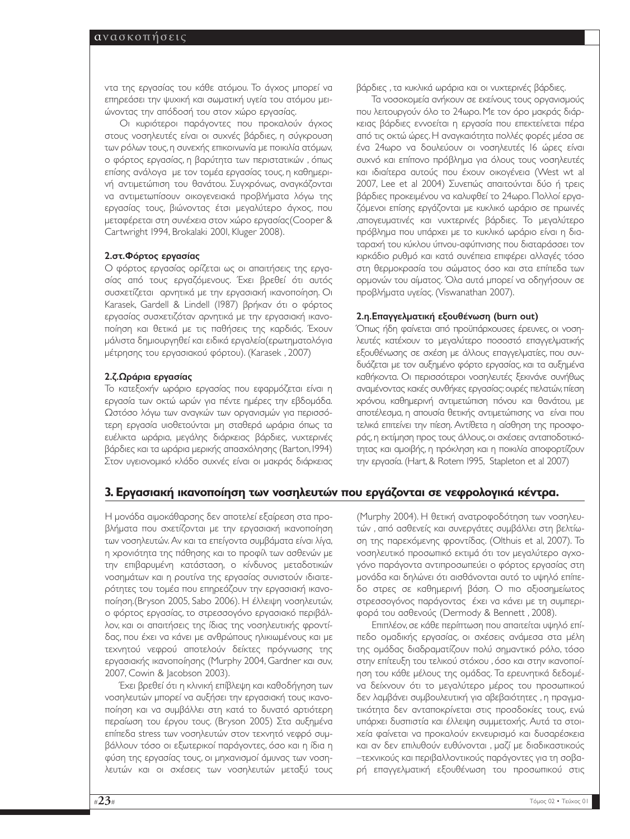ντα της εργασίας του κάθε ατόµου. Το άγχος µπορεί να επηρεάσει την ψυχική και σωµατική υγεία του ατόµου µειώνοντας την απόδοσή του στον χώρο εργασίας.

Οι κυριότεροι παράγοντες που προκαλούν άγχος στους νοσηλευτές είναι οι συχνές βάρδιες, η σύγκρουση των ρόλων τους,η συνεχής επικοινωνία µε ποικιλία ατόµων, ο φόρτος εργασίας, η βαρύτητα των περιστατικών , όπως επίσης ανάλογα µε τον τοµέα εργασίας τους, η καθηµερινή αντιµετώπιση του θανάτου. Συγχρόνως, αναγκάζονται να αντιµετωπίσουν οικογενειακά προβλήµατα λόγω της εργασίας τους, βιώνοντας έτσι µεγαλύτερο άγχος, που µεταφέρεται στη συνέχεια στον χώρο εργασίας(Cooper & Cartwright 1994, Brokalaki 2001, Kluger 2008).

#### 2.στ.Φόρτος εργασίας

Ο φόρτος εργασίας ορίζεται ως οι απαιτήσεις της εργασίας από τους εργαζόµενους. Έχει βρεθεί ότι αυτός συσχετίζεται αρνητικά µε την εργασιακή ικανοποίηση. Οι Karasek, Gardell & Lindell (1987) βρήκαν ότι ο φόρτος εργασίας συσχετιζόταν αρνητικά µε την εργασιακή ικανοποίηση και θετικά µε τις παθήσεις της καρδιάς. Έχουν µάλιστα δηµιουργηθεί και ειδικά εργαλεία(ερωτηµατολόγια µέτρησης του εργασιακού φόρτου). (Κarasek , 2007)

#### 2.ζ.Ωράρια εργασίας

Το κατεξοχήν ωράριο εργασίας που εφαρµόζεται είναι η εργασία των οκτώ ωρών για πέντε ηµέρες την εβδοµάδα. Ωστόσο λόγω των αναγκών των οργανισµών για περισσότερη εργασία υιοθετούνται µη σταθερά ωράρια όπως τα ευέλικτα ωράρια, µεγάλης διάρκειας βάρδιες, νυχτερινές βάρδιες και τα ωράρια µερικής απασχόλησης (Barton,1994) Στον υγειονοµικό κλάδο συχνές είναι οι µακράς διάρκειας βάρδιες , τα κυκλικά ωράρια και οι νυχτερινές βάρδιες.

Τα νοσοκοµεία ανήκουν σε εκείνους τους οργανισµούς που λειτουργούν όλο το 24ωρο. Με τον όρο µακράς διάρκειας βάρδιες εννοείται η εργασία που επεκτείνεται πέρα από τις οκτώ ώρες. Η αναγκαιότητα πολλές φορές µέσα σε ένα 24ωρο να δουλεύουν οι νοσηλευτές 16 ώρες είναι συχνό και επίπονο πρόβληµα για όλους τους νοσηλευτές και ιδιαίτερα αυτούς που έχουν οικογένεια (West wt al 2007, Lee et al 2004) Συνεπώς απαιτούνται δύο ή τρεις βάρδιες προκειµένου να καλυφθεί το 24ωρο. Πολλοί εργαζόµενοι επίσης εργάζονται µε κυκλικό ωράριο σε πρωινές ,απογευµατινές και νυχτερινές βάρδιες. Το µεγαλύτερο πρόβληµα που υπάρχει µε το κυκλικό ωράριο είναι η διαταραχή του κύκλου ύπνου-αφύπνισης που διαταράσσει τον κιρκάδιο ρυθµό και κατά συνέπεια επιφέρει αλλαγές τόσο στη θερµοκρασία του σώµατος όσο και στα επίπεδα των ορµονών του αίµατος. Όλα αυτά µπορεί να οδηγήσουν σε προβλήµατα υγείας. (Viswanathan 2007).

#### 2.η.Επαγγελµατική εξουθένωση (burn out)

Όπως ήδη φαίνεται από προϋπάρχουσες έρευνες, οι νοσηλευτές κατέχουν το µεγαλύτερο ποσοστό επαγγελµατικής εξουθένωσης σε σχέση µε άλλους επαγγελµατίες, που συνδυάζεται µε τον αυξηµένο φόρτο εργασίας, και τα αυξηµένα καθήκοντα. Οι περισσότεροι νοσηλευτές ξεκινάνε συνήθως αναµένοντας κακές συνθήκες εργασίας:ουρές πελατών,πίεση χρόνου, καθηµερινή αντιµετώπιση πόνου και θανάτου, µε αποτέλεσµα, η απουσία θετικής αντιµετώπισης να είναι που τελικά επιτείνει την πίεση. Αντίθετα η αίσθηση της προσφοράς,η εκτίµηση προς τους άλλους,οι σχέσεις ανταποδοτικότητας και αµοιβής, η πρόκληση και η ποικιλία αποφορτίζουν την εργασία. (Hart, & Rotem 1995, Stapleton et al 2007)

## **3. Εργασιακή ικανοποίηση των νοσηλευτών που εργάζονται σε νεφρολογικά κέντρα.**

Η µονάδα αιµοκάθαρσης δεν αποτελεί εξαίρεση στα προβλήµατα που σχετίζονται µε την εργασιακή ικανοποίηση των νοσηλευτών. Αν και τα επείγοντα συµβάµατα είναι λίγα, η χρονιότητα της πάθησης και το προφίλ των ασθενών µε την επιβαρυµένη κατάσταση, ο κίνδυνος µεταδοτικών νοσηµάτων και η ρουτίνα της εργασίας συνιστούν ιδιαιτερότητες του τοµέα που επηρεάζουν την εργασιακή ικανοποίηση.(Bryson 2005, Sabo 2006). H έλλειψη νοσηλευτών, ο φόρτος εργασίας, το στρεσσογόνο εργασιακό περιβάλλον, και οι απαιτήσεις της ίδιας της νοσηλευτικής φροντίδας, που έχει να κάνει µε ανθρώπους ηλικιωµένους και µε τεχνητού νεφρού αποτελούν δείκτες πρόγνωσης της εργασιακής ικανοποίησης (Murphy 2004, Gardner και συν, 2007, Cowin & Jacobson 2003).

Έχει βρεθεί ότι η κλινική επίβλεψη και καθοδήγηση των νοσηλευτών µπορεί να αυξήσει την εργασιακή τους ικανοποίηση και να συµβάλλει στη κατά το δυνατό αρτιότερη περαίωση του έργου τους. (Bryson 2005) Στα αυξηµένα επίπεδα stress των νοσηλευτών στον τεχνητό νεφρό συµβάλλουν τόσο οι εξωτερικοί παράγοντες, όσο και η ίδια η φύση της εργασίας τους, οι µηχανισµοί άµυνας των νοσηλευτών και οι σχέσεις των νοσηλευτών µεταξύ τους (Murphy 2004). Η θετική ανατροφοδότηση των νοσηλευτών , από ασθενείς και συνεργάτες συµβάλλει στη βελτίωση της παρεχόµενης φροντίδας. (Olthuis et al, 2007). Το νοσηλευτικό προσωπικό εκτιµά ότι τον µεγαλύτερο αγχογόνο παράγοντα αντιπροσωπεύει ο φόρτος εργασίας στη µονάδα και δηλώνει ότι αισθάνονται αυτό το υψηλό επίπεδο στρες σε καθηµερινή βάση. Ο πιο αξιοσηµείωτος στρεσσογόνος παράγοντας έχει να κάνει µε τη συµπεριφορά του ασθενούς (Dermody & Bennett , 2008).

Επιπλέον, σε κάθε περίπτωση που απαιτείται υψηλό επίπεδο οµαδικής εργασίας, οι σχέσεις ανάµεσα στα µέλη της οµάδας διαδραµατίζουν πολύ σηµαντικό ρόλο, τόσο στην επίτευξη του τελικού στόχου , όσο και στην ικανοποίηση του κάθε µέλους της οµάδας. Τα ερευνητικά δεδοµένα δείχνουν ότι το µεγαλύτερο µέρος του προσωπικού δεν λαµβάνει συµβουλευτική για αβεβαιότητες , η πραγµατικότητα δεν ανταποκρίνεται στις προσδοκίες τους, ενώ υπάρχει δυσπιστία και έλλειψη συµµετοχής. Αυτά τα στοιχεία φαίνεται να προκαλούν εκνευρισµό και δυσαρέσκεια και αν δεν επιλυθούν ευθύνονται , µαζί µε διαδικαστικούς –τεχνικούς και περιβαλλοντικούς παράγοντες για τη σοβαρή επαγγελµατική εξουθένωση του προσωπικού στις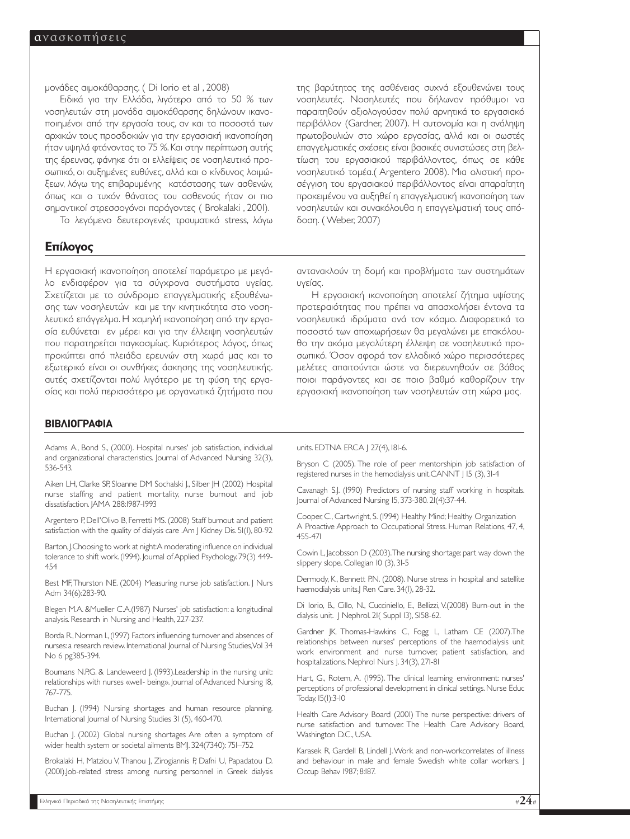µονάδες αιµοκάθαρσης. ( Di Iorio et al , 2008)

Ειδικά για την Ελλάδα, λιγότερο από το 50 % των νοσηλευτών στη µονάδα αιµοκάθαρσης δηλώνουν ικανοποιηµένοι από την εργασία τους, αν και τα ποσοστά των αρχικών τους προσδοκιών για την εργασιακή ικανοποίηση ήταν υψηλά φτάνοντας το 75 %. Kαι στην περίπτωση αυτής της έρευνας, φάνηκε ότι οι ελλείψεις σε νοσηλευτικό προσωπικό, οι αυξηµένες ευθύνες, αλλά και ο κίνδυνος λοιµώξεων, λόγω της επιβαρυµένης κατάστασης των ασθενών, όπως και ο τυχόν θάνατος του ασθενούς ήταν οι πιο σηµαντικοί στρεσσογόνοι παράγοντες ( Brokalaki , 2001).

Το λεγόµενο δευτερογενές τραυµατικό stress, λόγω

#### **Επίλογος**

Η εργασιακή ικανοποίηση αποτελεί παράµετρο µε µεγάλο ενδιαφέρον για τα σύγχρονα συστήµατα υγείας. Σχετίζεται µε το σύνδροµο επαγγελµατικής εξουθένωσης των νοσηλευτών και µε την κινητικότητα στο νοσηλευτικό επάγγελµα. Η χαµηλή ικανοποίηση από την εργασία ευθύνεται εν µέρει και για την έλλειψη νοσηλευτών που παρατηρείται παγκοσµίως. Κυριότερος λόγος, όπως προκύπτει από πλειάδα ερευνών στη χωρά µας και το εξωτερικό είναι οι συνθήκες άσκησης της νοσηλευτικής. αυτές σχετίζονται πολύ λιγότερο µε τη φύση της εργασίας και πολύ περισσότερο µε οργανωτικά ζητήµατα που

#### **ΒΙΒΛΙΟΓΡΑΦΙΑ**

Adams Α., Bond S., (2000). Hospital nurses' job satisfaction, individual and organizational characteristics. Journal of Advanced Nursing 32(3), 536-543.

Aiken LH, Clarke SP, Sloanne DM Sochalski I., Silber JH (2002) Hospital nurse staffing and patient mortality, nurse burnout and job dissatisfaction. JAMA 288:1987-1993

Argentero P, Dell'Olivo B, Ferretti MS. (2008) Staff burnout and patient satisfaction with the quality of dialysis care .Am | Kidney Dis. 51(1), 80-92

Barton,J.Choosing to work at night:A moderating influence on individual tolerance to shift work. (1994). Journal of Applied Psychology. 79(3) 449-454

Best MF,Thurston NE. (2004) Measuring nurse job satisfaction. J Nurs Adm 34(6):283-90.

Blegen M.A. &Mueller C.A.(1987) Nurses' job satisfaction: a longitudinal analysis. Research in Nursing and Health, 227-237.

Borda R.,Norman I.,(1997) Factors influencing turnover and absences of nurses:a research review.International Journal of Nursing Studies,Vol 34 No 6 pg385-394.

Boumans N.P.G. & Landeweerd J. (1993).Leadership in the nursing unit: relationships with nurses «well- being». Journal of Advanced Nursing 18, 767-775.

Buchan J. (1994) Nursing shortages and human resource planning. International Journal of Nursing Studies 31 (5), 460-470.

Buchan J. (2002) Global nursing shortages Are often a symptom of wider health system or societal ailments BMJ. 324(7340): 751–752

Brokalaki H, Matziou V, Thanou J, Zirogiannis P, Dafni U, Papadatou D. (2001).Job-related stress among nursing personnel in Greek dialysis της βαρύτητας της ασθένειας συχνά εξουθενώνει τους νοσηλευτές. Νοσηλευτές που δήλωναν πρόθυµοι να παραιτηθούν αξιολογούσαν πολύ αρνητικά το εργασιακό περιβάλλον (Gardner, 2007). Η αυτονοµία και η ανάληψη πρωτοβουλιών στο χώρο εργασίας, αλλά και οι σωστές επαγγελµατικές σχέσεις είναι βασικές συνιστώσες στη βελτίωση του εργασιακού περιβάλλοντος, όπως σε κάθε νοσηλευτικό τοµέα.( Argentero 2008). Μια ολιστική προσέγγιση του εργασιακού περιβάλλοντος είναι απαραίτητη προκειµένου να αυξηθεί η επαγγελµατική ικανοποίηση των νοσηλευτών και συνακόλουθα η επαγγελµατική τους απόδοση. ( Weber, 2007)

αντανακλούν τη δοµή και προβλήµατα των συστηµάτων υγείας.

Η εργασιακή ικανοποίηση αποτελεί ζήτηµα υψίστης προτεραιότητας που πρέπει να απασχολήσει έντονα τα νοσηλευτικά ιδρύµατα ανά τον κόσµο. ∆ιαφορετικά το ποσοστό των αποχωρήσεων θα µεγαλώνει µε επακόλουθο την ακόµα µεγαλύτερη έλλειψη σε νοσηλευτικό προσωπικό. Όσον αφορά τον ελλαδικό χώρο περισσότερες µελέτες απαιτούνται ώστε να διερευνηθούν σε βάθος ποιοι παράγοντες και σε ποιο βαθµό καθορίζουν την εργασιακή ικανοποίηση των νοσηλευτών στη χώρα µας.

#### units. EDTNA ERCA J 27(4), 181-6.

Bryson C (2005). The role of peer mentorshipin job satisfaction of registered nurses in the hemodialysis unit.CANNT J 15 (3), 31-4

Cavanagh S.J. (1990) Predictors of nursing staff working in hospitals. Journal of Advanced Nursing 15, 373-380. 21(4):37-44.

Cooper, C., Cartwright, S. (1994) Healthy Mind; Healthy Organization A Proactive Approach to Occupational Stress. Human Relations, 47, 4, 455-471

Cowin L, Jacobsson D (2003).The nursing shortage: part way down the slippery slope. Collegian 10 (3), 31-5

Dermody, K., Bennett P.N. (2008). Nurse stress in hospital and satellite haemodialysis units.] Ren Care. 34(I), 28-32.

Di Iorio, B., Cillo, N., Cucciniello, E., Bellizzi, V.(2008) Burn-out in the dialysis unit. | Nephrol. 21( Suppl 13), S158-62.

Gardner JK, Thomas-Hawkins C, Fogg L, Latham CE (2007).The relationships between nurses' perceptions of the haemodialysis unit work environment and nurse turnover, patient satisfaction, and hospitalizations. Nephrol Nurs J. 34(3), 271-81

Hart, G., Rotem, A. (1995). The clinical learning environment: nurses' perceptions of professional development in clinical settings. Nurse Educ Today. 15(1):3-10

Health Care Advisory Board (2001) The nurse perspective: drivers of nurse satisfaction and turnover. The Health Care Advisory Board, Washington D.C., USA.

Karasek R, Gardell B, Lindell J.Work and non-workcorrelates of illness and behaviour in male and female Swedish white collar workers. I Occup Behav 1987; 8:187.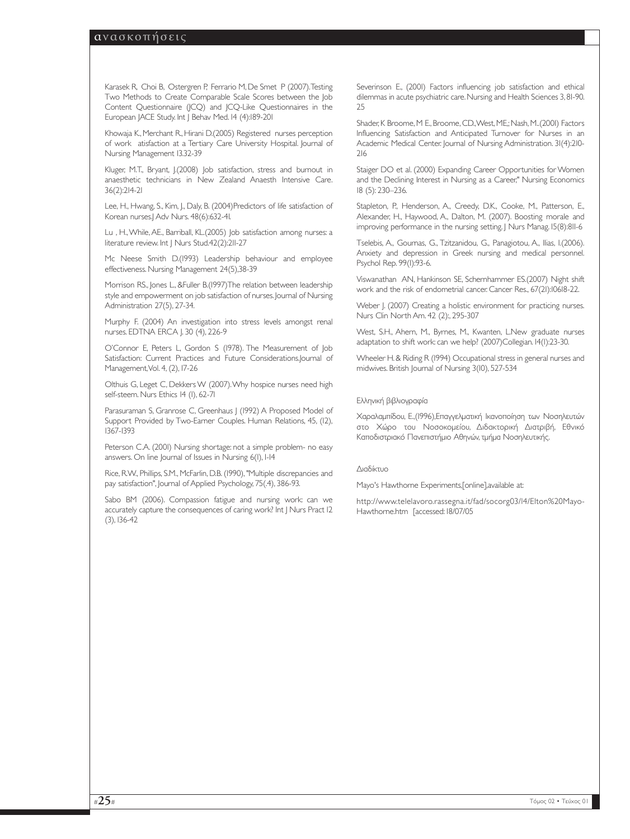Karasek R, Choi B, Ostergren P, Ferrario M, De Smet P (2007).Testing Two Methods to Create Comparable Scale Scores between the Job Content Questionnaire (JCQ) and JCQ-Like Questionnaires in the European JACE Study. Int J Behav Med. 14 (4):189-201

Khowaja K., Merchant R., Hirani D.(2005) Registered nurses perception of work atisfaction at a Tertiary Care University Hospital. Journal of Nursing Management 13.32-39

Kluger, M.T., Bryant, J.(2008) Job satisfaction, stress and burnout in anaesthetic technicians in New Zealand Anaesth Intensive Care. 36(2):214-21

Lee, H., Hwang, S., Kim, J., Daly, B. (2004)Predictors of life satisfaction of Korean nurses.] Adv Nurs. 48(6):632-41.

Lu , H.,While, AE., Barriball, KL.(2005) Job satisfaction among nurses: a literature review. Int | Nurs Stud.42(2):211-27

Mc Neese Smith D.(1993) Leadership behaviour and employee effectiveness. Nursing Management 24(5),38-39

Morrison RS., Jones L., &Fuller B.(1997)The relation between leadership style and empowerment on job satisfaction of nurses. Journal of Nursing Administration 27(5), 27-34.

Murphy F. (2004) An investigation into stress levels amongst renal nurses. EDTNA ERCA J. 30 (4), 226-9

O'Connor Ε, Peters L, Gordon S (1978). The Measurement of Job Satisfaction: Current Practices and Future Considerations.Journal of Management,Vol. 4, (2), 17-26

Olthuis G, Leget C, Dekkers W (2007).Why hospice nurses need high self-steem. Nurs Ethics 14 (1), 62-71

Parasuraman S, Granrose C, Greenhaus J (1992) A Proposed Model of Support Provided by Two-Earner Couples. Human Relations, 45, (12), 1367-1393

Peterson C.A. (2001) Nursing shortage: not a simple problem- no easy answers. On line Journal of Issues in Nursing 6(1), 1-14

Rice, R.W., Phillips, S.M., McFarlin, D.B. (1990), "Multiple discrepancies and pay satisfaction", Journal of Applied Psychology, 75(.4), 386-93.

Sabo BM (2006). Compassion fatigue and nursing work: can we accurately capture the consequences of caring work? Int J Nurs Pract 12 (3), 136-42

Severinson E., (2001) Factors influencing job satisfaction and ethical dilemmas in acute psychiatric care.Nursing and Health Sciences 3,81-90. 25

Shader, K Broome, M E., Broome, CD., West, ME,; Nash, M..(2001) Factors Influencing Satisfaction and Anticipated Turnover for Nurses in an Academic Medical Center. Journal of Nursing Administration. 31(4):210- 216

Staiger DO et al. (2000) Expanding Career Opportunities for Women and the Declining Interest in Nursing as a Career," Nursing Economics 18 (5): 230–236.

Stapleton, P., Henderson, A., Creedy, D.K., Cooke, M., Patterson, E., Alexander, H., Haywood, A., Dalton, M. (2007). Boosting morale and improving performance in the nursing setting. J Nurs Manag. 15(8):811-6

Tselebis, A., Gournas, G., Tzitzanidou, G., Panagiotou, A., Ilias, I.(2006). Anxiety and depression in Greek nursing and medical personnel. Psychol Rep. 99(1):93-6.

Viswanathan AN, Hankinson SE, Schernhammer ES.(2007) Night shift work and the risk of endometrial cancer. Cancer Res., 67(21):10618-22.

Weber J. (2007) Creating a holistic environment for practicing nurses. Nurs Clin North Am. 42 (2):, 295-307

West, S.H., Ahern, M., Byrnes, M., Kwanten, L.New graduate nurses adaptation to shift work: can we help? (2007)Collegian. 14(1):23-30.

Wheeler H.& Riding R (1994) Occupational stress in general nurses and midwives. British Journal of Nursing 3(10), 527-534

#### Ελληνική βιβλιογραφία

Χαραλαµπίδου, Ε.,(1996),Επαγγελµατική Ικανοποίηση των Νοσηλευτών στο Χώρο του Νοσοκοµείου, ∆ιδακτορική ∆ιατριβή, Εθνικό Καποδιστριακό Πανεπιστήµιο Αθηνών, τµήµα Νοσηλευτικής.

#### ∆ιαδίκτυο

Mayo's Hawthorne Experiments,[online],available at:

http://www.telelavoro.rassegna.it/fad/socorg03/l4/Elton%20Mayo-Hawthorne.htm [accessed: 18/07/05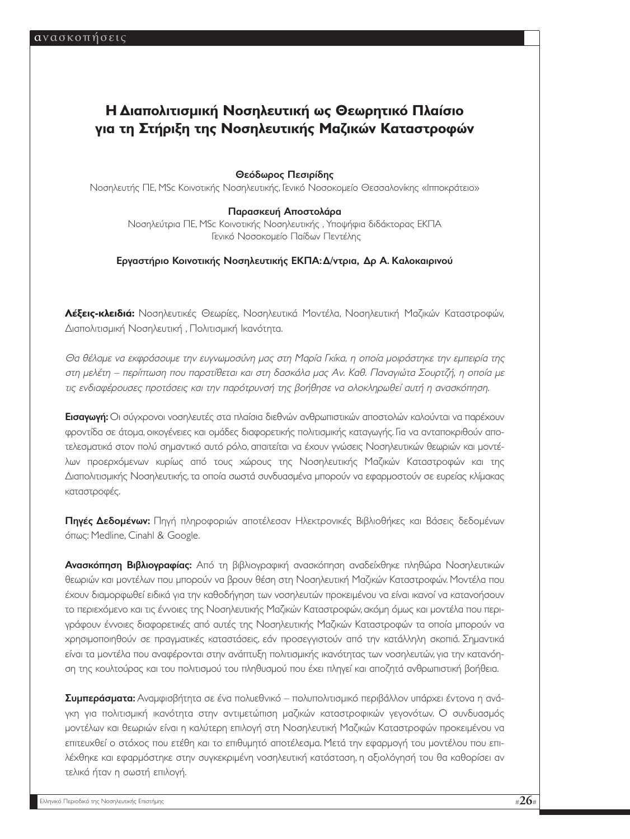# **Η ∆ιαπολιτισµική Νοσηλευτική ως Θεωρητικό Πλαίσιο για τη Στήριξη της Νοσηλευτικής Μαζικών Καταστροφών**

#### Θεόδωρος Πεσιρίδης

Νοσηλευτής ΠΕ, MSc Κοινοτικής Νοσηλευτικής, Γενικό Νοσοκοµείο Θεσσαλονίκης «Ιπποκράτειο»

#### Παρασκευή Αποστολάρα

Νοσηλεύτρια ΠΕ, MSc Κοινοτικής Νοσηλευτικής , Υποψήφια διδάκτορας ΕΚΠΑ Γενικό Νοσοκοµείο Παίδων Πεντέλης

#### Εργαστήριο Κοινοτικής Νοσηλευτικής ΕΚΠΑ:∆/ντρια, ∆ρ Α. Καλοκαιρινού

**Λέξεις-κλειδιά:** Νοσηλευτικές Θεωρίες, Νοσηλευτικά Μοντέλα, Νοσηλευτική Μαζικών Καταστροφών, ∆ιαπολιτισµική Νοσηλευτική , Πολιτισµική Ικανότητα.

Θα θέλαµε να εκφράσουµε την ευγνωµοσύνη µας στη Μαρία Γκίκα, η οποία µοιράστηκε την εµπειρία της στη µελέτη – περίπτωση που παρατίθεται και στη δασκάλα µας Αν. Καθ. Παναγιώτα Σουρτζή, η οποία µε τις ενδιαφέρουσες προτάσεις και την παρότρυνσή της βοήθησε να ολοκληρωθεί αυτή η ανασκόπηση.

Εισαγωγή: Οι σύγχρονοι νοσηλευτές στα πλαίσια διεθνών ανθρωπιστικών αποστολών καλούνται να παρέχουν φροντίδα σε άτοµα, οικογένειες και οµάδες διαφορετικής πολιτισµικής καταγωγής. Για να ανταποκριθούν αποτελεσµατικά στον πολύ σηµαντικό αυτό ρόλο, απαιτείται να έχουν γνώσεις Νοσηλευτικών θεωριών και µοντέλων προερχόµενων κυρίως από τους χώρους της Νοσηλευτικής Μαζικών Καταστροφών και της ∆ιαπολιτισµικής Νοσηλευτικής, τα οποία σωστά συνδυασµένα µπορούν να εφαρµοστούν σε ευρείας κλίµακας καταστροφές.

Πηγές ∆εδοµένων: Πηγή πληροφοριών αποτέλεσαν Ηλεκτρονικές Βιβλιοθήκες και Βάσεις δεδοµένων όπως: Medline, Cinahl & Google.

Ανασκόπηση Βιβλιογραφίας: Από τη βιβλιογραφική ανασκόπηση αναδείχθηκε πληθώρα Νοσηλευτικών θεωριών και µοντέλων που µπορούν να βρουν θέση στη Νοσηλευτική Μαζικών Καταστροφών. Μοντέλα που έχουν διαµορφωθεί ειδικά για την καθοδήγηση των νοσηλευτών προκειµένου να είναι ικανοί να κατανοήσουν το περιεχόµενο και τις έννοιες της Νοσηλευτικής Μαζικών Καταστροφών, ακόµη όµως και µοντέλα που περιγράφουν έννοιες διαφορετικές από αυτές της Νοσηλευτικής Μαζικών Καταστροφών τα οποία µπορούν να χρησιµοποιηθούν σε πραγµατικές καταστάσεις, εάν προσεγγιστούν από την κατάλληλη σκοπιά. Σηµαντικά είναι τα µοντέλα που αναφέρονται στην ανάπτυξη πολιτισµικής ικανότητας των νοσηλευτών, για την κατανόηση της κουλτούρας και του πολιτισµού του πληθυσµού που έχει πληγεί και αποζητά ανθρωπιστική βοήθεια.

Συµπεράσµατα: Αναµφισβήτητα σε ένα πολυεθνικό – πολυπολιτισµικό περιβάλλον υπάρχει έντονα η ανάγκη για πολιτισμική ικανότητα στην αντιμετώπιση μαζικών καταστροφικών γεγονότων. Ο συνδυασμός µοντέλων και θεωριών είναι η καλύτερη επιλογή στη Νοσηλευτική Μαζικών Καταστροφών προκειµένου να επιτευχθεί ο στόχος που ετέθη και το επιθυµητό αποτέλεσµα. Μετά την εφαρµογή του µοντέλου που επιλέχθηκε και εφαρµόστηκε στην συγκεκριµένη νοσηλευτική κατάσταση, η αξιολόγησή του θα καθορίσει αν τελικά ήταν η σωστή επιλογή.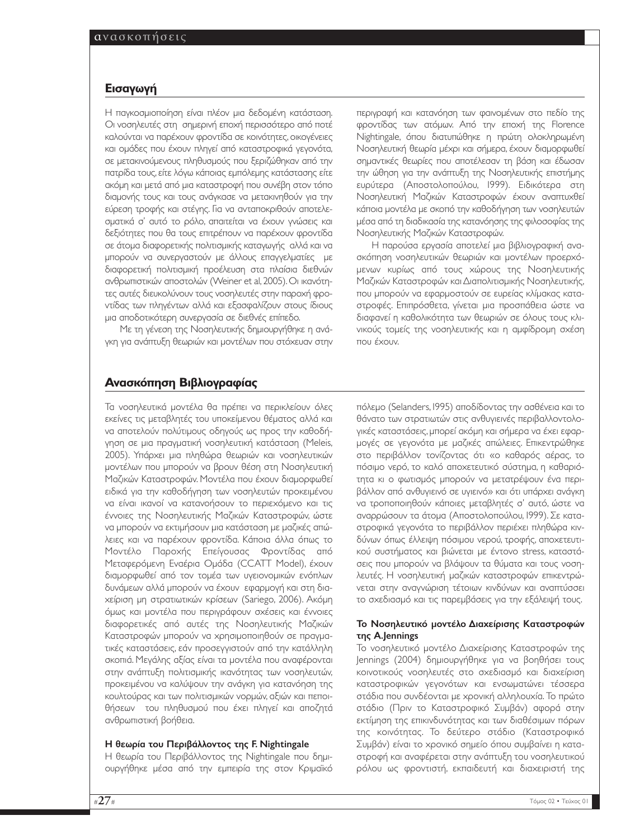#### **Eισαγωγή**

Η παγκοσµιοποίηση είναι πλέον µια δεδοµένη κατάσταση. Οι νοσηλευτές στη σηµερινή εποχή περισσότερο από ποτέ καλούνται να παρέχουν φροντίδα σε κοινότητες, οικογένειες και οµάδες που έχουν πληγεί από καταστροφικά γεγονότα, σε µετακινούµενους πληθυσµούς που ξεριζώθηκαν από την πατρίδα τους,είτε λόγω κάποιας εµπόλεµης κατάστασης είτε ακόµη και µετά από µια καταστροφή που συνέβη στον τόπο διαµονής τους και τους ανάγκασε να µετακινηθούν για την εύρεση τροφής και στέγης. Για να ανταποκριθούν αποτελεσµατικά σ' αυτό το ρόλο, απαιτείται να έχουν γνώσεις και δεξιότητες που θα τους επιτρέπουν να παρέχουν φροντίδα σε άτοµα διαφορετικής πολιτισµικής καταγωγής αλλά και να µπορούν να συνεργαστούν µε άλλους επαγγελµατίες µε διαφορετική πολιτισµική προέλευση στα πλαίσια διεθνών ανθρωπιστικών αποστολών (Weiner et al,2005).Οι ικανότητες αυτές διευκολύνουν τους νοσηλευτές στην παροχή φροντίδας των πληγέντων αλλά και εξασφαλίζουν στους ίδιους µια αποδοτικότερη συνεργασία σε διεθνές επίπεδο.

Με τη γένεση της Νοσηλευτικής δηµιουργήθηκε η ανάγκη για ανάπτυξη θεωριών και µοντέλων που στόχευαν στην περιγραφή και κατανόηση των φαινοµένων στο πεδίο της φροντίδας των ατόµων. Από την εποχή της Florence Nightingale, όπου διατυπώθηκε η πρώτη ολοκληρωµένη Νοσηλευτική θεωρία µέχρι και σήµερα, έχουν διαµορφωθεί σηµαντικές θεωρίες που αποτέλεσαν τη βάση και έδωσαν την ώθηση για την ανάπτυξη της Νοσηλευτικής επιστήµης ευρύτερα (Αποστολοπούλου, 1999). Ειδικότερα στη Νοσηλευτική Μαζικών Καταστροφών έχουν αναπτυχθεί κάποια µοντέλα µε σκοπό την καθοδήγηση των νοσηλευτών µέσα από τη διαδικασία της κατανόησης της φιλοσοφίας της Νοσηλευτικής Μαζικών Καταστροφών.

Η παρούσα εργασία αποτελεί µια βιβλιογραφική ανασκόπηση νοσηλευτικών θεωριών και µοντέλων προερχόµενων κυρίως από τους χώρους της Νοσηλευτικής Μαζικών Καταστροφών και ∆ιαπολιτισµικής Νοσηλευτικής, που µπορούν να εφαρµοστούν σε ευρείας κλίµακας καταστροφές. Επιπρόσθετα, γίνεται µια προσπάθεια ώστε να διαφανεί η καθολικότητα των θεωριών σε όλους τους κλινικούς τοµείς της νοσηλευτικής και η αµφίδροµη σχέση που έχουν.

#### **Ανασκόπηση Βιβλιογραφίας**

Τα νοσηλευτικά µοντέλα θα πρέπει να περικλείουν όλες εκείνες τις µεταβλητές του υποκείµενου θέµατος αλλά και να αποτελούν πολύτιµους οδηγούς ως προς την καθοδήγηση σε µια πραγµατική νοσηλευτική κατάσταση (Meleis, 2005). Υπάρχει µια πληθώρα θεωριών και νοσηλευτικών µοντέλων που µπορούν να βρουν θέση στη Νοσηλευτική Μαζικών Καταστροφών. Μοντέλα που έχουν διαµορφωθεί ειδικά για την καθοδήγηση των νοσηλευτών προκειµένου να είναι ικανοί να κατανοήσουν το περιεχόµενο και τις έννοιες της Νοσηλευτικής Μαζικών Καταστροφών, ώστε να µπορούν να εκτιµήσουν µια κατάσταση µε µαζικές απώλειες και να παρέχουν φροντίδα. Κάποια άλλα όπως το Μοντέλο Παροχής Επείγουσας Φροντίδας από Μεταφερόµενη Εναέρια Οµάδα (CCATT Model), έχουν διαµορφωθεί από τον τοµέα των υγειονοµικών ενόπλων δυνάµεων αλλά µπορούν να έχουν εφαρµογή και στη διαχείριση µη στρατιωτικών κρίσεων (Sariego, 2006). Ακόµη όµως και µοντέλα που περιγράφουν σχέσεις και έννοιες διαφορετικές από αυτές της Νοσηλευτικής Μαζικών Καταστροφών µπορούν να χρησιµοποιηθούν σε πραγµατικές καταστάσεις, εάν προσεγγιστούν από την κατάλληλη σκοπιά. Μεγάλης αξίας είναι τα µοντέλα που αναφέρονται στην ανάπτυξη πολιτισµικής ικανότητας των νοσηλευτών, προκειµένου να καλύψουν την ανάγκη για κατανόηση της κουλτούρας και των πολιτισµικών νορµών, αξιών και πεποιθήσεων του πληθυσµού που έχει πληγεί και αποζητά ανθρωπιστική βοήθεια.

#### Η θεωρία του Περιβάλλοντος της F. Nightingale

Η θεωρία του Περιβάλλοντος της Nightingale που δηµιουργήθηκε µέσα από την εµπειρία της στον Κριµαϊκό

πόλεµο (Selanders, 1995) αποδίδοντας την ασθένεια και το θάνατο των στρατιωτών στις ανθυγιεινές περιβαλλοντολογικές καταστάσεις, µπορεί ακόµη και σήµερα να έχει εφαρµογές σε γεγονότα µε µαζικές απώλειες. Επικεντρώθηκε στο περιβάλλον τονίζοντας ότι «ο καθαρός αέρας, το πόσιµο νερό, το καλό αποχετευτικό σύστηµα, η καθαριότητα κι ο φωτισµός µπορούν να µετατρέψουν ένα περιβάλλον από ανθυγιεινό σε υγιεινό» και ότι υπάρχει ανάγκη να τροποποιηθούν κάποιες µεταβλητές σ' αυτό, ώστε να αναρρώσουν τα άτοµα (Αποστολοπούλου, 1999). Σε καταστροφικά γεγονότα το περιβάλλον περιέχει πληθώρα κινδύνων όπως έλλειψη πόσιµου νερού, τροφής, αποχετευτικού συστήµατος και βιώνεται µε έντονο stress, καταστάσεις που µπορούν να βλάψουν τα θύµατα και τους νοσηλευτές. Η νοσηλευτική µαζικών καταστροφών επικεντρώνεται στην αναγνώριση τέτοιων κινδύνων και αναπτύσσει το σχεδιασµό και τις παρεµβάσεις για την εξάλειψή τους.

#### Το Νοσηλευτικό µοντέλο ∆ιαχείρισης Καταστροφών της Α.Jennings

Το νοσηλευτικό µοντέλο ∆ιαχείρισης Καταστροφών της Jennings (2004) δηµιουργήθηκε για να βοηθήσει τους κοινοτικούς νοσηλευτές στο σχεδιασµό και διαχείριση καταστροφικών γεγονότων και ενσωµατώνει τέσσερα στάδια που συνδέονται µε χρονική αλληλουχία. Το πρώτο στάδιο (Πριν το Καταστροφικό Συµβάν) αφορά στην εκτίµηση της επικινδυνότητας και των διαθέσιµων πόρων της κοινότητας. Το δεύτερο στάδιο (Καταστροφικό Συµβάν) είναι το χρονικό σηµείο όπου συµβαίνει η καταστροφή και αναφέρεται στην ανάπτυξη του νοσηλευτικού ρόλου ως φροντιστή, εκπαιδευτή και διαχειριστή της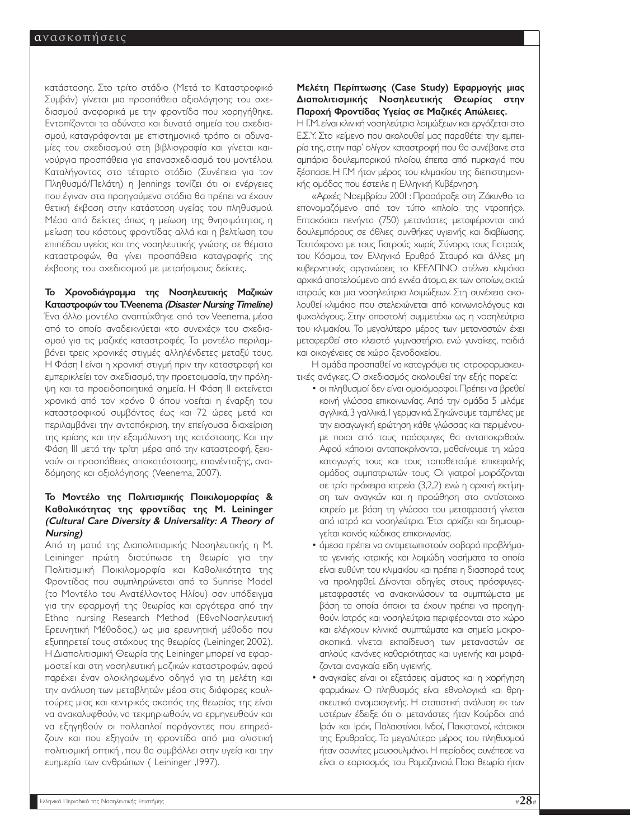κατάστασης. Στο τρίτο στάδιο (Μετά το Καταστροφικό Συµβάν) γίνεται µια προσπάθεια αξιολόγησης του σχεδιασµού αναφορικά µε την φροντίδα που χορηγήθηκε. Εντοπίζονται τα αδύνατα και δυνατά σηµεία του σχεδιασµού, καταγράφονται µε επιστηµονικό τρόπο οι αδυναµίες του σχεδιασµού στη βιβλιογραφία και γίνεται καινούργια προσπάθεια για επανασχεδιασµό του µοντέλου. Καταλήγοντας στο τέταρτο στάδιο (Συνέπεια για τον Πληθυσµό/Πελάτη) η Jennings τονίζει ότι οι ενέργειες που έγιναν στα προηγούµενα στάδια θα πρέπει να έχουν θετική έκβαση στην κατάσταση υγείας του πληθυσµού. Μέσα από δείκτες όπως η µείωση της θνησιµότητας, η µείωση του κόστους φροντίδας αλλά και η βελτίωση του επιπέδου υγείας και της νοσηλευτικής γνώσης σε θέµατα καταστροφών, θα γίνει προσπάθεια καταγραφής της έκβασης του σχεδιασµού µε µετρήσιµους δείκτες.

Το Χρονοδιάγραµµα της Νοσηλευτικής Μαζικών Καταστροφών του Τ.Veenema (Disaster Nursing Timeline) Ένα άλλο µοντέλο αναπτύχθηκε από τον Veenema, µέσα από το οποίο αναδεικνύεται «το συνεχές» του σχεδιασµού για τις µαζικές καταστροφές. Το µοντέλο περιλαµβάνει τρεις χρονικές στιγµές αλληλένδετες µεταξύ τους. Η Φάση Ι είναι η χρονική στιγµή πριν την καταστροφή και εµπερικλείει τον σχεδιασµό, την προετοιµασία, την πρόληψη και τα προειδοποιητικά σηµεία. Η Φάση ΙΙ εκτείνεται χρονικά από τον χρόνο 0 όπου νοείται η έναρξη του καταστροφικού συµβάντος έως και 72 ώρες µετά και περιλαµβάνει την ανταπόκριση, την επείγουσα διαχείριση της κρίσης και την εξοµάλυνση της κατάστασης. Και την Φάση ΙΙΙ µετά την τρίτη µέρα από την καταστροφή, ξεκινούν οι προσπάθειες αποκατάστασης, επανένταξης, αναδόµησης και αξιολόγησης (Veenema, 2007).

#### Το Μοντέλο της Πολιτισµικής Ποικιλοµορφίας & Καθολικότητας της φροντίδας της M. Leininger (Cultural Care Diversity & Universality: A Theory of Nursing)

Από τη µατιά της ∆ιαπολιτισµικής Νοσηλευτικής η M. Leininger πρώτη διατύπωσε τη θεωρία για την Πολιτισµική Ποικιλοµορφία και Καθολικότητα της Φροντίδας που συµπληρώνεται από το Sunrise Model (το Μοντέλο του Ανατέλλοντος Ηλίου) σαν υπόδειγµα για την εφαρµογή της θεωρίας και αργότερα από την Ethno nursing Research Method (ΕθνοΝοσηλευτική Ερευνητική Μέθοδος,) ως µια ερευνητική µέθοδο που εξυπηρετεί τους στόχους της θεωρίας (Leininger, 2002). Η ∆ιαπολιτισµική Θεωρία της Leininger µπορεί να εφαρµοστεί και στη νοσηλευτική µαζικών καταστροφών, αφού παρέχει έναν ολοκληρωµένο οδηγό για τη µελέτη και την ανάλυση των µεταβλητών µέσα στις διάφορες κουλτούρες µιας και κεντρικός σκοπός της θεωρίας της είναι να ανακαλυφθούν, να τεκµηριωθούν, να ερµηνευθούν και να εξηγηθούν οι πολλαπλοί παράγοντες που επηρεάζουν και που εξηγούν τη φροντίδα από µια ολιστική πολιτισµική οπτική , που θα συµβάλλει στην υγεία και την ευηµερία των ανθρώπων ( Leininger ,1997).

#### Μελέτη Περίπτωσης (Case Study) Εφαρµογής µιας ∆ιαπολιτισµικής Νοσηλευτικής Θεωρίας στην Παροχή Φροντίδας Υγείας σε Μαζικές Απώλειες.

Η Γ.Μ.είναι κλινική νοσηλεύτρια λοιµώξεων και εργάζεται στο Ε.Σ.Υ. Στο κείµενο που ακολουθεί µας παραθέτει την εµπειρία της,στην παρ' ολίγον καταστροφή που θα συνέβαινε στα αµπάρια δουλεµπορικού πλοίου, έπειτα από πυρκαγιά που ξέσπασε. Η Γ.Μ ήταν µέρος του κλιµακίου της διεπιστηµονικής οµάδας που έστειλε η Ελληνική Κυβέρνηση.

«Αρχές Νοεµβρίου 2001 : Προσάραξε στη Ζάκυνθο το επονοµαζόµενο από τον τύπο «πλοίο της ντροπής». Επτακόσιοι πενήντα (750) µετανάστες µεταφέρονται από δουλεµπόρους σε άθλιες συνθήκες υγιεινής και διαβίωσης. Ταυτόχρονα µε τους Γιατρούς χωρίς Σύνορα, τους Γιατρούς του Κόσµου, τον Ελληνικό Ερυθρό Σταυρό και άλλες µη κυβερνητικές οργανώσεις το ΚΕΕΛΠΝΟ στέλνει κλιµάκιο αρχικά αποτελούµενο από εννέα άτοµα,εκ των οποίων,οκτώ ιατρούς και µια νοσηλεύτρια λοιµώξεων. Στη συνέχεια ακολουθεί κλιµάκιο που στελεχώνεται από κοινωνιολόγους και ψυχολόγους. Στην αποστολή συµµετέχω ως η νοσηλεύτρια του κλιµακίου. Το µεγαλύτερο µέρος των µεταναστών έχει µεταφερθεί στο κλειστό γυµναστήριο, ενώ γυναίκες, παιδιά και οικογένειες σε χώρο ξενοδοχείου.

Η οµάδα προσπαθεί να καταγράψει τις ιατροφαρµακευτικές ανάγκες. Ο σχεδιασµός ακολουθεί την εξής πορεία:

- οι πληθυσµοί δεν είναι οµοιόµορφοι.Πρέπει να βρεθεί κοινή γλώσσα επικοινωνίας. Από την οµάδα 5 µιλάµε αγγλικά,3 γαλλικά,1 γερµανικά.Σηκώνουµε ταµπέλες µε την εισαγωγική ερώτηση κάθε γλώσσας και περιµένουµε ποιοι από τους πρόσφυγες θα ανταποκριθούν. Αφού κάποιοι ανταποκρίνονται, µαθαίνουµε τη χώρα καταγωγής τους και τους τοποθετούµε επικεφαλής οµάδος συµπατριωτών τους. Οι γιατροί µοιράζονται σε τρία πρόχειρα ιατρεία (3,2,2) ενώ η αρχική εκτίµηση των αναγκών και η προώθηση στο αντίστοιχο ιατρείο µε βάση τη γλώσσα του µεταφραστή γίνεται από ιατρό και νοσηλεύτρια. Έτσι αρχίζει και δηµιουργείται κοινός κώδικας επικοινωνίας.
- άµεσα πρέπει να αντιµετωπιστούν σοβαρά προβλήµατα γενικής ιατρικής και λοιµώδη νοσήµατα τα οποία είναι ευθύνη του κλιµακίου και πρέπει η διασπορά τους να προληφθεί. ∆ίνονται οδηγίες στους πρόσφυγεςµεταφραστές να ανακοινώσουν τα συµπτώµατα µε βάση τα οποία όποιοι τα έχουν πρέπει να προηγηθούν. Ιατρός και νοσηλεύτρια περιφέρονται στο χώρο και ελέγχουν κλινικά συµπτώµατα και σηµεία µακροσκοπικά. γίνεται εκπαίδευση των µεταναστών σε απλούς κανόνες καθαριότητας και υγιεινής και µοιράζονται αναγκαία είδη υγιεινής.
- αναγκαίες είναι οι εξετάσεις αίµατος και η χορήγηση φαρµάκων. Ο πληθυσµός είναι εθνολογικά και θρησκευτικά ανοµοιογενής. Η στατιστική ανάλυση εκ των υστέρων έδειξε ότι οι µετανάστες ήταν Κούρδοι από Ιράν και Ιράκ, Παλαιστίνιοι, Ινδοί, Πακιστανοί, κάτοικοι της Ερυθραίας. Το µεγαλύτερο µέρος του πληθυσµού ήταν σουνίτες µουσουλµάνοι. Η περίοδος συνέπεσε να είναι ο εορτασµός του Ραµαζανιού. Ποια θεωρία ήταν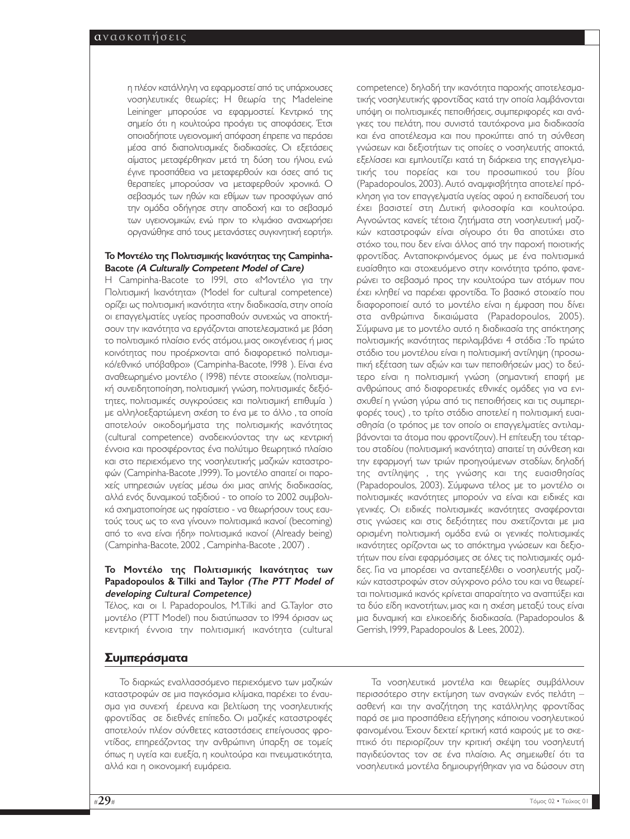η πλέον κατάλληλη να εφαρµοστεί από τις υπάρχουσες νοσηλευτικές θεωρίες; Η θεωρία της Madeleine Leininger µπορούσε να εφαρµοστεί. Κεντρικό της σηµείο ότι η κουλτούρα προάγει τις αποφάσεις. Έτσι οποιαδήποτε υγειονοµική απόφαση έπρεπε να περάσει µέσα από διαπολιτισµικές διαδικασίες. Οι εξετάσεις αίµατος µεταφέρθηκαν µετά τη δύση του ήλιου, ενώ έγινε προσπάθεια να µεταφερθούν και όσες από τις θεραπείες µπορούσαν να µεταφερθούν χρονικά. Ο σεβασµός των ηθών και εθίµων των προσφύγων από την οµάδα οδήγησε στην αποδοχή και το σεβασµό των υγειονοµικών, ενώ πριν το κλιµάκιο αναχωρήσει οργανώθηκε από τους µετανάστες συγκινητική εορτή».

#### Το Μοντέλο της Πολιτισµικής Ικανότητας της Campinha-Bacote (Α Culturally Competent Model of Care)

Η Campinha-Bacote το 1991, στο «Μοντέλο για την Πολιτισµική Ικανότητα» (Model for cultural competence) ορίζει ως πολιτισµική ικανότητα «την διαδικασία, στην οποία οι επαγγελµατίες υγείας προσπαθούν συνεχώς να αποκτήσουν την ικανότητα να εργάζονται αποτελεσµατικά µε βάση το πολιτισµικό πλαίσιο ενός ατόµου, µιας οικογένειας ή µιας κοινότητας που προέρχονται από διαφορετικό πολιτισµικό/εθνικό υπόβαθρο» (Campinha-Bacote, 1998 ). Είναι ένα αναθεωρηµένο µοντέλο ( 1998) πέντε στοιχείων, (πολιτισµική συνειδητοποίηση, πολιτισµική γνώση, πολιτισµικές δεξιότητες, πολιτισµικές συγκρούσεις και πολιτισµική επιθυµία ) µε αλληλοεξαρτώµενη σχέση το ένα µε το άλλο , τα οποία αποτελούν οικοδοµήµατα της πολιτισµικής ικανότητας (cultural competence) αναδεικνύοντας την ως κεντρική έννοια και προσφέροντας ένα πολύτιµο θεωρητικό πλαίσιο και στο περιεχόµενο της νοσηλευτικής µαζικών καταστροφών (Campinha-Bacote ,1999). Το µοντέλο απαιτεί οι παροχείς υπηρεσιών υγείας µέσω όχι µιας απλής διαδικασίας, αλλά ενός δυναµικού ταξιδιού - το οποίο το 2002 συµβολικά σχηµατοποίησε ως ηφαίστειο - να θεωρήσουν τους εαυτούς τους ως το «να γίνουν» πολιτισµικά ικανοί (becoming) από το «να είναι ήδη» πολιτισµικά ικανοί (Already being) (Campinha-Bacote, 2002 , Campinha-Bacote , 2007) .

#### Το Μοντέλο της Πολιτισµικής Ικανότητας των Papadopoulos & Tilki and Taylor (The PTT Model of developing Cultural Competence)

Τέλος, και οι I. Papadopoulos, M.Tilki and G.Taylor στο µοντέλο (PTT Model) που διατύπωσαν το 1994 όρισαν ως κεντρική έννοια την πολιτισµική ικανότητα (cultural

## **Συµπεράσµατα**

Το διαρκώς εναλλασσόµενο περιεχόµενο των µαζικών καταστροφών σε µια παγκόσµια κλίµακα, παρέχει το έναυσµα για συνεχή έρευνα και βελτίωση της νοσηλευτικής φροντίδας σε διεθνές επίπεδο. Οι µαζικές καταστροφές αποτελούν πλέον σύνθετες καταστάσεις επείγουσας φροντίδας, επηρεάζοντας την ανθρώπινη ύπαρξη σε τοµείς όπως η υγεία και ευεξία, η κουλτούρα και πνευµατικότητα, αλλά και η οικονοµική ευµάρεια.

competence) δηλαδή την ικανότητα παροχής αποτελεσµατικής νοσηλευτικής φροντίδας κατά την οποία λαµβάνονται υπόψη οι πολιτισµικές πεποιθήσεις, συµπεριφορές και ανάγκες του πελάτη, που συνιστά ταυτόχρονα µια διαδικασία και ένα αποτέλεσµα και που προκύπτει από τη σύνθεση γνώσεων και δεξιοτήτων τις οποίες ο νοσηλευτής αποκτά, εξελίσσει και εµπλουτίζει κατά τη διάρκεια της επαγγελµατικής του πορείας και του προσωπικού του βίου (Papadopoulos, 2003). Αυτό αναµφισβήτητα αποτελεί πρόκληση για τον επαγγελµατία υγείας αφού η εκπαίδευσή του έχει βασιστεί στη ∆υτική φιλοσοφία και κουλτούρα. Αγνοώντας κανείς τέτοια ζητήµατα στη νοσηλευτική µαζικών καταστροφών είναι σίγουρο ότι θα αποτύχει στο στόχο του, που δεν είναι άλλος από την παροχή ποιοτικής φροντίδας. Ανταποκρινόµενος όµως µε ένα πολιτισµικά ευαίσθητο και στοχευόµενο στην κοινότητα τρόπο, φανερώνει το σεβασµό προς την κουλτούρα των ατόµων που έχει κληθεί να παρέχει φροντίδα. Το βασικό στοιχείο που διαφοροποιεί αυτό το µοντέλο είναι η έµφαση που δίνει στα ανθρώπινα δικαιώµατα (Papadopoulos, 2005). Σύµφωνα µε το µοντέλο αυτό η διαδικασία της απόκτησης πολιτισµικής ικανότητας περιλαµβάνει 4 στάδια :Το πρώτο στάδιο του µοντέλου είναι η πολιτισµική αντίληψη (προσωπική εξέταση των αξιών και των πεποιθήσεών µας) το δεύτερο είναι η πολιτισµική γνώση (σηµαντική επαφή µε ανθρώπους από διαφορετικές εθνικές οµάδες για να ενισχυθεί η γνώση γύρω από τις πεποιθήσεις και τις συµπεριφορές τους) , το τρίτο στάδιο αποτελεί η πολιτισµική ευαισθησία (ο τρόπος µε τον οποίο οι επαγγελµατίες αντιλαµβάνονται τα άτοµα που φροντίζουν). Η επίτευξη του τέταρτου σταδίου (πολιτισµική ικανότητα) απαιτεί τη σύνθεση και την εφαρµογή των τριών προηγούµενων σταδίων, δηλαδή της αντίληψης , της γνώσης και της ευαισθησίας (Papadopoulos, 2003). Σύµφωνα τέλος µε το µοντέλο οι πολιτισµικές ικανότητες µπορούν να είναι και ειδικές και γενικές. Οι ειδικές πολιτισµικές ικανότητες αναφέρονται στις γνώσεις και στις δεξιότητες που σχετίζονται µε µια ορισµένη πολιτισµική οµάδα ενώ οι γενικές πολιτισµικές ικανότητες ορίζονται ως το απόκτηµα γνώσεων και δεξιοτήτων που είναι εφαρµόσιµες σε όλες τις πολιτισµικές οµάδες. Για να µπορέσει να ανταπεξέλθει ο νοσηλευτής µαζικών καταστροφών στον σύγχρονο ρόλο του και να θεωρείται πολιτισµικά ικανός κρίνεται απαραίτητο να αναπτύξει και τα δύο είδη ικανοτήτων, µιας και η σχέση µεταξύ τους είναι µια δυναµική και ελικοειδής διαδικασία. (Papadopoulos & Gerrish, 1999, Papadopoulos & Lees, 2002).

Τα νοσηλευτικά µοντέλα και θεωρίες συµβάλλουν περισσότερο στην εκτίµηση των αναγκών ενός πελάτη – ασθενή και την αναζήτηση της κατάλληλης φροντίδας παρά σε µια προσπάθεια εξήγησης κάποιου νοσηλευτικού φαινοµένου. Έχουν δεχτεί κριτική κατά καιρούς µε το σκεπτικό ότι περιορίζουν την κριτική σκέψη του νοσηλευτή παγιδεύοντας τον σε ένα πλαίσιο. Ας σηµειωθεί ότι τα νοσηλευτικά µοντέλα δηµιουργήθηκαν για να δώσουν στη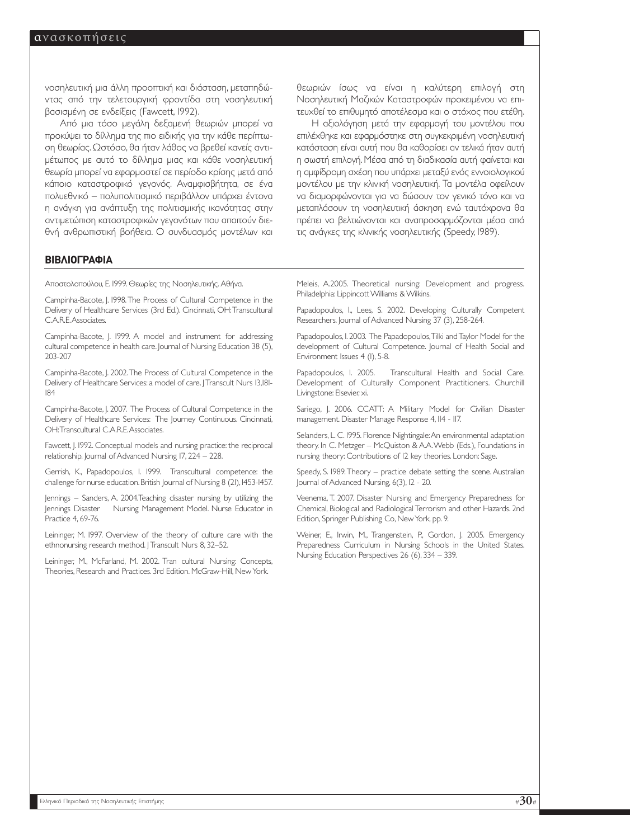νοσηλευτική µια άλλη προοπτική και διάσταση, µεταπηδώντας από την τελετουργική φροντίδα στη νοσηλευτική βασισµένη σε ενδείξεις (Fawcett, 1992).

Από µια τόσο µεγάλη δεξαµενή θεωριών µπορεί να προκύψει το δίλληµα της πιο ειδικής για την κάθε περίπτωση θεωρίας. Ωστόσο, θα ήταν λάθος να βρεθεί κανείς αντιµέτωπος µε αυτό το δίλληµα µιας και κάθε νοσηλευτική θεωρία µπορεί να εφαρµοστεί σε περίοδο κρίσης µετά από κάποιο καταστροφικό γεγονός. Αναµφισβήτητα, σε ένα πολυεθνικό – πολυπολιτισµικό περιβάλλον υπάρχει έντονα η ανάγκη για ανάπτυξη της πολιτισµικής ικανότητας στην αντιµετώπιση καταστροφικών γεγονότων που απαιτούν διεθνή ανθρωπιστική βοήθεια. Ο συνδυασµός µοντέλων και θεωριών ίσως να είναι η καλύτερη επιλογή στη Νοσηλευτική Μαζικών Καταστροφών προκειµένου να επιτευχθεί το επιθυµητό αποτέλεσµα και ο στόχος που ετέθη.

Η αξιολόγηση µετά την εφαρµογή του µοντέλου που επιλέχθηκε και εφαρµόστηκε στη συγκεκριµένη νοσηλευτική κατάσταση είναι αυτή που θα καθορίσει αν τελικά ήταν αυτή η σωστή επιλογή. Μέσα από τη διαδικασία αυτή φαίνεται και η αµφίδροµη σχέση που υπάρχει µεταξύ ενός εννοιολογικού µοντέλου µε την κλινική νοσηλευτική. Τα µοντέλα οφείλουν να διαµορφώνονται για να δώσουν τον γενικό τόνο και να µεταπλάσουν τη νοσηλευτική άσκηση ενώ ταυτόχρονα θα πρέπει να βελτιώνονται και αναπροσαρµόζονται µέσα από τις ανάγκες της κλινικής νοσηλευτικής (Speedy, 1989).

#### **ΒΙΒΛΙΟΓΡΑΦΙΑ**

Αποστολοπούλου, Ε. 1999. Θεωρίες της Νοσηλευτικής. Αθήνα.

Campinha-Bacote, J. 1998.The Process of Cultural Competence in the Delivery of Healthcare Services (3rd Ed.). Cincinnati, OH:Transcultural C.A.R.E.Associates.

Campinha-Bacote, J. 1999. A model and instrument for addressing cultural competence in health care. Journal of Nursing Education 38 (5), 203-207

Campinha-Bacote, J. 2002.The Process of Cultural Competence in the Delivery of Healthcare Services: a model of care. | Transcult Nurs 13,181-184

Campinha-Bacote, J. 2007. The Process of Cultural Competence in the Delivery of Healthcare Services: The Journey Continuous. Cincinnati, OH:Transcultural C.A.R.E.Associates.

Fawcett, J. 1992. Conceptual models and nursing practice: the reciprocal relationship. Journal of Advanced Nursing 17, 224 – 228.

Gerrish, K., Papadopoulos, I. 1999. Transcultural competence: the challenge for nurse education. British Journal of Nursing 8 (21), 1453-1457.

Jennings – Sanders, A. 2004.Teaching disaster nursing by utilizing the Jennings Disaster Nursing Management Model. Nurse Educator in Practice 4, 69-76.

Leininger, M. 1997. Overview of the theory of culture care with the ethnonursing research method. | Transcult Nurs 8, 32–52.

Leininger, M., McFarland, Μ. 2002. Tran cultural Nursing: Concepts, Theories, Research and Practices. 3rd Edition. McGraw-Hill, New York.

Meleis, A.2005. Theoretical nursing: Development and progress. Philadelphia: Lippincott Williams & Wilkins.

Papadopoulos, I., Lees, S. 2002. Developing Culturally Competent Researchers. Journal of Advanced Nursing 37 (3), 258-264.

Papadopoulos, I. 2003. The Papadopoulos,Tilki and Taylor Model for the development of Cultural Competence. Journal of Health Social and Environment Issues 4 (1), 5-8.

Papadopoulos, I. 2005. Transcultural Health and Social Care. Development of Culturally Component Practitioners. Churchill Livingstone: Elsevier, xi.

Sariego, J. 2006. CCATT: A Military Model for Civilian Disaster management. Disaster Manage Response 4, 114 - 117.

Selanders, L. C. 1995. Florence Nightingale:An environmental adaptation theory. In C. Metzger – McQuiston & A.A.Webb (Eds.), Foundations in nursing theory: Contributions of 12 key theories. London: Sage.

Speedy, S. 1989.Theory – practice debate setting the scene. Australian Journal of Advanced Nursing, 6(3), 12 - 20.

Veenema, T. 2007. Disaster Nursing and Emergency Preparedness for Chemical, Biological and Radiological Terrorism and other Hazards. 2nd Edition, Springer Publishing Co, New York, pp. 9.

Weiner, E., Irwin, M., Trangenstein, P., Gordon, J. 2005. Emergency Preparedness Curriculum in Nursing Schools in the United States. Nursing Education Perspectives 26 (6), 334 – 339.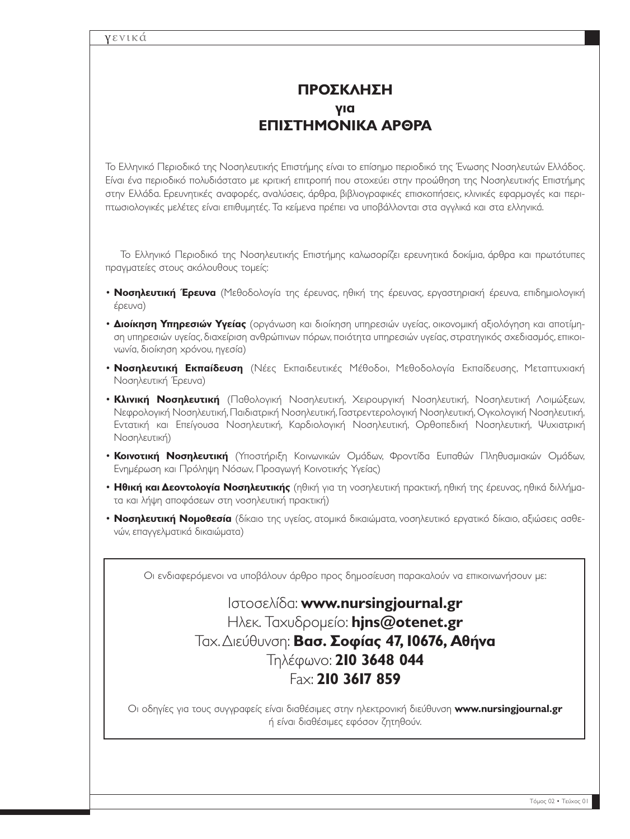# **ΠΡΟΣΚΛΗΣΗ για ΕΠΙΣΤΗΜΟΝΙΚΑ ΑΡΘΡΑ**

Το Ελληνικό Περιοδικό της Νοσηλευτικής Επιστήµης είναι το επίσηµο περιοδικό της Ένωσης Νοσηλευτών Ελλάδος. Είναι ένα περιοδικό πολυδιάστατο µε κριτική επιτροπή που στοχεύει στην προώθηση της Νοσηλευτικής Επιστήµης στην Ελλάδα. Ερευνητικές αναφορές, αναλύσεις, άρθρα, βιβλιογραφικές επισκοπήσεις, κλινικές εφαρµογές και περιπτωσιολογικές µελέτες είναι επιθυµητές. Τα κείµενα πρέπει να υποβάλλονται στα αγγλικά και στα ελληνικά.

Το Ελληνικό Περιοδικό της Νοσηλευτικής Επιστήµης καλωσορίζει ερευνητικά δοκίµια, άρθρα και πρωτότυπες πραγµατείες στους ακόλουθους τοµείς:

- **Νοσηλευτική Έρευνα** (Μεθοδολογία της έρευνας, ηθική της έρευνας, εργαστηριακή έρευνα, επιδηµιολογική έρευνα)
- **∆ιοίκηση Υπηρεσιών Υγείας** (οργάνωση και διοίκηση υπηρεσιών υγείας, οικονοµική αξιολόγηση και αποτίµηση υπηρεσιών υγείας, διαχείριση ανθρώπινων πόρων, ποιότητα υπηρεσιών υγείας, στρατηγικός σχεδιασµός, επικοινωνία, διοίκηση χρόνου, ηγεσία)
- **Νοσηλευτική Εκπαίδευση** (Νέες Εκπαιδευτικές Μέθοδοι, Μεθοδολογία Εκπαίδευσης, Μεταπτυχιακή Νοσηλευτική Έρευνα)
- **Κλινική Νοσηλευτική** (Παθολογική Νοσηλευτική, Χειρουργική Νοσηλευτική, Νοσηλευτική Λοιµώξεων, Νεφρολογική Νοσηλευτική, Παιδιατρική Νοσηλευτική, Γαστρεντερολογική Νοσηλευτική, Ογκολογική Νοσηλευτική, Εντατική και Επείγουσα Νοσηλευτική, Καρδιολογική Νοσηλευτική, Ορθοπεδική Νοσηλευτική, Ψυχιατρική Νοσηλευτική)
- **Κοινοτική Νοσηλευτική** (Υποστήριξη Κοινωνικών Οµάδων, Φροντίδα Ευπαθών Πληθυσµιακών Οµάδων, Ενηµέρωση και Πρόληψη Νόσων, Προαγωγή Κοινοτικής Υγείας)
- **Ηθική και ∆εοντολογία Νοσηλευτικής** (ηθική για τη νοσηλευτική πρακτική, ηθική της έρευνας, ηθικά διλλήµατα και λήψη αποφάσεων στη νοσηλευτική πρακτική)
- **Νοσηλευτική Νοµοθεσία** (δίκαιο της υγείας, ατοµικά δικαιώµατα, νοσηλευτικό εργατικό δίκαιο, αξιώσεις ασθενών, επαγγελµατικά δικαιώµατα)

Οι ενδιαφερόµενοι να υποβάλουν άρθρο προς δηµοσίευση παρακαλούν να επικοινωνήσουν µε:

# Ιστοσελίδα: **www.nursingjournal.gr**  Ηλεκ. Ταχυδροµείο: **hjns@otenet.gr** Ταχ.∆ιεύθυνση: **Βασ. Σοφίας 47, 10676, Αθήνα** Τηλέφωνο: **210 3648 044** Fax: **210 3617 859**

Οι οδηγίες για τους συγγραφείς είναι διαθέσιµες στην ηλεκτρονική διεύθυνση **www.nursingjournal.gr**  ή είναι διαθέσιµες εφόσον ζητηθούν.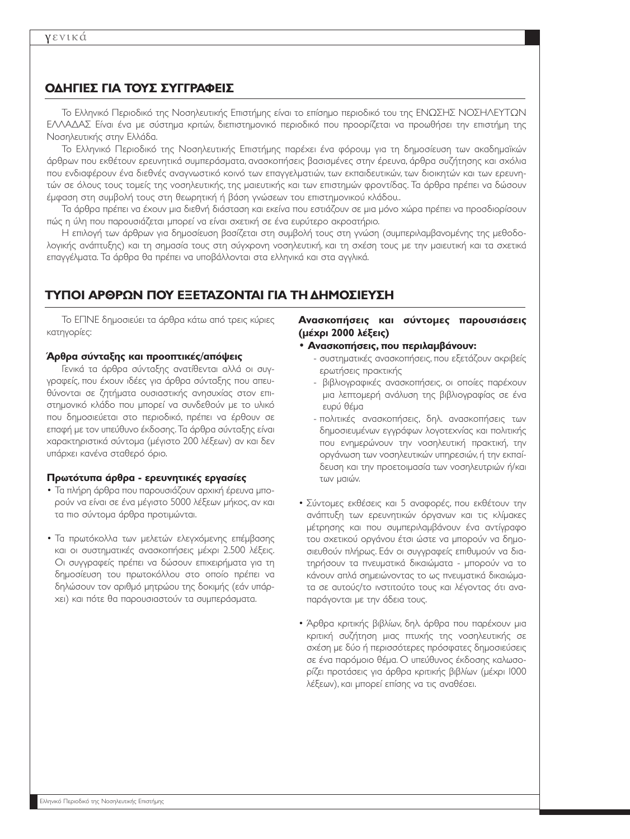## **Ο∆ΗΓΙΕΣ ΓΙΑ ΤΟΥΣ ΣΥΓΓΡΑΦΕΙΣ**

Το Ελληνικό Περιοδικό της Νοσηλευτικής Επιστήµης είναι το επίσηµο περιοδικό του της ΕΝΩΣΗΣ ΝΟΣΗΛΕΥΤΩΝ ΕΛΛΑ∆ΑΣ Είναι ένα µε σύστηµα κριτών, διεπιστηµονικό περιοδικό που προορίζεται να προωθήσει την επιστήµη της Νοσηλευτικής στην Ελλάδα.

Το Ελληνικό Περιοδικό της Νοσηλευτικής Επιστήµης παρέχει ένα φόρουµ για τη δηµοσίευση των ακαδηµαϊκών άρθρων που εκθέτουν ερευνητικά συµπεράσµατα, ανασκοπήσεις βασισµένες στην έρευνα, άρθρα συζήτησης και σχόλια που ενδιαφέρουν ένα διεθνές αναγνωστικό κοινό των επαγγελµατιών, των εκπαιδευτικών, των διοικητών και των ερευνητών σε όλους τους τοµείς της νοσηλευτικής, της µαιευτικής και των επιστηµών φροντίδας. Τα άρθρα πρέπει να δώσουν έµφαση στη συµβολή τους στη θεωρητική ή βάση γνώσεων του επιστηµονικού κλάδου..

Τα άρθρα πρέπει να έχουν µια διεθνή διάσταση και εκείνα που εστιάζουν σε µια µόνο χώρα πρέπει να προσδιορίσουν πώς η ύλη που παρουσιάζεται µπορεί να είναι σχετική σε ένα ευρύτερο ακροατήριο.

Η επιλογή των άρθρων για δηµοσίευση βασίζεται στη συµβολή τους στη γνώση (συµπεριλαµβανοµένης της µεθοδολογικής ανάπτυξης) και τη σηµασία τους στη σύγχρονη νοσηλευτική, και τη σχέση τους µε την µαιευτική και τα σχετικά επαγγέλµατα. Τα άρθρα θα πρέπει να υποβάλλονται στα ελληνικά και στα αγγλικά.

## **ΤΥΠΟΙ ΑΡΘΡΩΝ ΠΟΥ ΕΞΕΤΑΖΟΝΤΑΙ ΓΙΑ ΤΗ ∆ΗΜΟΣΙΕΥΣΗ**

Το ΕΠΝΕ δηµοσιεύει τα άρθρα κάτω από τρεις κύριες κατηγορίες:

#### **Άρθρα σύνταξης και προοπτικές/απόψεις**

Γενικά τα άρθρα σύνταξης ανατίθενται αλλά οι συγγραφείς, που έχουν ιδέες για άρθρα σύνταξης που απευθύνονται σε ζητήµατα ουσιαστικής ανησυχίας στον επιστηµονικό κλάδο που µπορεί να συνδεθούν µε το υλικό που δηµοσιεύεται στο περιοδικό, πρέπει να έρθουν σε επαφή µε τον υπεύθυνο έκδοσης.Τα άρθρα σύνταξης είναι χαρακτηριστικά σύντοµα (µέγιστο 200 λέξεων) αν και δεν υπάρχει κανένα σταθερό όριο.

#### **Πρωτότυπα άρθρα - ερευνητικές εργασίες**

- Τα πλήρη άρθρα που παρουσιάζουν αρχική έρευνα µπορούν να είναι σε ένα µέγιστο 5000 λέξεων µήκος, αν και τα πιο σύντοµα άρθρα προτιµώνται.
- Τα πρωτόκολλα των µελετών ελεγχόµενης επέµβασης και οι συστηµατικές ανασκοπήσεις µέχρι 2.500 λέξεις. Οι συγγραφείς πρέπει να δώσουν επιχειρήµατα για τη δηµοσίευση του πρωτοκόλλου στο οποίο πρέπει να δηλώσουν τον αριθµό µητρώου της δοκιµής (εάν υπάρχει) και πότε θα παρουσιαστούν τα συµπεράσµατα.

#### **Ανασκοπήσεις και σύντοµες παρουσιάσεις (µέχρι 2000 λέξεις)**

- **Ανασκοπήσεις, που περιλαµβάνουν:**
	- συστηµατικές ανασκοπήσεις, που εξετάζουν ακριβείς ερωτήσεις πρακτικής
	- βιβλιογραφικές ανασκοπήσεις, οι οποίες παρέχουν µια λεπτοµερή ανάλυση της βιβλιογραφίας σε ένα ευρύ θέµα
	- πολιτικές ανασκοπήσεις, δηλ. ανασκοπήσεις των δηµοσιευµένων εγγράφων λογοτεχνίας και πολιτικής που ενηµερώνουν την νοσηλευτική πρακτική, την οργάνωση των νοσηλευτικών υπηρεσιών, ή την εκπαίδευση και την προετοιµασία των νοσηλευτριών ή/και των µαιών.
- Σύντοµες εκθέσεις και 5 αναφορές, που εκθέτουν την ανάπτυξη των ερευνητικών όργανων και τις κλίµακες µέτρησης και που συµπεριλαµβάνουν ένα αντίγραφο του σχετικού οργάνου έτσι ώστε να µπορούν να δηµοσιευθούν πλήρως. Εάν οι συγγραφείς επιθυµούν να διατηρήσουν τα πνευµατικά δικαιώµατα - µπορούν να το κάνουν απλά σηµειώνοντας το ως πνευµατικά δικαιώµατα σε αυτούς/το ινστιτούτο τους και λέγοντας ότι αναπαράγονται µε την άδεια τους.
- Άρθρα κριτικής βιβλίων, δηλ. άρθρα που παρέχουν µια κριτική συζήτηση µιας πτυχής της νοσηλευτικής σε σχέση µε δύο ή περισσότερες πρόσφατες δηµοσιεύσεις σε ένα παρόµοιο θέµα. Ο υπεύθυνος έκδοσης καλωσορίζει προτάσεις για άρθρα κριτικής βιβλίων (µέχρι 1000 λέξεων), και µπορεί επίσης να τις αναθέσει.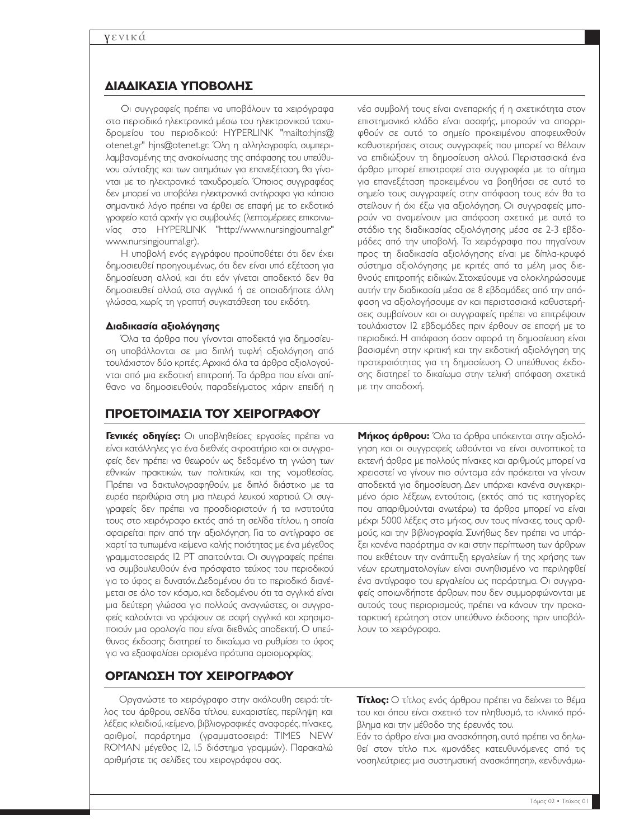## **∆ΙΑ∆ΙΚΑΣΙΑ ΥΠΟΒΟΛΗΣ**

Οι συγγραφείς πρέπει να υποβάλουν τα χειρόγραφα στο περιοδικό ηλεκτρονικά µέσω του ηλεκτρονικού ταχυδροµείου του περιοδικού: HYPERLINK "mailto:hjns@ otenet.gr" hjns@otenet.gr. Όλη η αλληλογραφία, συµπεριλαµβανοµένης της ανακοίνωσης της απόφασης του υπεύθυνου σύνταξης και των αιτηµάτων για επανεξέταση, θα γίνονται µε το ηλεκτρονικό ταχυδροµείο. Όποιος συγγραφέας δεν µπορεί να υποβάλει ηλεκτρονικά αντίγραφα για κάποιο σηµαντικό λόγο πρέπει να έρθει σε επαφή µε το εκδοτικό γραφείο κατά αρχήν για συµβουλές (λεπτοµέρειες επικοινωνίας στο HYPERLINK "http://www.nursingjournal.gr" www.nursingjournal.gr).

Η υποβολή ενός εγγράφου προϋποθέτει ότι δεν έχει δηµοσιευθεί προηγουµένως, ότι δεν είναι υπό εξέταση για δηµοσίευση αλλού, και ότι εάν γίνεται αποδεκτό δεν θα δηµοσιευθεί αλλού, στα αγγλικά ή σε οποιαδήποτε άλλη γλώσσα, χωρίς τη γραπτή συγκατάθεση του εκδότη.

#### **∆ιαδικασία αξιολόγησης**

Όλα τα άρθρα που γίνονται αποδεκτά για δηµοσίευση υποβάλλονται σε µια διπλή τυφλή αξιολόγηση από τουλάχιστον δύο κριτές. Αρχικά όλα τα άρθρα αξιολογούνται από µια εκδοτική επιτροπή. Τα άρθρα που είναι απίθανο να δηµοσιευθούν, παραδείγµατος χάριν επειδή η

## **ΠΡΟΕΤΟΙΜΑΣΙΑ ΤΟΥ ΧΕΙΡΟΓΡΑΦΟΥ**

**Γενικές οδηγίες:** Οι υποβληθείσες εργασίες πρέπει να είναι κατάλληλες για ένα διεθνές ακροατήριο και οι συγγραφείς δεν πρέπει να θεωρούν ως δεδοµένο τη γνώση των εθνικών πρακτικών, των πολιτικών, και της νοµοθεσίας. Πρέπει να δακτυλογραφηθούν, µε διπλό διάστιχο µε τα ευρέα περιθώρια στη µια πλευρά λευκού χαρτιού. Οι συγγραφείς δεν πρέπει να προσδιοριστούν ή τα ινστιτούτα τους στο χειρόγραφο εκτός από τη σελίδα τίτλου, η οποία αφαιρείται πριν από την αξιολόγηση. Για το αντίγραφο σε χαρτί τα τυπωµένα κείµενα καλής ποιότητας µε ένα µέγεθος γραµµατοσειράς 12 PT απαιτούνται. Οι συγγραφείς πρέπει να συµβουλευθούν ένα πρόσφατο τεύχος του περιοδικού για το ύφος ει δυνατόν.∆εδοµένου ότι το περιοδικό διανέµεται σε όλο τον κόσµο, και δεδοµένου ότι τα αγγλικά είναι µια δεύτερη γλώσσα για πολλούς αναγνώστες, οι συγγραφείς καλούνται να γράψουν σε σαφή αγγλικά και χρησιµοποιούν µια ορολογία που είναι διεθνώς αποδεκτή. Ο υπεύθυνος έκδοσης διατηρεί το δικαίωµα να ρυθµίσει το ύφος για να εξασφαλίσει ορισµένα πρότυπα οµοιοµορφίας.

νέα συµβολή τους είναι ανεπαρκής ή η σχετικότητα στον επιστηµονικό κλάδο είναι ασαφής, µπορούν να απορριφθούν σε αυτό το σηµείο προκειµένου αποφευχθούν καθυστερήσεις στους συγγραφείς που µπορεί να θέλουν να επιδιώξουν τη δηµοσίευση αλλού. Περιστασιακά ένα άρθρο µπορεί επιστραφεί στο συγγραφέα µε το αίτηµα για επανεξέταση προκειµένου να βοηθήσει σε αυτό το σηµείο τους συγγραφείς στην απόφαση τους εάν θα το στείλουν ή όχι έξω για αξιολόγηση. Οι συγγραφείς µπορούν να αναµείνουν µια απόφαση σχετικά µε αυτό το στάδιο της διαδικασίας αξιολόγησης µέσα σε 2-3 εβδοµάδες από την υποβολή. Τα χειρόγραφα που πηγαίνουν προς τη διαδικασία αξιολόγησης είναι µε δίπλα-κρυφό σύστηµα αξιολόγησης µε κριτές από τα µέλη µιας διεθνούς επιτροπής ειδικών. Στοχεύουµε να ολοκληρώσουµε αυτήν την διαδικασία µέσα σε 8 εβδοµάδες από την απόφαση να αξιολογήσουµε αν και περιστασιακά καθυστερήσεις συµβαίνουν και οι συγγραφείς πρέπει να επιτρέψουν τουλάχιστον 12 εβδοµάδες πριν έρθουν σε επαφή µε το περιοδικό. Η απόφαση όσον αφορά τη δηµοσίευση είναι βασισµένη στην κριτική και την εκδοτική αξιολόγηση της προτεραιότητας για τη δηµοσίευση. Ο υπεύθυνος έκδοσης διατηρεί το δικαίωµα στην τελική απόφαση σχετικά µε την αποδοχή.

**Μήκος άρθρου:** Όλα τα άρθρα υπόκεινται στην αξιολόγηση και οι συγγραφείς ωθούνται να είναι συνοπτικοί; τα εκτενή άρθρα µε πολλούς πίνακες και αριθµούς µπορεί να χρειαστεί να γίνουν πιο σύντοµα εάν πρόκειται να γίνουν αποδεκτά για δηµοσίευση. ∆εν υπάρχει κανένα συγκεκριµένο όριο λέξεων, εντούτοις, (εκτός από τις κατηγορίες που απαριθµούνται ανωτέρω) τα άρθρα µπορεί να είναι µέχρι 5000 λέξεις στο µήκος, συν τους πίνακες, τους αριθµούς, και την βιβλιογραφία. Συνήθως δεν πρέπει να υπάρξει κανένα παράρτηµα αν και στην περίπτωση των άρθρων που εκθέτουν την ανάπτυξη εργαλείων ή της χρήσης των νέων ερωτηµατολογίων είναι συνηθισµένο να περιληφθεί ένα αντίγραφο του εργαλείου ως παράρτηµα. Οι συγγραφείς οποιωνδήποτε άρθρων, που δεν συµµορφώνονται µε αυτούς τους περιορισµούς, πρέπει να κάνουν την προκαταρκτική ερώτηση στον υπεύθυνο έκδοσης πριν υποβάλλουν το χειρόγραφο.

## **ΟΡΓΑΝΩΣΗ ΤΟΥ ΧΕΙΡΟΓΡΑΦΟΥ**

Οργανώστε το χειρόγραφο στην ακόλουθη σειρά: τίτλος του άρθρου, σελίδα τίτλου, ευχαριστίες, περίληψη και λέξεις κλειδιού, κείµενο, βιβλιογραφικές αναφορές, πίνακες, αριθµοί, παράρτηµα (γραµµατοσειρά: TIMES NEW ROMAN µέγεθος 12, 1.5 διάστηµα γραµµών). Παρακαλώ αριθµήστε τις σελίδες του χειρογράφου σας.

**Τίτλος:** Ο τίτλος ενός άρθρου πρέπει να δείχνει το θέµα του και όπου είναι σχετικό τον πληθυσµό, το κλινικό πρόβληµα και την µέθοδο της έρευνάς του.

Εάν το άρθρο είναι µια ανασκόπηση, αυτό πρέπει να δηλωθεί στον τίτλο π.χ. «µονάδες κατευθυνόµενες από τις νοσηλεύτριες: µια συστηµατική ανασκόπηση», «ενδυνάµω-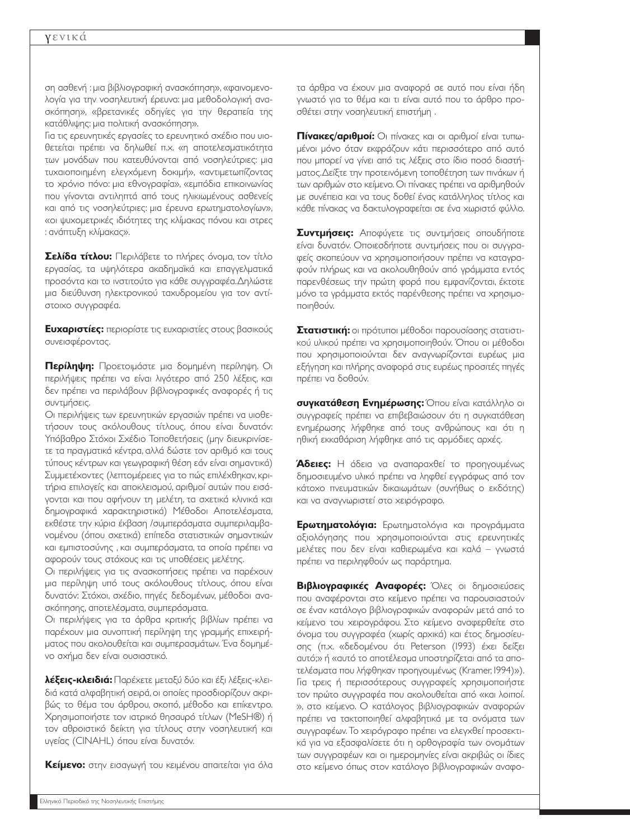#### γενικά

ση ασθενή : µια βιβλιογραφική ανασκόπηση», «φαινοµενολογία για την νοσηλευτική έρευνα: µια µεθοδολογική ανασκόπηση», «βρετανικές οδηγίες για την θεραπεία της κατάθλιψης: µια πολιτική ανασκόπηση».

Για τις ερευνητικές εργασίες το ερευνητικό σχέδιο που υιοθετείται πρέπει να δηλωθεί π.χ. «η αποτελεσµατικότητα των µονάδων που κατευθύνονται από νοσηλεύτριες: µια τυχαιοποιηµένη ελεγχόµενη δοκιµή», «αντιµετωπίζοντας το χρόνιο πόνο: µια εθνογραφία», «εµπόδια επικοινωνίας που γίνονται αντιληπτά από τους ηλικιωµένους ασθενείς και από τις νοσηλεύτριες: µια έρευνα ερωτηµατολογίων», «οι ψυχοµετρικές ιδιότητες της κλίµακας πόνου και στρες : ανάπτυξη κλίµακας».

**Σελίδα τίτλου:** Περιλάβετε το πλήρες όνοµα, τον τίτλο εργασίας, τα υψηλότερα ακαδηµαϊκά και επαγγελµατικά προσόντα και το ινστιτούτο για κάθε συγγραφέα.∆ηλώστε µια διεύθυνση ηλεκτρονικού ταχυδροµείου για τον αντίστοιχο συγγραφέα.

**Ευχαριστίες:** περιορίστε τις ευχαριστίες στους βασικούς συνεισφέροντας.

**Περίληψη:** Προετοιµάστε µια δοµηµένη περίληψη. Οι περιλήψεις πρέπει να είναι λιγότερο από 250 λέξεις, και δεν πρέπει να περιλάβουν βιβλιογραφικές αναφορές ή τις συντµήσεις.

Οι περιλήψεις των ερευνητικών εργασιών πρέπει να υιοθετήσουν τους ακόλουθους τίτλους, όπου είναι δυνατόν: Υπόβαθρο Στόχοι Σχέδιο Τοποθετήσεις (µην διευκρινίσετε τα πραγµατικά κέντρα, αλλά δώστε τον αριθµό και τους τύπους κέντρων και γεωγραφική θέση εάν είναι σηµαντικά) Συµµετέχοντες (λεπτοµέρειες για το πώς επιλέχθηκαν, κριτήρια επιλογείς και αποκλεισµού, αριθµοί αυτών που εισάγονται και που αφήνουν τη µελέτη, τα σχετικά κλινικά και δηµογραφικά χαρακτηριστικά) Μέθοδοι Αποτελέσµατα, εκθέστε την κύρια έκβαση /συµπεράσµατα συµπεριλαµβανοµένου (όπου σχετικά) επίπεδα στατιστικών σηµαντικών και εµπιστοσύνης , και συµπεράσµατα, τα οποία πρέπει να αφορούν τους στόχους και τις υποθέσεις µελέτης.

Οι περιλήψεις για τις ανασκοπήσεις πρέπει να παρέχουν µια περίληψη υπό τους ακόλουθους τίτλους, όπου είναι δυνατόν: Στόχοι, σχέδιο, πηγές δεδοµένων, µέθοδοι ανασκόπησης, αποτελέσµατα, συµπεράσµατα.

Οι περιλήψεις για τα άρθρα κριτικής βιβλίων πρέπει να παρέχουν µια συνοπτική περίληψη της γραµµής επιχειρήµατος που ακολουθείται και συµπερασµάτων. Ένα δοµηµένο σχήµα δεν είναι ουσιαστικό.

**λέξεις-κλειδιά:** Παρέχετε µεταξύ δύο και έξι λέξεις-κλειδιά κατά αλφαβητική σειρά, οι οποίες προσδιορίζουν ακριβώς το θέµα του άρθρου, σκοπό, µέθοδο και επίκεντρο. Χρησιµοποιήστε τον ιατρικό θησαυρό τίτλων (MeSH®) ή τον αθροιστικό δείκτη για τίτλους στην νοσηλευτική και υγείας (CINAHL) όπου είναι δυνατόν.

**Κείµενο:** στην εισαγωγή του κειµένου απαιτείται για όλα

τα άρθρα να έχουν µια αναφορά σε αυτό που είναι ήδη γνωστό για το θέµα και τι είναι αυτό που το άρθρο προσθέτει στην νοσηλευτική επιστήµη .

**Πίνακες/αριθµοί:** Οι πίνακες και οι αριθµοί είναι τυπωµένοι µόνο όταν εκφράζουν κάτι περισσότερο από αυτό που µπορεί να γίνει από τις λέξεις στο ίδιο ποσό διαστήµατος.∆είξτε την προτεινόµενη τοποθέτηση των πινάκων ή των αριθµών στο κείµενο.Οι πίνακες πρέπει να αριθµηθούν µε συνέπεια και να τους δοθεί ένας κατάλληλος τίτλος και κάθε πίνακας να δακτυλογραφείται σε ένα χωριστό φύλλο.

**Συντµήσεις:** Αποφύγετε τις συντµήσεις οπουδήποτε είναι δυνατόν. Οποιεσδήποτε συντµήσεις που οι συγγραφείς σκοπεύουν να χρησιµοποιήσουν πρέπει να καταγραφούν πλήρως και να ακολουθηθούν από γράµµατα εντός παρενθέσεως την πρώτη φορά που εµφανίζονται, έκτοτε µόνο τα γράµµατα εκτός παρένθεσης πρέπει να χρησιµοποιηθούν.

**Στατιστική:** οι πρότυποι µέθοδοι παρουσίασης στατιστικού υλικού πρέπει να χρησιµοποιηθούν. Όπου οι µέθοδοι που χρησιµοποιούνται δεν αναγνωρίζονται ευρέως µια εξήγηση και πλήρης αναφορά στις ευρέως προσιτές πηγές πρέπει να δοθούν.

**συγκατάθεση Ενηµέρωσης:** Όπου είναι κατάλληλο οι συγγραφείς πρέπει να επιβεβαιώσουν ότι η συγκατάθεση ενηµέρωσης λήφθηκε από τους ανθρώπους και ότι η ηθική εκκαθάριση λήφθηκε από τις αρµόδιες αρχές.

**Άδειες:** Η άδεια να αναπαραχθεί το προηγουµένως δηµοσιευµένο υλικό πρέπει να ληφθεί εγγράφως από τον κάτοχο πνευµατικών δικαιωµάτων (συνήθως ο εκδότης) και να αναγνωριστεί στο χειρόγραφο.

**Ερωτηµατολόγια:** Ερωτηµατολόγια και προγράµµατα αξιολόγησης που χρησιµοποιούνται στις ερευνητικές µελέτες που δεν είναι καθιερωµένα και καλά – γνωστά πρέπει να περιληφθούν ως παράρτηµα.

**Βιβλιογραφικές Αναφορές:** Όλες οι δηµοσιεύσεις που αναφέρονται στο κείµενο πρέπει να παρουσιαστούν σε έναν κατάλογο βιβλιογραφικών αναφορών µετά από το κείµενο του χειρογράφου. Στο κείµενο αναφερθείτε στο όνοµα του συγγραφέα (χωρίς αρχικά) και έτος δηµοσίευσης (π.χ. «δεδοµένου ότι Peterson (1993) έχει δείξει αυτό;» ή «αυτό το αποτέλεσµα υποστηρίζεται από τα αποτελέσµατα που λήφθηκαν προηγουµένως (Kramer, 1994)»). Για τρεις ή περισσότερους συγγραφείς χρησιµοποιήστε τον πρώτο συγγραφέα που ακολουθείται από «και λοιποί. », στο κείµενο. Ο κατάλογος βιβλιογραφικών αναφορών πρέπει να τακτοποιηθεί αλφαβητικά µε τα ονόµατα των συγγραφέων. Το χειρόγραφο πρέπει να ελεγχθεί προσεκτικά για να εξασφαλίσετε ότι η ορθογραφία των ονοµάτων των συγγραφέων και οι ηµεροµηνίες είναι ακριβώς οι ίδιες στο κείµενο όπως στον κατάλογο βιβλιογραφικών αναφο-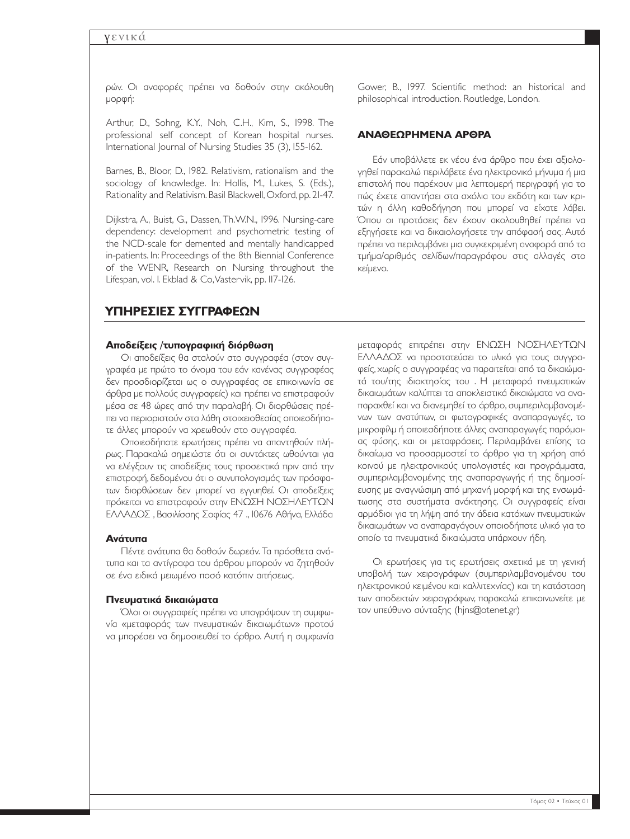#### γενικά

ρών. Οι αναφορές πρέπει να δοθούν στην ακόλουθη µορφή:

Arthur, D., Sohng, K.Y., Noh, C.H., Kim, S., 1998. The professional self concept of Korean hospital nurses. International Journal of Nursing Studies 35 (3), 155-162.

Barnes, B., Bloor, D., 1982. Relativism, rationalism and the sociology of knowledge. In: Hollis, M., Lukes, S. (Eds.), Rationality and Relativism.Basil Blackwell,Oxford, pp. 21-47.

Dijkstra, A., Buist, G., Dassen, Th.W.N., 1996. Nursing-care dependency: development and psychometric testing of the NCD-scale for demented and mentally handicapped in-patients. In: Proceedings of the 8th Biennial Conference of the WENR, Research on Nursing throughout the Lifespan, vol. 1. Ekblad & Co,Vastervik, pp. 117-126.

Gower, B., 1997. Scientific method: an historical and philosophical introduction. Routledge, London.

#### **ΑΝΑΘΕΩΡΗΜΕΝΑ ΑΡΘΡΑ**

Εάν υποβάλλετε εκ νέου ένα άρθρο που έχει αξιολογηθεί παρακαλώ περιλάβετε ένα ηλεκτρονικό µήνυµα ή µια επιστολή που παρέχουν µια λεπτοµερή περιγραφή για το πώς έχετε απαντήσει στα σχόλια του εκδότη και των κριτών η άλλη καθοδήγηση που µπορεί να είχατε λάβει. Όπου οι προτάσεις δεν έχουν ακολουθηθεί πρέπει να εξηγήσετε και να δικαιολογήσετε την απόφασή σας. Αυτό πρέπει να περιλαµβάνει µια συγκεκριµένη αναφορά από το τµήµα/αριθµός σελίδων/παραγράφου στις αλλαγές στο κείµενο.

## **ΥΠΗΡΕΣΙΕΣ ΣΥΓΓΡΑΦΕΩΝ**

#### **Αποδείξεις /τυπογραφική διόρθωση**

Οι αποδείξεις θα σταλούν στο συγγραφέα (στον συγγραφέα µε πρώτο το όνοµα του εάν κανένας συγγραφέας δεν προσδιορίζεται ως ο συγγραφέας σε επικοινωνία σε άρθρα µε πολλούς συγγραφείς) και πρέπει να επιστραφούν µέσα σε 48 ώρες από την παραλαβή. Οι διορθώσεις πρέπει να περιοριστούν στα λάθη στοιχειοθεσίας οποιεσδήποτε άλλες µπορούν να χρεωθούν στο συγγραφέα.

Οποιεσδήποτε ερωτήσεις πρέπει να απαντηθούν πλήρως. Παρακαλώ σηµειώστε ότι οι συντάκτες ωθούνται για να ελέγξουν τις αποδείξεις τους προσεκτικά πριν από την επιστροφή, δεδοµένου ότι ο συνυπολογισµός των πρόσφατων διορθώσεων δεν µπορεί να εγγυηθεί. Οι αποδείξεις πρόκειται να επιστραφούν στην ΕΝΩΣΗ ΝΟΣΗΛΕΥΤΩΝ ΕΛΛΑ∆ΟΣ , Βασιλίσσης Σοφίας 47 ., 10676 Αθήνα, Ελλάδα

#### **Ανάτυπα**

Πέντε ανάτυπα θα δοθούν δωρεάν. Τα πρόσθετα ανάτυπα και τα αντίγραφα του άρθρου µπορούν να ζητηθούν σε ένα ειδικά µειωµένο ποσό κατόπιν αιτήσεως.

#### **Πνευµατικά δικαιώµατα**

Όλοι οι συγγραφείς πρέπει να υπογράψουν τη συµφωνία «µεταφοράς των πνευµατικών δικαιωµάτων» προτού να µπορέσει να δηµοσιευθεί το άρθρο. Αυτή η συµφωνία

µεταφοράς επιτρέπει στην ΕΝΩΣΗ ΝΟΣΗΛΕΥΤΩΝ ΕΛΛΑ∆ΟΣ να προστατεύσει το υλικό για τους συγγραφείς, χωρίς ο συγγραφέας να παραιτείται από τα δικαιώµατά του/της ιδιοκτησίας του . Η µεταφορά πνευµατικών δικαιωµάτων καλύπτει τα αποκλειστικά δικαιώµατα να αναπαραχθεί και να διανεµηθεί το άρθρο, συµπεριλαµβανοµένων των ανατύπων, οι φωτογραφικές αναπαραγωγές, το µικροφίλµ ή οποιεσδήποτε άλλες αναπαραγωγές παρόµοιας φύσης, και οι µεταφράσεις. Περιλαµβάνει επίσης το δικαίωµα να προσαρµοστεί το άρθρο για τη χρήση από κοινού µε ηλεκτρονικούς υπολογιστές και προγράµµατα, συµπεριλαµβανοµένης της αναπαραγωγής ή της δηµοσίευσης µε αναγνώσιµη από µηχανή µορφή και της ενσωµάτωσης στα συστήµατα ανάκτησης. Οι συγγραφείς είναι αρµόδιοι για τη λήψη από την άδεια κατόχων πνευµατικών δικαιωµάτων να αναπαραγάγουν οποιοδήποτε υλικό για το οποίο τα πνευµατικά δικαιώµατα υπάρχουν ήδη.

Οι ερωτήσεις για τις ερωτήσεις σχετικά µε τη γενική υποβολή των χειρογράφων (συµπεριλαµβανοµένου του ηλεκτρονικού κειµένου και καλλιτεχνίας) και τη κατάσταση των αποδεκτών χειρογράφων, παρακαλώ επικοινωνείτε µε τον υπεύθυνο σύνταξης (hjns@otenet.gr)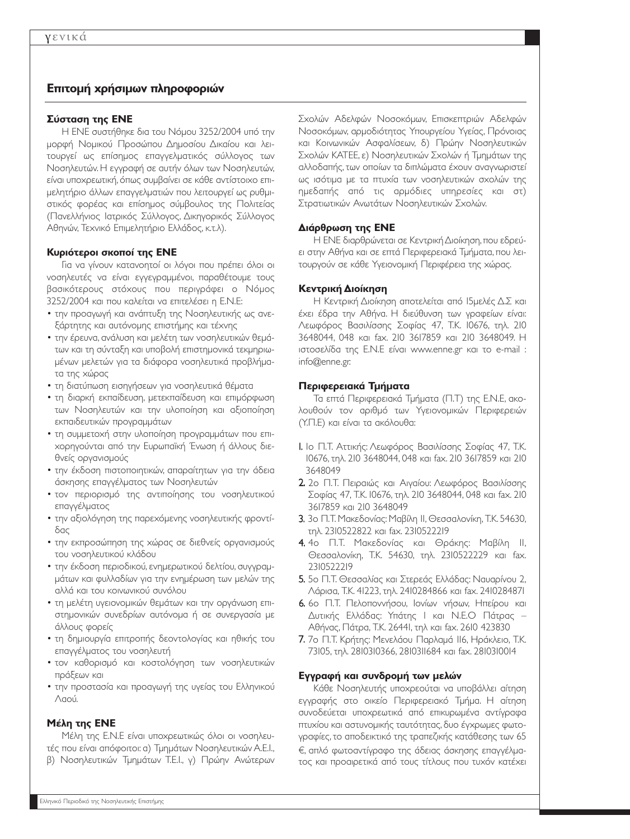## **Επιτοµή χρήσιµων πληροφοριών**

#### **Σύσταση της ΕΝΕ**

Η ΕΝΕ συστήθηκε δια του Νόµου 3252/2004 υπό την µορφή Νοµικού Προσώπου ∆ηµοσίου ∆ικαίου και λειτουργεί ως επίσηµος επαγγελµατικός σύλλογος των Νοσηλευτών. Η εγγραφή σε αυτήν όλων των Νοσηλευτών, είναι υποχρεωτική, όπως συµβαίνει σε κάθε αντίστοιχο επιµελητήριο άλλων επαγγελµατιών που λειτουργεί ως ρυθµιστικός φορέας και επίσηµος σύµβουλος της Πολιτείας (Πανελλήνιος Ιατρικός Σύλλογος, ∆ικηγορικός Σύλλογος Αθηνών, Τεχνικό Επιµελητήριο Ελλάδος, κ.τ.λ).

#### **Κυριότεροι σκοποί της ΕΝΕ**

Για να γίνουν κατανοητοί οι λόγοι που πρέπει όλοι οι νοσηλευτές να είναι εγγεγραµµένοι, παραθέτουµε τους βασικότερους στόχους που περιγράφει ο Νόµος 3252/2004 και που καλείται να επιτελέσει η Ε.Ν.Ε:

- την προαγωγή και ανάπτυξη της Νοσηλευτικής ως ανεξάρτητης και αυτόνοµης επιστήµης και τέχνης
- την έρευνα, ανάλυση και µελέτη των νοσηλευτικών θεµάτων και τη σύνταξη και υποβολή επιστηµονικά τεκµηριωµένων µελετών για τα διάφορα νοσηλευτικά προβλήµατα της χώρας
- τη διατύπωση εισηγήσεων για νοσηλευτικά θέµατα
- τη διαρκή εκπαίδευση, µετεκπαίδευση και επιµόρφωση των Νοσηλευτών και την υλοποίηση και αξιοποίηση εκπαιδευτικών προγραµµάτων
- τη συµµετοχή στην υλοποίηση προγραµµάτων που επιχορηγούνται από την Ευρωπαϊκή Ένωση ή άλλους διεθνείς οργανισµούς
- την έκδοση πιστοποιητικών, απαραίτητων για την άδεια άσκησης επαγγέλµατος των Νοσηλευτών
- τον περιορισµό της αντιποίησης του νοσηλευτικού επαγγέλµατος
- την αξιολόγηση της παρεχόµενης νοσηλευτικής φροντίδας
- την εκπροσώπηση της χώρας σε διεθνείς οργανισµούς του νοσηλευτικού κλάδου
- την έκδοση περιοδικού, ενηµερωτικού δελτίου, συγγραµµάτων και φυλλαδίων για την ενηµέρωση των µελών της αλλά και του κοινωνικού συνόλου
- τη µελέτη υγειονοµικών θεµάτων και την οργάνωση επιστηµονικών συνεδρίων αυτόνοµα ή σε συνεργασία µε άλλους φορείς
- τη δηµιουργία επιτροπής δεοντολογίας και ηθικής του επαγγέλµατος του νοσηλευτή
- τον καθορισµό και κοστολόγηση των νοσηλευτικών πράξεων και
- την προστασία και προαγωγή της υγείας του Ελληνικού Λαού.

#### **Μέλη της ΕΝΕ**

Μέλη της Ε.Ν.Ε είναι υποχρεωτικώς όλοι οι νοσηλευτές που είναι απόφοιτοι: α) Τµηµάτων Νοσηλευτικών A.E.I., β) Νοσηλευτικών Τµηµάτων T.E.I., γ) Πρώην Ανώτερων Σχολών Αδελφών Νοσοκόµων, Επισκεπτριών Αδελφών Νοσοκόµων, αρµοδιότητας Υπουργείου Υγείας, Πρόνοιας και Κοινωνικών Ασφαλίσεων, δ) Πρώην Νοσηλευτικών Σχολών ΚΑΤΕΕ, ε) Νοσηλευτικών Σχολών ή Τµηµάτων της αλλοδαπής, των οποίων τα διπλώµατα έχουν αναγνωριστεί ως ισότιµα µε τα πτυχία των νοσηλευτικών σχολών της ηµεδαπής από τις αρµόδιες υπηρεσίες και στ) Στρατιωτικών Ανωτάτων Νοσηλευτικών Σχολών.

#### **∆ιάρθρωση της ΕΝΕ**

Η ΕΝΕ διαρθρώνεται σε Κεντρική ∆ιοίκηση,που εδρεύει στην Αθήνα και σε επτά Περιφερειακά Τµήµατα, που λειτουργούν σε κάθε Υγειονοµική Περιφέρεια της χώρας.

#### **Κεντρική ∆ιοίκηση**

Η Κεντρική ∆ιοίκηση αποτελείται από 15µελές ∆.Σ και έχει έδρα την Αθήνα. Η διεύθυνση των γραφείων είναι: Λεωφόρος Βασιλίσσης Σοφίας 47, Τ.Κ. 10676, τηλ. 210 3648044, 048 και fax. 210 3617859 και 210 3648049. Η ιστοσελίδα της Ε.Ν.Ε είναι www.enne.gr και το e-mail : info@enne.gr.

#### **Περιφερειακά Τµήµατα**

Τα επτά Περιφερειακά Τµήµατα (Π.Τ) της Ε.Ν.Ε, ακολουθούν τον αριθµό των Υγειονοµικών Περιφερειών (Υ.Π.Ε) και είναι τα ακόλουθα:

- 1. 1ο Π.Τ. Αττικής: Λεωφόρος Βασιλίσσης Σοφίας 47, Τ.Κ. 10676, τηλ. 210 3648044, 048 και fax. 210 3617859 και 210 3648049
- 2. 2ο Π.Τ. Πειραιώς και Αιγαίου: Λεωφόρος Βασιλίσσης Σοφίας 47, Τ.Κ. 10676, τηλ. 210 3648044, 048 και fax. 210 3617859 και 210 3648049
- 3. 3ο Π.Τ. Μακεδονίας: Μαβίλη 11, Θεσσαλονίκη, Τ.Κ. 54630, τηλ. 2310522822 και fax. 2310522219
- 4. 4ο Π.Τ. Μακεδονίας και Θράκης: Μαβίλη 11, Θεσσαλονίκη, Τ.Κ. 54630, τηλ. 2310522229 και fax. 2310522219
- 5. 5ο Π.Τ. Θεσσαλίας και Στερεάς Ελλάδας: Ναυαρίνου 2, Λάρισα, Τ.Κ. 41223, τηλ. 2410284866 και fax. 2410284871
- 6. 6ο Π.Τ. Πελοποννήσου, Ιονίων νήσων, Ηπείρου και ∆υτικής Ελλάδας: Υπάτης 1 και Ν.Ε.Ο Πάτρας – Αθήνας, Πάτρα, Τ.Κ. 26441, τηλ και fax. 2610 423830
- 7. 7ο Π.Τ. Κρήτης: Μενελάου Παρλαµά 116, Ηράκλειο, Τ.Κ. 73105, τηλ. 2810310366, 2810311684 και fax. 2810310014

#### **Εγγραφή και συνδροµή των µελών**

Κάθε Νοσηλευτής υποχρεούται να υποβάλλει αίτηση εγγραφής στο οικείο Περιφερειακό Τµήµα. Η αίτηση συνοδεύεται υποχρεωτικά από επικυρωµένα αντίγραφα πτυχίου και αστυνοµικής ταυτότητας, δυο έγχρωµες φωτογραφίες, το αποδεικτικό της τραπεζικής κατάθεσης των 65 €, απλό φωτοαντίγραφο της άδειας άσκησης επαγγέλματος και προαιρετικά από τους τίτλους που τυχόν κατέχει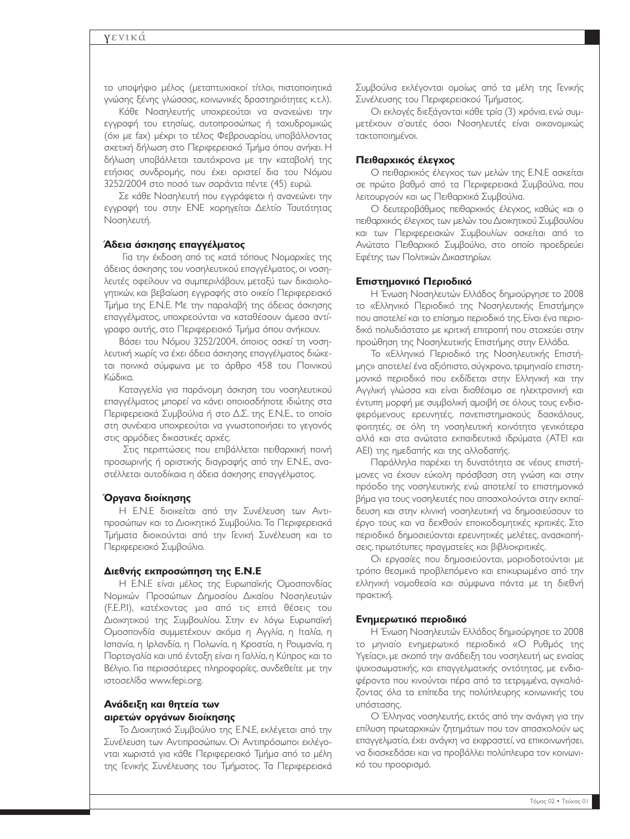το υποψήφιο µέλος (µεταπτυχιακοί τίτλοι, πιστοποιητικά γνώσης ξένης γλώσσας, κοινωνικές δραστηριότητες κ.τ.λ).

Κάθε Νοσηλευτής υποχρεούται να ανανεώνει την εγγραφή του ετησίως, αυτοπροσώπως ή ταχυδροµικώς (όχι µε fax) µέχρι το τέλος Φεβρουαρίου, υποβάλλοντας σχετική δήλωση στο Περιφερειακό Τµήµα όπου ανήκει. Η δήλωση υποβάλλεται ταυτόχρονα µε την καταβολή της ετήσιας συνδροµής, που έχει οριστεί δια του Νόµου 3252/2004 στο ποσό των σαράντα πέντε (45) ευρώ.

Σε κάθε Νοσηλευτή που εγγράφεται ή ανανεώνει την εγγραφή του στην ΕΝΕ χορηγείται ∆ελτίο Ταυτότητας Νοσηλευτή.

#### **Άδεια άσκησης επαγγέλµατος**

Για την έκδοση από τις κατά τόπους Νοµαρχίες της άδειας άσκησης του νοσηλευτικού επαγγέλµατος, οι νοσηλευτές οφείλουν να συµπεριλάβουν, µεταξύ των δικαιολογητικών, και βεβαίωση εγγραφής στο οικείο Περιφερειακό Τµήµα της Ε.Ν.Ε. Με την παραλαβή της άδειας άσκησης επαγγέλµατος, υποχρεούνται να καταθέσουν άµεσα αντίγραφο αυτής, στο Περιφερειακό Τµήµα όπου ανήκουν.

Βάσει του Νόµου 3252/2004, όποιος ασκεί τη νοσηλευτική χωρίς να έχει άδεια άσκησης επαγγέλµατος διώκεται ποινικά σύµφωνα µε το άρθρο 458 του Ποινικού Κώδικα.

Καταγγελία για παράνοµη άσκηση του νοσηλευτικού επαγγέλµατος µπορεί να κάνει οποιοσδήποτε ιδιώτης στα Περιφερειακά Συµβούλια ή στο ∆.Σ. της Ε.Ν.Ε., το οποίο στη συνέχεια υποχρεούται να γνωστοποιήσει το γεγονός στις αρµόδιες δικαστικές αρχές.

Στις περιπτώσεις που επιβάλλεται πειθαρχική ποινή προσωρινής ή οριστικής διαγραφής από την Ε.Ν.Ε., αναστέλλεται αυτοδίκαια η άδεια άσκησης επαγγέλµατος.

#### **Όργανα διοίκησης**

Η Ε.Ν.Ε διοικείται από την Συνέλευση των Αντιπροσώπων και το ∆ιοικητικό Συµβούλιο. Τα Περιφερειακά Τµήµατα διοικούνται από την Γενική Συνέλευση και το Περιφερειακό Συµβούλιο.

#### **∆ιεθνής εκπροσώπηση της Ε.Ν.Ε**

Η Ε.Ν.Ε είναι µέλος της Ευρωπαϊκής Οµοσπονδίας Νοµικών Προσώπων ∆ηµοσίου ∆ικαίου Νοσηλευτών (F.E.P.I), κατέχοντας µια από τις επτά θέσεις του ∆ιοικητικού της Συµβουλίου. Στην εν λόγω Ευρωπαϊκή Οµοσπονδία συµµετέχουν ακόµα η Αγγλία, η Ιταλία, η Ισπανία, η Ιρλανδία, η Πολωνία, η Κροατία, η Ρουµανία, η Πορτογαλία και υπό ένταξη είναι η Γαλλία, η Κύπρος και το Βέλγιο. Για περισσότερες πληροφορίες, συνδεθείτε µε την ιστοσελίδα www.fepi.org.

#### **Ανάδειξη και θητεία των αιρετών οργάνων διοίκησης**

Το ∆ιοικητικό Συµβούλιο της Ε.Ν.Ε, εκλέγεται από την Συνέλευση των Αντιπροσώπων. Οι Αντιπρόσωποι εκλέγονται χωριστά για κάθε Περιφερειακό Τµήµα από τα µέλη της Γενικής Συνέλευσης του Τµήµατος. Τα Περιφερειακά

Συµβούλια εκλέγονται οµοίως από τα µέλη της Γενικής Συνέλευσης του Περιφερειακού Τµήµατος.

Οι εκλογές διεξάγονται κάθε τρία (3) χρόνια, ενώ συµµετέχουν σ'αυτές όσοι Νοσηλευτές είναι οικονοµικώς τακτοποιηµένοι.

#### **Πειθαρχικός έλεγχος**

Ο πειθαρχικός έλεγχος των µελών της Ε.Ν.Ε ασκείται σε πρώτο βαθµό από τα Περιφερειακά Συµβούλια, που λειτουργούν και ως Πειθαρχικά Συµβούλια.

Ο δευτεροβάθµιος πειθαρχικός έλεγχος, καθώς και ο πειθαρχικός έλεγχος των µελών του ∆ιοικητικού Συµβουλίου και των Περιφερειακών Συµβουλίων ασκείται από το Ανώτατο Πειθαρχικό Συµβούλιο, στο οποίο προεδρεύει Εφέτης των Πολιτικών ∆ικαστηρίων.

#### **Επιστηµονικό Περιοδικό**

Η Ένωση Νοσηλευτών Ελλάδος δημιούργησε το 2008 το «Ελληνικό Περιοδικό της Νοσηλευτικής Επιστήµης» που αποτελεί και το επίσηµο περιοδικό της.Είναι ένα περιοδικό πολυδιάστατο µε κριτική επιτροπή που στοχεύει στην προώθηση της Νοσηλευτικής Επιστήµης στην Ελλάδα.

Το «Ελληνικό Περιοδικό της Νοσηλευτικής Επιστήµης» αποτελεί ένα αξιόπιστο, σύγχρονο, τριµηνιαίο επιστηµονικό περιοδικό που εκδίδεται στην Ελληνική και την Αγγλική γλώσσα και είναι διαθέσιµο σε ηλεκτρονική και έντυπη µορφή µε συµβολική αµοιβή σε όλους τους ενδιαφερόµενους ερευνητές, πανεπιστηµιακούς δασκάλους, φοιτητές, σε όλη τη νοσηλευτική κοινότητα γενικότερα αλλά και στα ανώτατα εκπαιδευτικά ιδρύµατα (ΑΤΕΙ και ΑΕΙ) της ηµεδαπής και της αλλοδαπής.

Παράλληλα παρέχει τη δυνατότητα σε νέους επιστήµονες να έχουν εύκολη πρόσβαση στη γνώση και στην πρόοδο της νοσηλευτικής ενώ αποτελεί το επιστηµονικό βήµα για τους νοσηλευτές που απασχολούνται στην εκπαίδευση και στην κλινική νοσηλευτική να δηµοσιεύσουν το έργο τους και να δεχθούν εποικοδοµητικές κριτικές. Στο περιοδικό δηµοσιεύονται ερευνητικές µελέτες, ανασκοπήσεις, πρωτότυπες πραγµατείες και βιβλιοκριτικές.

Οι εργασίες που δηµοσιεύονται, µοριοδοτούνται µε τρόπο θεσµικά προβλεπόµενο και επικυρωµένο από την ελληνική νοµοθεσία και σύµφωνα πάντα µε τη διεθνή πρακτική.

#### **Ενηµερωτικό περιοδικό**

Η Ένωση Νοσηλευτών Ελλάδος δηµιούργησε το 2008 το µηνιαίο ενηµερωτικό περιοδικό «Ο Ρυθµός της Υγείας», µε σκοπό την ανάδειξη του νοσηλευτή ως ενιαίας ψυχοσωµατικής, και επαγγελµατικής οντότητας, µε ενδιαφέροντα που κινούνται πέρα από τα τετριµµένα, αγκαλιάζοντας όλα τα επίπεδα της πολύπλευρης κοινωνικής του υπόστασης.

Ο Έλληνας νοσηλευτής, εκτός από την ανάγκη για την επίλυση πρωταρχικών ζητηµάτων που τον απασχολούν ως επαγγελµατία, έχει ανάγκη να εκφραστεί, να επικοινωνήσει, να διασκεδάσει και να προβάλλει πολύπλευρα τον κοινωνικό του προορισµό.